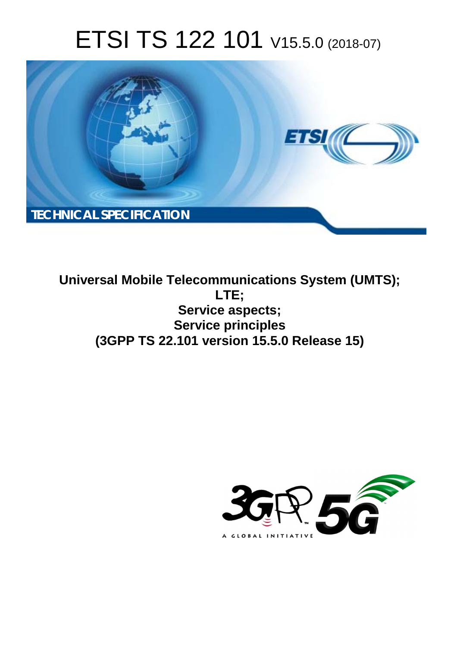# ETSI TS 122 101 V15.5.0 (2018-07)



**Universal Mobile Telecommunications System (UMTS); LTE; Service aspects; Service principles (3GPP TS 22.101 version 15.5.0 Release 15)** 

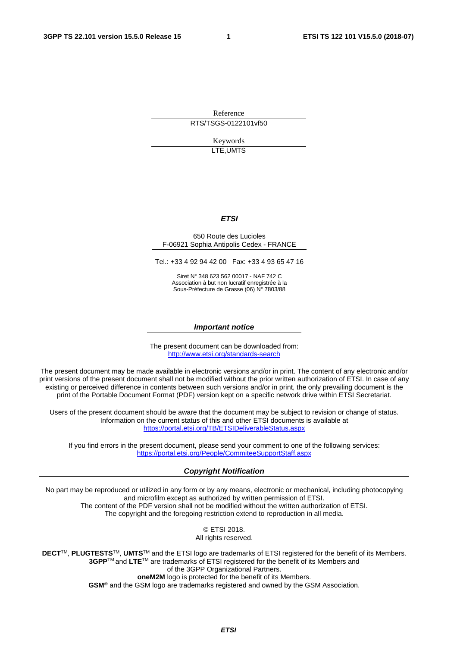Reference RTS/TSGS-0122101vf50

> Keywords LTE,UMTS

#### *ETSI*

#### 650 Route des Lucioles F-06921 Sophia Antipolis Cedex - FRANCE

Tel.: +33 4 92 94 42 00 Fax: +33 4 93 65 47 16

Siret N° 348 623 562 00017 - NAF 742 C Association à but non lucratif enregistrée à la Sous-Préfecture de Grasse (06) N° 7803/88

#### *Important notice*

The present document can be downloaded from: <http://www.etsi.org/standards-search>

The present document may be made available in electronic versions and/or in print. The content of any electronic and/or print versions of the present document shall not be modified without the prior written authorization of ETSI. In case of any existing or perceived difference in contents between such versions and/or in print, the only prevailing document is the print of the Portable Document Format (PDF) version kept on a specific network drive within ETSI Secretariat.

Users of the present document should be aware that the document may be subject to revision or change of status. Information on the current status of this and other ETSI documents is available at <https://portal.etsi.org/TB/ETSIDeliverableStatus.aspx>

If you find errors in the present document, please send your comment to one of the following services: <https://portal.etsi.org/People/CommiteeSupportStaff.aspx>

#### *Copyright Notification*

No part may be reproduced or utilized in any form or by any means, electronic or mechanical, including photocopying and microfilm except as authorized by written permission of ETSI. The content of the PDF version shall not be modified without the written authorization of ETSI. The copyright and the foregoing restriction extend to reproduction in all media.

> © ETSI 2018. All rights reserved.

**DECT**TM, **PLUGTESTS**TM, **UMTS**TM and the ETSI logo are trademarks of ETSI registered for the benefit of its Members. **3GPP**TM and **LTE**TM are trademarks of ETSI registered for the benefit of its Members and of the 3GPP Organizational Partners. **oneM2M** logo is protected for the benefit of its Members.

**GSM**® and the GSM logo are trademarks registered and owned by the GSM Association.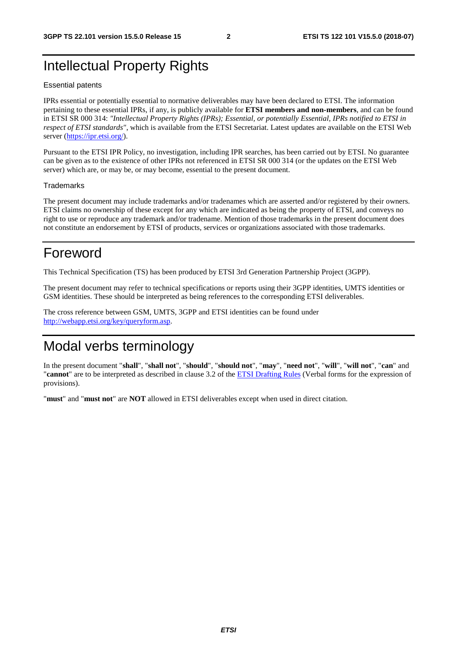# Intellectual Property Rights

#### Essential patents

IPRs essential or potentially essential to normative deliverables may have been declared to ETSI. The information pertaining to these essential IPRs, if any, is publicly available for **ETSI members and non-members**, and can be found in ETSI SR 000 314: *"Intellectual Property Rights (IPRs); Essential, or potentially Essential, IPRs notified to ETSI in respect of ETSI standards"*, which is available from the ETSI Secretariat. Latest updates are available on the ETSI Web server ([https://ipr.etsi.org/\)](https://ipr.etsi.org/).

Pursuant to the ETSI IPR Policy, no investigation, including IPR searches, has been carried out by ETSI. No guarantee can be given as to the existence of other IPRs not referenced in ETSI SR 000 314 (or the updates on the ETSI Web server) which are, or may be, or may become, essential to the present document.

#### **Trademarks**

The present document may include trademarks and/or tradenames which are asserted and/or registered by their owners. ETSI claims no ownership of these except for any which are indicated as being the property of ETSI, and conveys no right to use or reproduce any trademark and/or tradename. Mention of those trademarks in the present document does not constitute an endorsement by ETSI of products, services or organizations associated with those trademarks.

## Foreword

This Technical Specification (TS) has been produced by ETSI 3rd Generation Partnership Project (3GPP).

The present document may refer to technical specifications or reports using their 3GPP identities, UMTS identities or GSM identities. These should be interpreted as being references to the corresponding ETSI deliverables.

The cross reference between GSM, UMTS, 3GPP and ETSI identities can be found under [http://webapp.etsi.org/key/queryform.asp.](http://webapp.etsi.org/key/queryform.asp)

# Modal verbs terminology

In the present document "**shall**", "**shall not**", "**should**", "**should not**", "**may**", "**need not**", "**will**", "**will not**", "**can**" and "**cannot**" are to be interpreted as described in clause 3.2 of the [ETSI Drafting Rules](https://portal.etsi.org/Services/editHelp!/Howtostart/ETSIDraftingRules.aspx) (Verbal forms for the expression of provisions).

"**must**" and "**must not**" are **NOT** allowed in ETSI deliverables except when used in direct citation.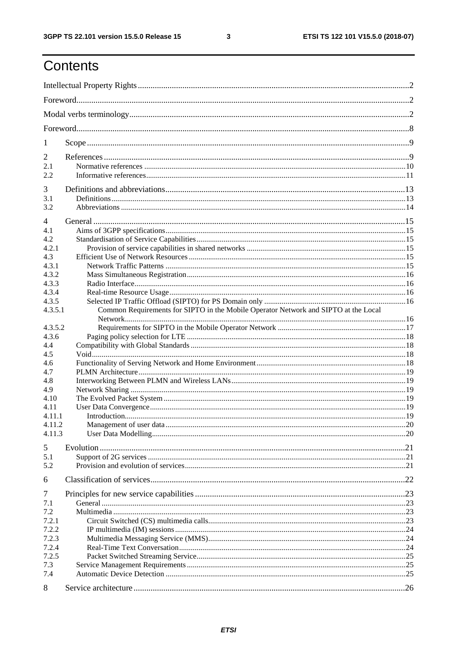ETSI TS 122 101 V15.5.0 (2018-07)

# Contents

| 1                |                                                                                     |  |
|------------------|-------------------------------------------------------------------------------------|--|
| 2                |                                                                                     |  |
| 2.1              |                                                                                     |  |
| 2.2              |                                                                                     |  |
| 3                |                                                                                     |  |
| 3.1              |                                                                                     |  |
| 3.2              |                                                                                     |  |
| 4                |                                                                                     |  |
| 4.1              |                                                                                     |  |
| 4.2              |                                                                                     |  |
| 4.2.1            |                                                                                     |  |
| 4.3              |                                                                                     |  |
| 4.3.1            |                                                                                     |  |
| 4.3.2            |                                                                                     |  |
| 4.3.3            |                                                                                     |  |
| 4.3.4            |                                                                                     |  |
| 4.3.5<br>4.3.5.1 | Common Requirements for SIPTO in the Mobile Operator Network and SIPTO at the Local |  |
|                  |                                                                                     |  |
| 4.3.5.2          |                                                                                     |  |
| 4.3.6            |                                                                                     |  |
| 4.4              |                                                                                     |  |
| 4.5              |                                                                                     |  |
| 4.6              |                                                                                     |  |
| 4.7              |                                                                                     |  |
| 4.8              |                                                                                     |  |
| 4.9              |                                                                                     |  |
| 4.10             |                                                                                     |  |
| 4.11<br>4.11.1   |                                                                                     |  |
| 4.11.2           |                                                                                     |  |
| 4.11.3           |                                                                                     |  |
|                  |                                                                                     |  |
| 5                |                                                                                     |  |
| 5.1              |                                                                                     |  |
| 5.2              |                                                                                     |  |
| 6                |                                                                                     |  |
| $\tau$           |                                                                                     |  |
| 7.1              |                                                                                     |  |
| 7.2              |                                                                                     |  |
| 7.2.1            |                                                                                     |  |
| 7.2.2            |                                                                                     |  |
| 7.2.3            |                                                                                     |  |
| 7.2.4            |                                                                                     |  |
| 7.2.5            |                                                                                     |  |
| 7.3<br>7.4       |                                                                                     |  |
|                  |                                                                                     |  |
| 8                |                                                                                     |  |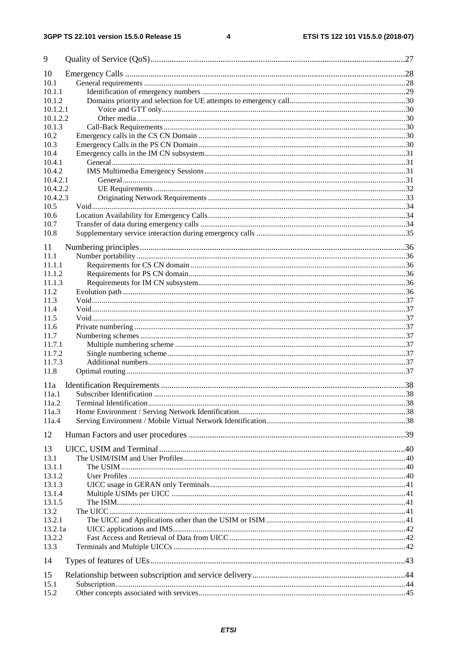| 9                |  |
|------------------|--|
| 10               |  |
| 10.1             |  |
| 10.1.1           |  |
| 10.1.2           |  |
| 10.1.2.1         |  |
| 10.1.2.2         |  |
| 10.1.3           |  |
| 10.2             |  |
| 10.3             |  |
| 10.4             |  |
| 10.4.1           |  |
| 10.4.2           |  |
| 10.4.2.1         |  |
| 10.4.2.2         |  |
| 10.4.2.3         |  |
| 10.5             |  |
| 10.6             |  |
| 10.7             |  |
| 10.8             |  |
|                  |  |
| 11               |  |
| 11.1             |  |
| 11.1.1           |  |
| 11.1.2           |  |
| 11.1.3           |  |
| 11.2             |  |
| 11.3             |  |
| 11.4             |  |
| 11.5             |  |
| 11.6             |  |
| 11.7             |  |
| 11.7.1           |  |
| 11.7.2           |  |
| 11.7.3           |  |
| 11.8             |  |
| 11a              |  |
| 11a.1            |  |
| 11a.2            |  |
| 11a.3            |  |
| 11a.4            |  |
|                  |  |
| 12               |  |
| 13               |  |
| 13.1             |  |
| 13.1.1           |  |
| 13.1.2           |  |
| 13.1.3           |  |
|                  |  |
| 13.1.4<br>13.1.5 |  |
| 13.2             |  |
| 13.2.1           |  |
| 13.2.1a          |  |
| 13.2.2           |  |
| 13.3             |  |
|                  |  |
| 14               |  |
|                  |  |
| 15               |  |
| 15.1             |  |
| 15.2             |  |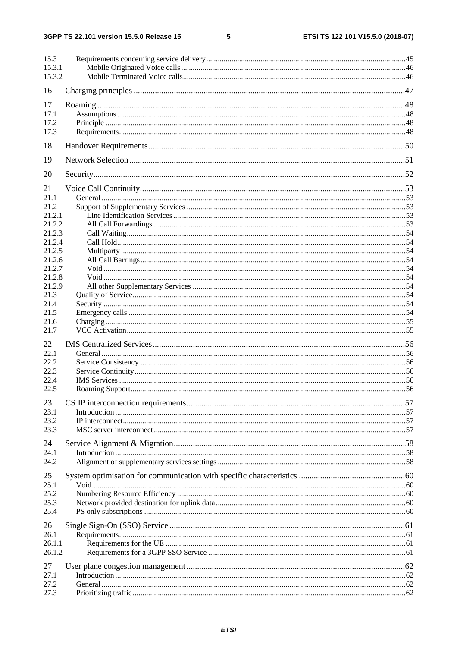$5\phantom{a}$ 

| 15.3<br>15.3.1<br>15.3.2 |  |
|--------------------------|--|
| 16                       |  |
| 17<br>17.1<br>17.2       |  |
| 17.3                     |  |
| 18                       |  |
| 19                       |  |
| 20                       |  |
| 21<br>21.1<br>21.2       |  |
| 21.2.1<br>21.2.2         |  |
| 21.2.3                   |  |
| 21.2.4<br>21.2.5         |  |
| 21.2.6<br>21.2.7         |  |
| 21.2.8                   |  |
| 21.2.9<br>21.3           |  |
| 21.4                     |  |
| 21.5<br>21.6             |  |
| 21.7                     |  |
| 22<br>22.1               |  |
| 22.2                     |  |
| 22.3<br>22.4             |  |
| 22.5                     |  |
| 23                       |  |
| 23.1<br>23.2             |  |
| 23.3                     |  |
| 24                       |  |
| 24.1<br>24.2             |  |
| 25                       |  |
| 25.1                     |  |
| 25.2<br>25.3             |  |
| 25.4                     |  |
| 26                       |  |
| 26.1<br>26.1.1           |  |
| 26.1.2                   |  |
| 27                       |  |
| 27.1                     |  |
| 27.2<br>27.3             |  |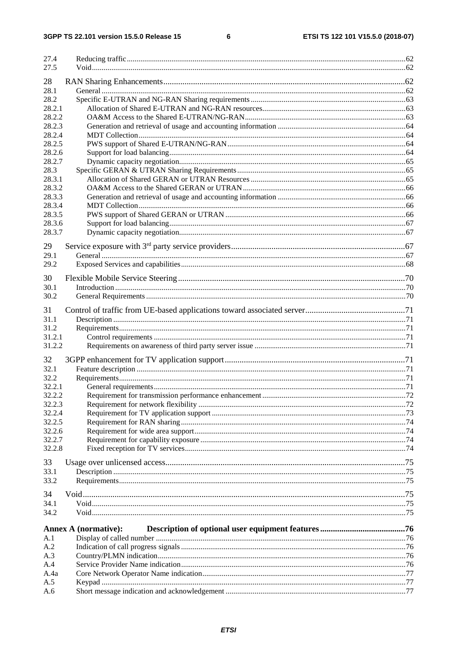#### $\bf 6$

| 27.4<br>27.5     |                      |  |
|------------------|----------------------|--|
| 28               |                      |  |
| 28.1             |                      |  |
| 28.2             |                      |  |
| 28.2.1           |                      |  |
| 28.2.2           |                      |  |
| 28.2.3           |                      |  |
| 28.2.4           |                      |  |
| 28.2.5           |                      |  |
| 28.2.6           |                      |  |
| 28.2.7           |                      |  |
| 28.3             |                      |  |
| 28.3.1           |                      |  |
| 28.3.2<br>28.3.3 |                      |  |
| 28.3.4           |                      |  |
| 28.3.5           |                      |  |
| 28.3.6           |                      |  |
| 28.3.7           |                      |  |
|                  |                      |  |
| 29               |                      |  |
| 29.1             |                      |  |
| 29.2             |                      |  |
| 30               |                      |  |
| 30.1             |                      |  |
| 30.2             |                      |  |
| 31               |                      |  |
| 31.1             |                      |  |
| 31.2             |                      |  |
| 31.2.1           |                      |  |
| 31.2.2           |                      |  |
| 32               |                      |  |
| 32.1             |                      |  |
| 32.2             |                      |  |
| 32.2.1           |                      |  |
| 32.2.2           |                      |  |
| 32.2.3           |                      |  |
| 32.2.4           |                      |  |
| 32.2.5           |                      |  |
| 32.2.6           |                      |  |
| 32.2.7           |                      |  |
| 32.2.8           |                      |  |
| 33               |                      |  |
| 33.1             |                      |  |
| 33.2             |                      |  |
| 34               |                      |  |
| 34.1             |                      |  |
| 34.2             |                      |  |
|                  |                      |  |
|                  | Annex A (normative): |  |
| A.1              |                      |  |
| A.2              |                      |  |
| A.3              |                      |  |
| A.4              |                      |  |
| A.4a<br>A.5      |                      |  |
| A.6              |                      |  |
|                  |                      |  |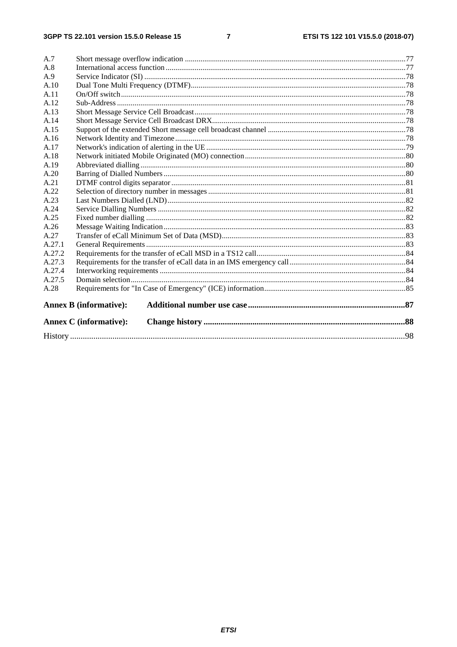#### $\overline{7}$

|        | <b>Annex C</b> (informative): |  |
|--------|-------------------------------|--|
|        | <b>Annex B</b> (informative): |  |
| A.28   |                               |  |
| A.27.5 |                               |  |
| A.27.4 |                               |  |
| A.27.3 |                               |  |
| A.27.2 |                               |  |
| A.27.1 |                               |  |
| A.27   |                               |  |
| A.26   |                               |  |
| A.25   |                               |  |
| A.24   |                               |  |
| A.23   |                               |  |
| A.22   |                               |  |
| A.21   |                               |  |
| A.20   |                               |  |
| A.19   |                               |  |
| A.18   |                               |  |
| A.17   |                               |  |
| A.16   |                               |  |
| A.15   |                               |  |
| A.14   |                               |  |
| A.13   |                               |  |
| A.12   |                               |  |
| A.11   |                               |  |
| A.10   |                               |  |
| A.9    |                               |  |
| A.8    |                               |  |
| A.7    |                               |  |
|        |                               |  |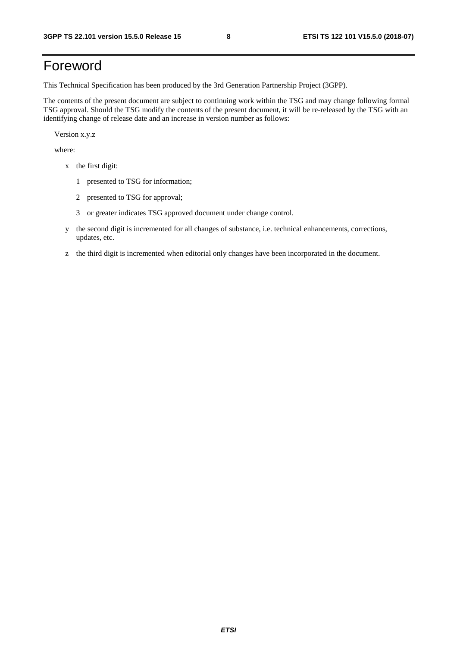# Foreword

This Technical Specification has been produced by the 3rd Generation Partnership Project (3GPP).

The contents of the present document are subject to continuing work within the TSG and may change following formal TSG approval. Should the TSG modify the contents of the present document, it will be re-released by the TSG with an identifying change of release date and an increase in version number as follows:

Version x.y.z

where:

- x the first digit:
	- 1 presented to TSG for information;
	- 2 presented to TSG for approval;
	- 3 or greater indicates TSG approved document under change control.
- y the second digit is incremented for all changes of substance, i.e. technical enhancements, corrections, updates, etc.
- z the third digit is incremented when editorial only changes have been incorporated in the document.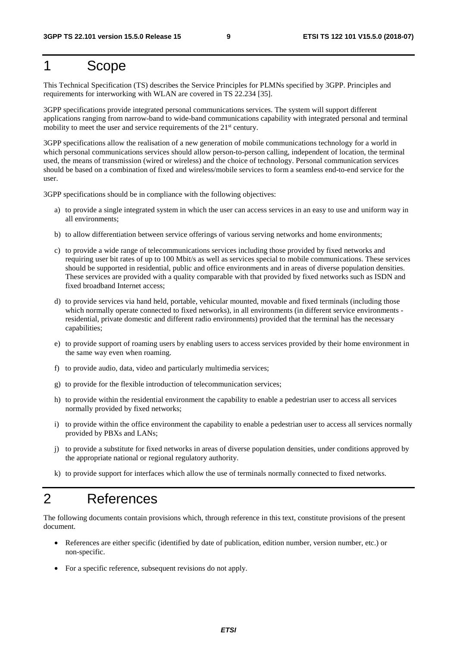### 1 Scope

This Technical Specification (TS) describes the Service Principles for PLMNs specified by 3GPP. Principles and requirements for interworking with WLAN are covered in TS 22.234 [35].

3GPP specifications provide integrated personal communications services. The system will support different applications ranging from narrow-band to wide-band communications capability with integrated personal and terminal mobility to meet the user and service requirements of the 21<sup>st</sup> century.

3GPP specifications allow the realisation of a new generation of mobile communications technology for a world in which personal communications services should allow person-to-person calling, independent of location, the terminal used, the means of transmission (wired or wireless) and the choice of technology. Personal communication services should be based on a combination of fixed and wireless/mobile services to form a seamless end-to-end service for the user.

3GPP specifications should be in compliance with the following objectives:

- a) to provide a single integrated system in which the user can access services in an easy to use and uniform way in all environments;
- b) to allow differentiation between service offerings of various serving networks and home environments;
- c) to provide a wide range of telecommunications services including those provided by fixed networks and requiring user bit rates of up to 100 Mbit/s as well as services special to mobile communications. These services should be supported in residential, public and office environments and in areas of diverse population densities. These services are provided with a quality comparable with that provided by fixed networks such as ISDN and fixed broadband Internet access;
- d) to provide services via hand held, portable, vehicular mounted, movable and fixed terminals (including those which normally operate connected to fixed networks), in all environments (in different service environments residential, private domestic and different radio environments) provided that the terminal has the necessary capabilities;
- e) to provide support of roaming users by enabling users to access services provided by their home environment in the same way even when roaming.
- f) to provide audio, data, video and particularly multimedia services;
- g) to provide for the flexible introduction of telecommunication services;
- h) to provide within the residential environment the capability to enable a pedestrian user to access all services normally provided by fixed networks;
- i) to provide within the office environment the capability to enable a pedestrian user to access all services normally provided by PBXs and LANs;
- j) to provide a substitute for fixed networks in areas of diverse population densities, under conditions approved by the appropriate national or regional regulatory authority.
- k) to provide support for interfaces which allow the use of terminals normally connected to fixed networks.

# 2 References

The following documents contain provisions which, through reference in this text, constitute provisions of the present document.

- References are either specific (identified by date of publication, edition number, version number, etc.) or non-specific.
- For a specific reference, subsequent revisions do not apply.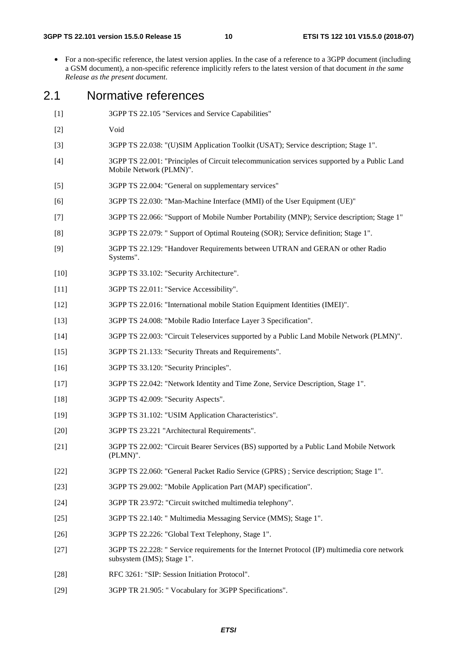• For a non-specific reference, the latest version applies. In the case of a reference to a 3GPP document (including a GSM document), a non-specific reference implicitly refers to the latest version of that document *in the same Release as the present document*.

#### 2.1 Normative references

- [1] 3GPP TS 22.105 "Services and Service Capabilities"
- [2] Void
- [3] 3GPP TS 22.038: "(U)SIM Application Toolkit (USAT); Service description; Stage 1".
- [4] 3GPP TS 22.001: "Principles of Circuit telecommunication services supported by a Public Land Mobile Network (PLMN)".
- [5] 3GPP TS 22.004: "General on supplementary services"
- [6] 3GPP TS 22.030: "Man-Machine Interface (MMI) of the User Equipment (UE)"
- [7] 3GPP TS 22.066: "Support of Mobile Number Portability (MNP); Service description; Stage 1"
- [8] 3GPP TS 22.079: " Support of Optimal Routeing (SOR); Service definition; Stage 1".
- [9] 3GPP TS 22.129: "Handover Requirements between UTRAN and GERAN or other Radio Systems".
- [10] 3GPP TS 33.102: "Security Architecture".
- [11] 3GPP TS 22.011: "Service Accessibility".
- [12] 3GPP TS 22.016: "International mobile Station Equipment Identities (IMEI)".
- [13] 3GPP TS 24.008: "Mobile Radio Interface Layer 3 Specification".
- [14] 3GPP TS 22.003: "Circuit Teleservices supported by a Public Land Mobile Network (PLMN)".
- [15] 3GPP TS 21.133: "Security Threats and Requirements".
- [16] 3GPP TS 33.120: "Security Principles".
- [17] 3GPP TS 22.042: "Network Identity and Time Zone, Service Description, Stage 1".
- [18] 3GPP TS 42.009: "Security Aspects".
- [19] 3GPP TS 31.102: "USIM Application Characteristics".
- [20] 3GPP TS 23.221 "Architectural Requirements".
- [21] 3GPP TS 22.002: "Circuit Bearer Services (BS) supported by a Public Land Mobile Network (PLMN)".
- [22] 3GPP TS 22.060: "General Packet Radio Service (GPRS) ; Service description; Stage 1".
- [23] 3GPP TS 29.002: "Mobile Application Part (MAP) specification".
- [24] 3GPP TR 23.972: "Circuit switched multimedia telephony".
- [25] 3GPP TS 22.140: " Multimedia Messaging Service (MMS); Stage 1".
- [26] 3GPP TS 22.226: "Global Text Telephony, Stage 1".
- [27] 3GPP TS 22.228: " Service requirements for the Internet Protocol (IP) multimedia core network subsystem (IMS); Stage 1".
- [28] RFC 3261: "SIP: Session Initiation Protocol".
- [29] 3GPP TR 21.905: " Vocabulary for 3GPP Specifications".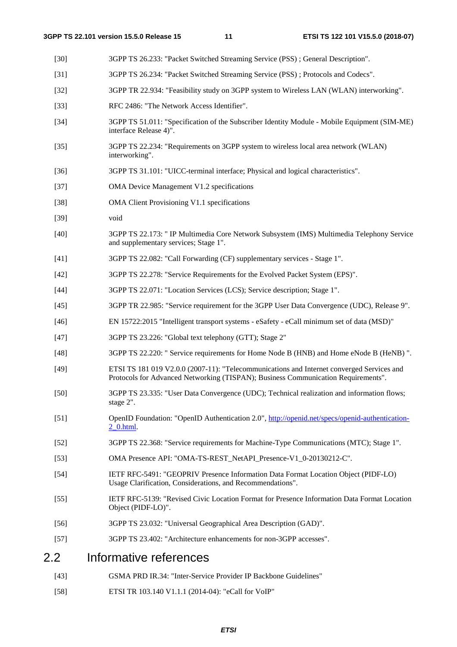- [30] 3GPP TS 26.233: "Packet Switched Streaming Service (PSS) ; General Description". [31] 3GPP TS 26.234: "Packet Switched Streaming Service (PSS) ; Protocols and Codecs". [32] 3GPP TR 22.934: "Feasibility study on 3GPP system to Wireless LAN (WLAN) interworking". [33] RFC 2486: "The Network Access Identifier". [34] 3GPP TS 51.011: "Specification of the Subscriber Identity Module - Mobile Equipment (SIM-ME) interface Release 4)". [35] 3GPP TS 22.234: "Requirements on 3GPP system to wireless local area network (WLAN) interworking". [36] 3GPP TS 31.101: "UICC-terminal interface; Physical and logical characteristics". [37] OMA Device Management V1.2 specifications [38] OMA Client Provisioning V1.1 specifications [39] void [40] 3GPP TS 22.173: " IP Multimedia Core Network Subsystem (IMS) Multimedia Telephony Service and supplementary services; Stage 1". [41] 3GPP TS 22.082: "Call Forwarding (CF) supplementary services - Stage 1". [42] 3GPP TS 22.278: "Service Requirements for the Evolved Packet System (EPS)". [44] 3GPP TS 22.071: "Location Services (LCS); Service description; Stage 1". [45] 3GPP TR 22.985: "Service requirement for the 3GPP User Data Convergence (UDC), Release 9". [46] EN 15722:2015 "Intelligent transport systems - eSafety - eCall minimum set of data (MSD)" [47] 3GPP TS 23.226: "Global text telephony (GTT); Stage 2" [48] 3GPP TS 22.220: " Service requirements for Home Node B (HNB) and Home eNode B (HeNB) ". [49] ETSI TS 181 019 V2.0.0 (2007-11): "Telecommunications and Internet converged Services and Protocols for Advanced Networking (TISPAN); Business Communication Requirements". [50] 3GPP TS 23.335: "User Data Convergence (UDC); Technical realization and information flows; stage 2". [51] OpenID Foundation: "OpenID Authentication 2.0", [http://openid.net/specs/openid-authentication-](http://openid.net/specs/openid-authentication-2_0.html)[2\\_0.html](http://openid.net/specs/openid-authentication-2_0.html). [52] 3GPP TS 22.368: "Service requirements for Machine-Type Communications (MTC); Stage 1". [53] OMA Presence API: "OMA-TS-REST\_NetAPI\_Presence-V1\_0-20130212-C". [54] IETF RFC-5491: "GEOPRIV Presence Information Data Format Location Object (PIDF-LO) Usage Clarification, Considerations, and Recommendations". [55] IETF RFC-5139: "Revised Civic Location Format for Presence Information Data Format Location Object (PIDF-LO)". [56] 3GPP TS 23.032: "Universal Geographical Area Description (GAD)". [57] 3GPP TS 23.402: "Architecture enhancements for non-3GPP accesses". 2.2 Informative references [43] GSMA PRD IR.34: "Inter-Service Provider IP Backbone Guidelines"
	- [58] ETSI TR 103.140 V1.1.1 (2014-04): "eCall for VoIP"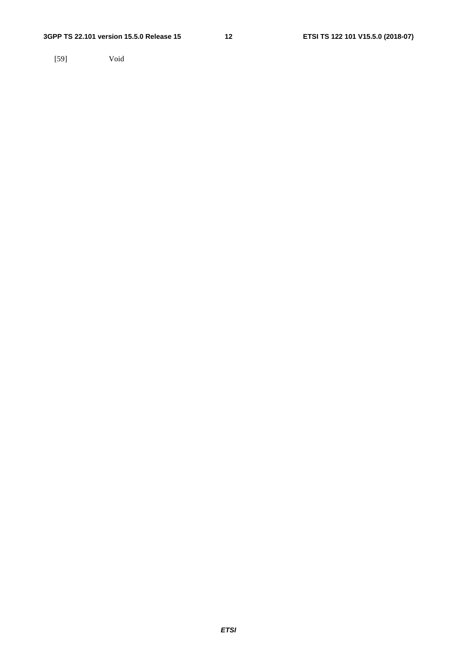[59] Void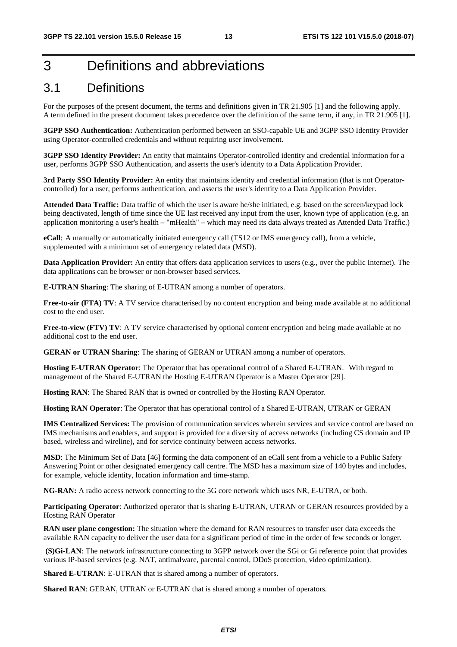# 3 Definitions and abbreviations

#### 3.1 Definitions

For the purposes of the present document, the terms and definitions given in TR 21.905 [1] and the following apply. A term defined in the present document takes precedence over the definition of the same term, if any, in TR 21.905 [1].

**3GPP SSO Authentication:** Authentication performed between an SSO-capable UE and 3GPP SSO Identity Provider using Operator-controlled credentials and without requiring user involvement.

**3GPP SSO Identity Provider:** An entity that maintains Operator-controlled identity and credential information for a user, performs 3GPP SSO Authentication, and asserts the user's identity to a Data Application Provider.

**3rd Party SSO Identity Provider:** An entity that maintains identity and credential information (that is not Operatorcontrolled) for a user, performs authentication, and asserts the user's identity to a Data Application Provider.

**Attended Data Traffic:** Data traffic of which the user is aware he/she initiated, e.g. based on the screen/keypad lock being deactivated, length of time since the UE last received any input from the user, known type of application (e.g. an application monitoring a user's health – "mHealth" – which may need its data always treated as Attended Data Traffic.)

**eCall**: A manually or automatically initiated emergency call (TS12 or IMS emergency call), from a vehicle, supplemented with a minimum set of emergency related data (MSD).

**Data Application Provider:** An entity that offers data application services to users (e.g., over the public Internet). The data applications can be browser or non-browser based services.

**E-UTRAN Sharing**: The sharing of E-UTRAN among a number of operators.

**Free-to-air (FTA) TV:** A TV service characterised by no content encryption and being made available at no additional cost to the end user.

**Free-to-view (FTV) TV:** A TV service characterised by optional content encryption and being made available at no additional cost to the end user.

**GERAN or UTRAN Sharing**: The sharing of GERAN or UTRAN among a number of operators.

**Hosting E-UTRAN Operator**: The Operator that has operational control of a Shared E-UTRAN. With regard to management of the Shared E-UTRAN the Hosting E-UTRAN Operator is a Master Operator [29].

**Hosting RAN**: The Shared RAN that is owned or controlled by the Hosting RAN Operator.

**Hosting RAN Operator**: The Operator that has operational control of a Shared E-UTRAN, UTRAN or GERAN

**IMS Centralized Services:** The provision of communication services wherein services and service control are based on IMS mechanisms and enablers, and support is provided for a diversity of access networks (including CS domain and IP based, wireless and wireline), and for service continuity between access networks.

**MSD**: The Minimum Set of Data [46] forming the data component of an eCall sent from a vehicle to a Public Safety Answering Point or other designated emergency call centre. The MSD has a maximum size of 140 bytes and includes, for example, vehicle identity, location information and time-stamp.

**NG-RAN:** A radio access network connecting to the 5G core network which uses NR, E-UTRA, or both.

**Participating Operator**: Authorized operator that is sharing E-UTRAN, UTRAN or GERAN resources provided by a Hosting RAN Operator

**RAN user plane congestion:** The situation where the demand for RAN resources to transfer user data exceeds the available RAN capacity to deliver the user data for a significant period of time in the order of few seconds or longer.

 **(S)Gi-LAN**: The network infrastructure connecting to 3GPP network over the SGi or Gi reference point that provides various IP-based services (e.g. NAT, antimalware, parental control, DDoS protection, video optimization).

**Shared E-UTRAN**: E-UTRAN that is shared among a number of operators.

**Shared RAN**: GERAN, UTRAN or E-UTRAN that is shared among a number of operators.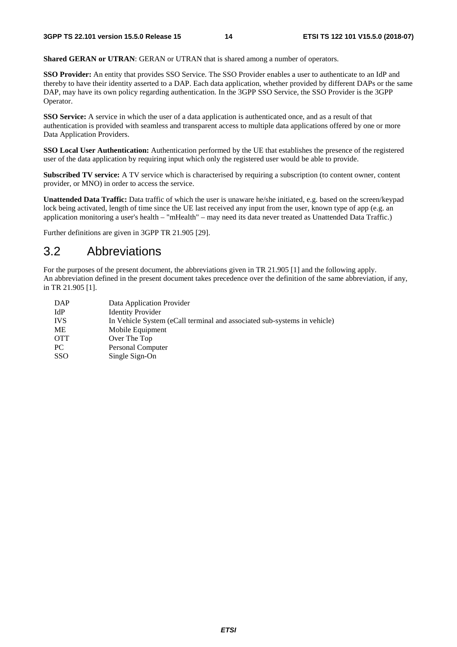**Shared GERAN or UTRAN:** GERAN or UTRAN that is shared among a number of operators.

**SSO Provider:** An entity that provides SSO Service. The SSO Provider enables a user to authenticate to an IdP and thereby to have their identity asserted to a DAP. Each data application, whether provided by different DAPs or the same DAP, may have its own policy regarding authentication. In the 3GPP SSO Service, the SSO Provider is the 3GPP Operator.

**SSO Service:** A service in which the user of a data application is authenticated once, and as a result of that authentication is provided with seamless and transparent access to multiple data applications offered by one or more Data Application Providers.

**SSO Local User Authentication:** Authentication performed by the UE that establishes the presence of the registered user of the data application by requiring input which only the registered user would be able to provide.

**Subscribed TV service:** A TV service which is characterised by requiring a subscription (to content owner, content provider, or MNO) in order to access the service.

**Unattended Data Traffic:** Data traffic of which the user is unaware he/she initiated, e.g. based on the screen/keypad lock being activated, length of time since the UE last received any input from the user, known type of app (e.g. an application monitoring a user's health – "mHealth" – may need its data never treated as Unattended Data Traffic.)

Further definitions are given in 3GPP TR 21.905 [29].

### 3.2 Abbreviations

For the purposes of the present document, the abbreviations given in TR 21.905 [1] and the following apply. An abbreviation defined in the present document takes precedence over the definition of the same abbreviation, if any, in TR 21.905 [1].

| DAP        | Data Application Provider                                                |
|------------|--------------------------------------------------------------------------|
| <b>IdP</b> | <b>Identity Provider</b>                                                 |
| <b>IVS</b> | In Vehicle System (eCall terminal and associated sub-systems in vehicle) |
| МE         | Mobile Equipment                                                         |
| <b>OTT</b> | Over The Top                                                             |
| <b>PC</b>  | Personal Computer                                                        |
| <b>SSO</b> | Single Sign-On                                                           |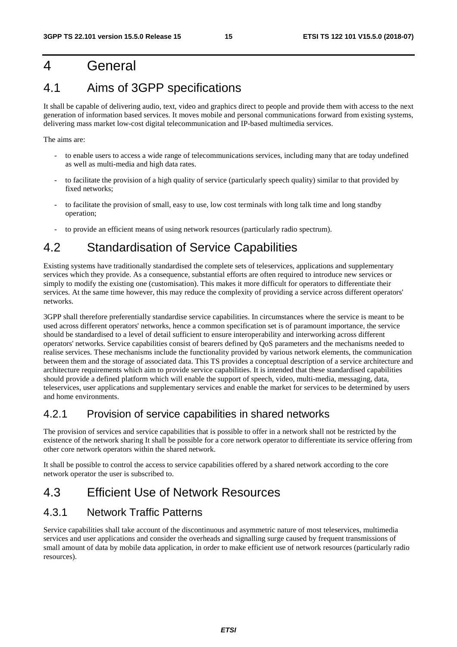# 4 General

# 4.1 Aims of 3GPP specifications

It shall be capable of delivering audio, text, video and graphics direct to people and provide them with access to the next generation of information based services. It moves mobile and personal communications forward from existing systems, delivering mass market low-cost digital telecommunication and IP-based multimedia services.

The aims are:

- to enable users to access a wide range of telecommunications services, including many that are today undefined as well as multi-media and high data rates.
- to facilitate the provision of a high quality of service (particularly speech quality) similar to that provided by fixed networks;
- to facilitate the provision of small, easy to use, low cost terminals with long talk time and long standby operation;
- to provide an efficient means of using network resources (particularly radio spectrum).

# 4.2 Standardisation of Service Capabilities

Existing systems have traditionally standardised the complete sets of teleservices, applications and supplementary services which they provide. As a consequence, substantial efforts are often required to introduce new services or simply to modify the existing one (customisation). This makes it more difficult for operators to differentiate their services. At the same time however, this may reduce the complexity of providing a service across different operators' networks.

3GPP shall therefore preferentially standardise service capabilities. In circumstances where the service is meant to be used across different operators' networks, hence a common specification set is of paramount importance, the service should be standardised to a level of detail sufficient to ensure interoperability and interworking across different operators' networks. Service capabilities consist of bearers defined by QoS parameters and the mechanisms needed to realise services. These mechanisms include the functionality provided by various network elements, the communication between them and the storage of associated data. This TS provides a conceptual description of a service architecture and architecture requirements which aim to provide service capabilities. It is intended that these standardised capabilities should provide a defined platform which will enable the support of speech, video, multi-media, messaging, data, teleservices, user applications and supplementary services and enable the market for services to be determined by users and home environments.

#### 4.2.1 Provision of service capabilities in shared networks

The provision of services and service capabilities that is possible to offer in a network shall not be restricted by the existence of the network sharing It shall be possible for a core network operator to differentiate its service offering from other core network operators within the shared network.

It shall be possible to control the access to service capabilities offered by a shared network according to the core network operator the user is subscribed to.

### 4.3 Efficient Use of Network Resources

#### 4.3.1 Network Traffic Patterns

Service capabilities shall take account of the discontinuous and asymmetric nature of most teleservices, multimedia services and user applications and consider the overheads and signalling surge caused by frequent transmissions of small amount of data by mobile data application, in order to make efficient use of network resources (particularly radio resources).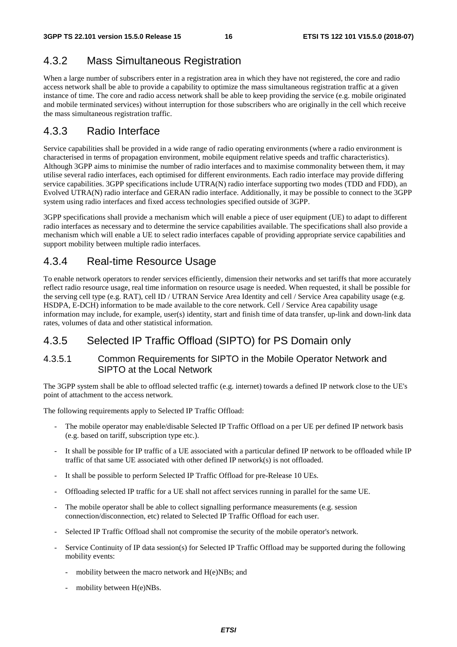### 4.3.2 Mass Simultaneous Registration

When a large number of subscribers enter in a registration area in which they have not registered, the core and radio access network shall be able to provide a capability to optimize the mass simultaneous registration traffic at a given instance of time. The core and radio access network shall be able to keep providing the service (e.g. mobile originated and mobile terminated services) without interruption for those subscribers who are originally in the cell which receive the mass simultaneous registration traffic.

#### 4.3.3 Radio Interface

Service capabilities shall be provided in a wide range of radio operating environments (where a radio environment is characterised in terms of propagation environment, mobile equipment relative speeds and traffic characteristics). Although 3GPP aims to minimise the number of radio interfaces and to maximise commonality between them, it may utilise several radio interfaces, each optimised for different environments. Each radio interface may provide differing service capabilities. 3GPP specifications include UTRA(N) radio interface supporting two modes (TDD and FDD), an Evolved UTRA(N) radio interface and GERAN radio interface. Additionally, it may be possible to connect to the 3GPP system using radio interfaces and fixed access technologies specified outside of 3GPP.

3GPP specifications shall provide a mechanism which will enable a piece of user equipment (UE) to adapt to different radio interfaces as necessary and to determine the service capabilities available. The specifications shall also provide a mechanism which will enable a UE to select radio interfaces capable of providing appropriate service capabilities and support mobility between multiple radio interfaces.

### 4.3.4 Real-time Resource Usage

To enable network operators to render services efficiently, dimension their networks and set tariffs that more accurately reflect radio resource usage, real time information on resource usage is needed. When requested, it shall be possible for the serving cell type (e.g. RAT), cell ID / UTRAN Service Area Identity and cell / Service Area capability usage (e.g. HSDPA, E-DCH) information to be made available to the core network. Cell / Service Area capability usage information may include, for example, user(s) identity, start and finish time of data transfer, up-link and down-link data rates, volumes of data and other statistical information.

### 4.3.5 Selected IP Traffic Offload (SIPTO) for PS Domain only

#### 4.3.5.1 Common Requirements for SIPTO in the Mobile Operator Network and SIPTO at the Local Network

The 3GPP system shall be able to offload selected traffic (e.g. internet) towards a defined IP network close to the UE's point of attachment to the access network.

The following requirements apply to Selected IP Traffic Offload:

- The mobile operator may enable/disable Selected IP Traffic Offload on a per UE per defined IP network basis (e.g. based on tariff, subscription type etc.).
- It shall be possible for IP traffic of a UE associated with a particular defined IP network to be offloaded while IP traffic of that same UE associated with other defined IP network(s) is not offloaded.
- It shall be possible to perform Selected IP Traffic Offload for pre-Release 10 UEs.
- Offloading selected IP traffic for a UE shall not affect services running in parallel for the same UE.
- The mobile operator shall be able to collect signalling performance measurements (e.g. session connection/disconnection, etc) related to Selected IP Traffic Offload for each user.
- Selected IP Traffic Offload shall not compromise the security of the mobile operator's network.
- Service Continuity of IP data session(s) for Selected IP Traffic Offload may be supported during the following mobility events:
	- mobility between the macro network and H(e)NBs; and
	- mobility between H(e)NBs.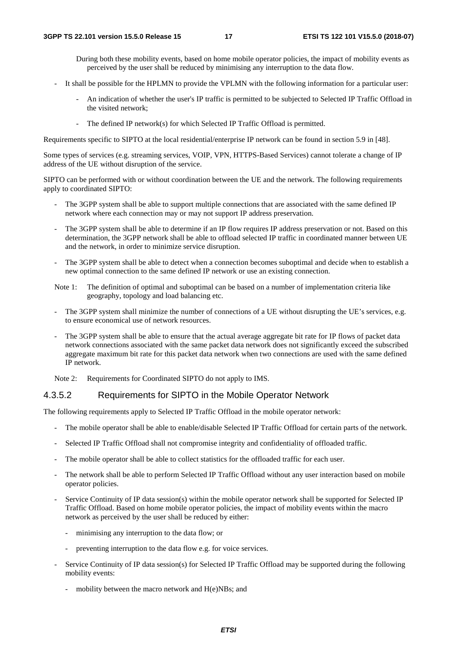During both these mobility events, based on home mobile operator policies, the impact of mobility events as perceived by the user shall be reduced by minimising any interruption to the data flow.

- It shall be possible for the HPLMN to provide the VPLMN with the following information for a particular user:
	- An indication of whether the user's IP traffic is permitted to be subjected to Selected IP Traffic Offload in the visited network;
	- The defined IP network(s) for which Selected IP Traffic Offload is permitted.

Requirements specific to SIPTO at the local residential/enterprise IP network can be found in section 5.9 in [48].

Some types of services (e.g. streaming services, VOIP, VPN, HTTPS-Based Services) cannot tolerate a change of IP address of the UE without disruption of the service.

SIPTO can be performed with or without coordination between the UE and the network. The following requirements apply to coordinated SIPTO:

- The 3GPP system shall be able to support multiple connections that are associated with the same defined IP network where each connection may or may not support IP address preservation.
- The 3GPP system shall be able to determine if an IP flow requires IP address preservation or not. Based on this determination, the 3GPP network shall be able to offload selected IP traffic in coordinated manner between UE and the network, in order to minimize service disruption.
- The 3GPP system shall be able to detect when a connection becomes suboptimal and decide when to establish a new optimal connection to the same defined IP network or use an existing connection.
- Note 1: The definition of optimal and suboptimal can be based on a number of implementation criteria like geography, topology and load balancing etc.
- The 3GPP system shall minimize the number of connections of a UE without disrupting the UE's services, e.g. to ensure economical use of network resources.
- The 3GPP system shall be able to ensure that the actual average aggregate bit rate for IP flows of packet data network connections associated with the same packet data network does not significantly exceed the subscribed aggregate maximum bit rate for this packet data network when two connections are used with the same defined IP network.

Note 2: Requirements for Coordinated SIPTO do not apply to IMS.

#### 4.3.5.2 Requirements for SIPTO in the Mobile Operator Network

The following requirements apply to Selected IP Traffic Offload in the mobile operator network:

- The mobile operator shall be able to enable/disable Selected IP Traffic Offload for certain parts of the network.
- Selected IP Traffic Offload shall not compromise integrity and confidentiality of offloaded traffic.
- The mobile operator shall be able to collect statistics for the offloaded traffic for each user.
- The network shall be able to perform Selected IP Traffic Offload without any user interaction based on mobile operator policies.
- Service Continuity of IP data session(s) within the mobile operator network shall be supported for Selected IP Traffic Offload. Based on home mobile operator policies, the impact of mobility events within the macro network as perceived by the user shall be reduced by either:
	- minimising any interruption to the data flow; or
	- preventing interruption to the data flow e.g. for voice services.
- Service Continuity of IP data session(s) for Selected IP Traffic Offload may be supported during the following mobility events:
	- mobility between the macro network and H(e)NBs; and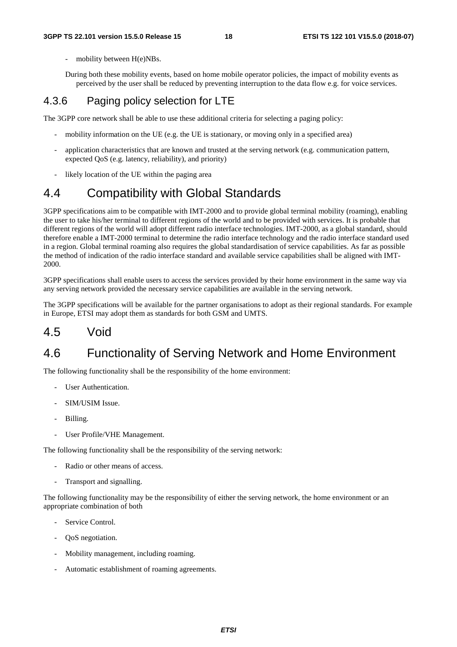mobility between H(e)NBs.

During both these mobility events, based on home mobile operator policies, the impact of mobility events as perceived by the user shall be reduced by preventing interruption to the data flow e.g. for voice services.

#### 4.3.6 Paging policy selection for LTE

The 3GPP core network shall be able to use these additional criteria for selecting a paging policy:

- mobility information on the UE (e.g. the UE is stationary, or moving only in a specified area)
- application characteristics that are known and trusted at the serving network (e.g. communication pattern, expected QoS (e.g. latency, reliability), and priority)
- likely location of the UE within the paging area

# 4.4 Compatibility with Global Standards

3GPP specifications aim to be compatible with IMT-2000 and to provide global terminal mobility (roaming), enabling the user to take his/her terminal to different regions of the world and to be provided with services. It is probable that different regions of the world will adopt different radio interface technologies. IMT-2000, as a global standard, should therefore enable a IMT-2000 terminal to determine the radio interface technology and the radio interface standard used in a region. Global terminal roaming also requires the global standardisation of service capabilities. As far as possible the method of indication of the radio interface standard and available service capabilities shall be aligned with IMT-2000.

3GPP specifications shall enable users to access the services provided by their home environment in the same way via any serving network provided the necessary service capabilities are available in the serving network.

The 3GPP specifications will be available for the partner organisations to adopt as their regional standards. For example in Europe, ETSI may adopt them as standards for both GSM and UMTS.

#### 4.5 Void

### 4.6 Functionality of Serving Network and Home Environment

The following functionality shall be the responsibility of the home environment:

- User Authentication.
- SIM/USIM Issue.
- Billing.
- User Profile/VHE Management.

The following functionality shall be the responsibility of the serving network:

- Radio or other means of access.
- Transport and signalling.

The following functionality may be the responsibility of either the serving network, the home environment or an appropriate combination of both

- Service Control.
- QoS negotiation.
- Mobility management, including roaming.
- Automatic establishment of roaming agreements.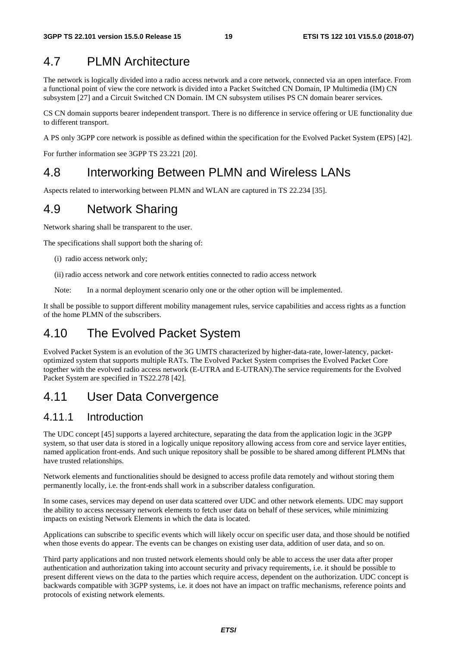### 4.7 PLMN Architecture

The network is logically divided into a radio access network and a core network, connected via an open interface. From a functional point of view the core network is divided into a Packet Switched CN Domain, IP Multimedia (IM) CN subsystem [27] and a Circuit Switched CN Domain. IM CN subsystem utilises PS CN domain bearer services.

CS CN domain supports bearer independent transport. There is no difference in service offering or UE functionality due to different transport.

A PS only 3GPP core network is possible as defined within the specification for the Evolved Packet System (EPS) [42].

For further information see 3GPP TS 23.221 [20].

### 4.8 Interworking Between PLMN and Wireless LANs

Aspects related to interworking between PLMN and WLAN are captured in TS 22.234 [35].

### 4.9 Network Sharing

Network sharing shall be transparent to the user.

The specifications shall support both the sharing of:

- (i) radio access network only;
- (ii) radio access network and core network entities connected to radio access network

Note: In a normal deployment scenario only one or the other option will be implemented.

It shall be possible to support different mobility management rules, service capabilities and access rights as a function of the home PLMN of the subscribers.

### 4.10 The Evolved Packet System

Evolved Packet System is an evolution of the 3G UMTS characterized by higher-data-rate, lower-latency, packetoptimized system that supports multiple RATs. The Evolved Packet System comprises the Evolved Packet Core together with the evolved radio access network (E-UTRA and E-UTRAN).The service requirements for the Evolved Packet System are specified in TS22.278 [42].

### 4.11 User Data Convergence

#### 4.11.1 Introduction

The UDC concept [45] supports a layered architecture, separating the data from the application logic in the 3GPP system, so that user data is stored in a logically unique repository allowing access from core and service layer entities, named application front-ends. And such unique repository shall be possible to be shared among different PLMNs that have trusted relationships.

Network elements and functionalities should be designed to access profile data remotely and without storing them permanently locally, i.e. the front-ends shall work in a subscriber dataless configuration.

In some cases, services may depend on user data scattered over UDC and other network elements. UDC may support the ability to access necessary network elements to fetch user data on behalf of these services, while minimizing impacts on existing Network Elements in which the data is located.

Applications can subscribe to specific events which will likely occur on specific user data, and those should be notified when those events do appear. The events can be changes on existing user data, addition of user data, and so on.

Third party applications and non trusted network elements should only be able to access the user data after proper authentication and authorization taking into account security and privacy requirements, i.e. it should be possible to present different views on the data to the parties which require access, dependent on the authorization. UDC concept is backwards compatible with 3GPP systems, i.e. it does not have an impact on traffic mechanisms, reference points and protocols of existing network elements.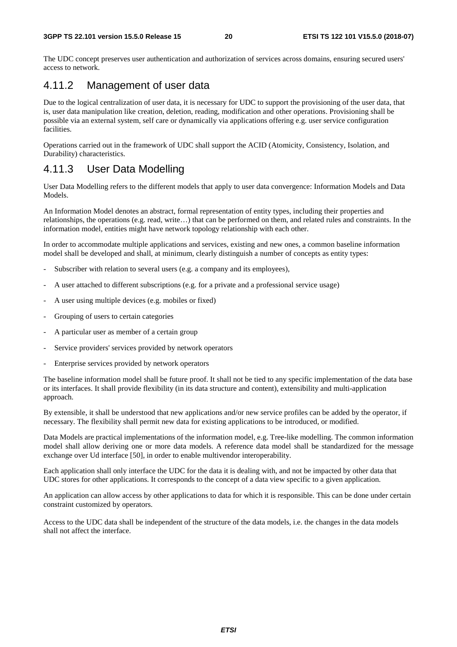The UDC concept preserves user authentication and authorization of services across domains, ensuring secured users' access to network.

#### 4.11.2 Management of user data

Due to the logical centralization of user data, it is necessary for UDC to support the provisioning of the user data, that is, user data manipulation like creation, deletion, reading, modification and other operations. Provisioning shall be possible via an external system, self care or dynamically via applications offering e.g. user service configuration facilities.

Operations carried out in the framework of UDC shall support the ACID (Atomicity, Consistency, Isolation, and Durability) characteristics.

#### 4.11.3 User Data Modelling

User Data Modelling refers to the different models that apply to user data convergence: Information Models and Data Models.

An Information Model denotes an abstract, formal representation of entity types, including their properties and relationships, the operations (e.g. read, write…) that can be performed on them, and related rules and constraints. In the information model, entities might have network topology relationship with each other.

In order to accommodate multiple applications and services, existing and new ones, a common baseline information model shall be developed and shall, at minimum, clearly distinguish a number of concepts as entity types:

- Subscriber with relation to several users (e.g. a company and its employees),
- A user attached to different subscriptions (e.g. for a private and a professional service usage)
- A user using multiple devices (e.g. mobiles or fixed)
- Grouping of users to certain categories
- A particular user as member of a certain group
- Service providers' services provided by network operators
- Enterprise services provided by network operators

The baseline information model shall be future proof. It shall not be tied to any specific implementation of the data base or its interfaces. It shall provide flexibility (in its data structure and content), extensibility and multi-application approach.

By extensible, it shall be understood that new applications and/or new service profiles can be added by the operator, if necessary. The flexibility shall permit new data for existing applications to be introduced, or modified.

Data Models are practical implementations of the information model, e.g. Tree-like modelling. The common information model shall allow deriving one or more data models. A reference data model shall be standardized for the message exchange over Ud interface [50], in order to enable multivendor interoperability.

Each application shall only interface the UDC for the data it is dealing with, and not be impacted by other data that UDC stores for other applications. It corresponds to the concept of a data view specific to a given application.

An application can allow access by other applications to data for which it is responsible. This can be done under certain constraint customized by operators.

Access to the UDC data shall be independent of the structure of the data models, i.e. the changes in the data models shall not affect the interface.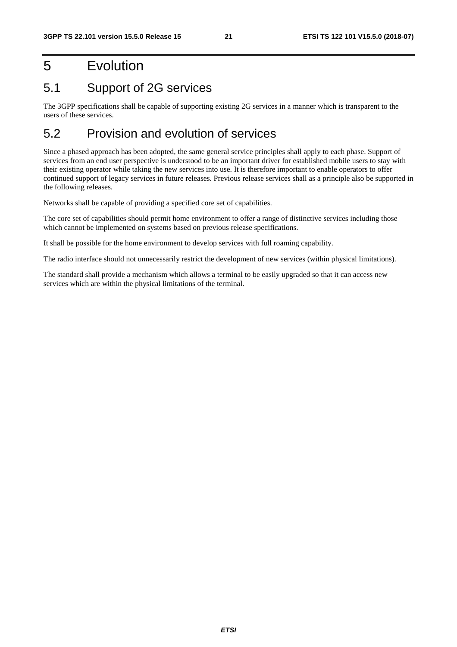# 5 Evolution

### 5.1 Support of 2G services

The 3GPP specifications shall be capable of supporting existing 2G services in a manner which is transparent to the users of these services.

### 5.2 Provision and evolution of services

Since a phased approach has been adopted, the same general service principles shall apply to each phase. Support of services from an end user perspective is understood to be an important driver for established mobile users to stay with their existing operator while taking the new services into use. It is therefore important to enable operators to offer continued support of legacy services in future releases. Previous release services shall as a principle also be supported in the following releases.

Networks shall be capable of providing a specified core set of capabilities.

The core set of capabilities should permit home environment to offer a range of distinctive services including those which cannot be implemented on systems based on previous release specifications.

It shall be possible for the home environment to develop services with full roaming capability.

The radio interface should not unnecessarily restrict the development of new services (within physical limitations).

The standard shall provide a mechanism which allows a terminal to be easily upgraded so that it can access new services which are within the physical limitations of the terminal.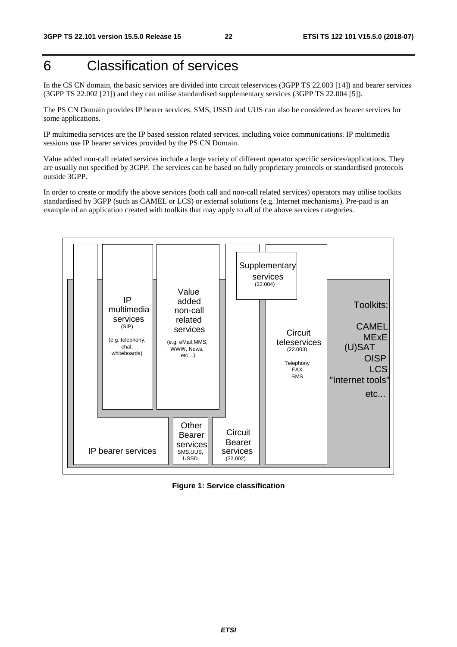# 6 Classification of services

In the CS CN domain, the basic services are divided into circuit teleservices (3GPP TS 22.003 [14]) and bearer services (3GPP TS 22.002 [21]) and they can utilise standardised supplementary services (3GPP TS 22.004 [5]).

The PS CN Domain provides IP bearer services. SMS, USSD and UUS can also be considered as bearer services for some applications.

IP multimedia services are the IP based session related services, including voice communications. IP multimedia sessions use IP bearer services provided by the PS CN Domain.

Value added non-call related services include a large variety of different operator specific services/applications. They are usually not specified by 3GPP. The services can be based on fully proprietary protocols or standardised protocols outside 3GPP.

In order to create or modify the above services (both call and non-call related services) operators may utilise toolkits standardised by 3GPP (such as CAMEL or LCS) or external solutions (e.g. Internet mechanisms). Pre-paid is an example of an application created with toolkits that may apply to all of the above services categories.



**Figure 1: Service classification**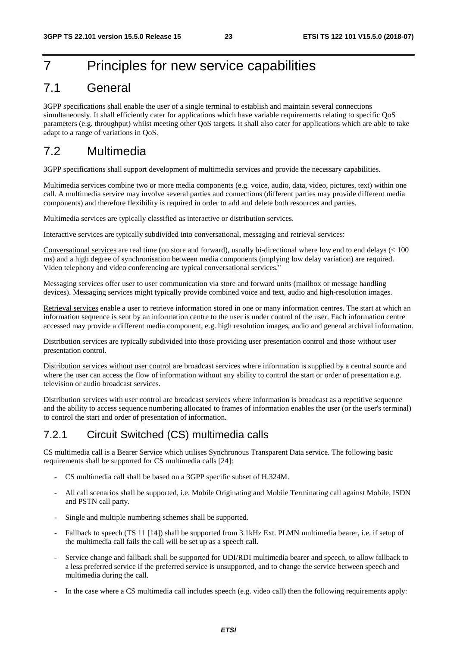# 7 Principles for new service capabilities

### 7.1 General

3GPP specifications shall enable the user of a single terminal to establish and maintain several connections simultaneously. It shall efficiently cater for applications which have variable requirements relating to specific QoS parameters (e.g. throughput) whilst meeting other QoS targets. It shall also cater for applications which are able to take adapt to a range of variations in QoS.

# 7.2 Multimedia

3GPP specifications shall support development of multimedia services and provide the necessary capabilities.

Multimedia services combine two or more media components (e.g. voice, audio, data, video, pictures, text) within one call. A multimedia service may involve several parties and connections (different parties may provide different media components) and therefore flexibility is required in order to add and delete both resources and parties.

Multimedia services are typically classified as interactive or distribution services.

Interactive services are typically subdivided into conversational, messaging and retrieval services:

Conversational services are real time (no store and forward), usually bi-directional where low end to end delays (< 100 ms) and a high degree of synchronisation between media components (implying low delay variation) are required. Video telephony and video conferencing are typical conversational services."

Messaging services offer user to user communication via store and forward units (mailbox or message handling devices). Messaging services might typically provide combined voice and text, audio and high-resolution images.

Retrieval services enable a user to retrieve information stored in one or many information centres. The start at which an information sequence is sent by an information centre to the user is under control of the user. Each information centre accessed may provide a different media component, e.g. high resolution images, audio and general archival information.

Distribution services are typically subdivided into those providing user presentation control and those without user presentation control.

Distribution services without user control are broadcast services where information is supplied by a central source and where the user can access the flow of information without any ability to control the start or order of presentation e.g. television or audio broadcast services.

Distribution services with user control are broadcast services where information is broadcast as a repetitive sequence and the ability to access sequence numbering allocated to frames of information enables the user (or the user's terminal) to control the start and order of presentation of information.

#### 7.2.1 Circuit Switched (CS) multimedia calls

CS multimedia call is a Bearer Service which utilises Synchronous Transparent Data service. The following basic requirements shall be supported for CS multimedia calls [24]:

- CS multimedia call shall be based on a 3GPP specific subset of H.324M.
- All call scenarios shall be supported, i.e. Mobile Originating and Mobile Terminating call against Mobile, ISDN and PSTN call party.
- Single and multiple numbering schemes shall be supported.
- Fallback to speech (TS 11 [14]) shall be supported from 3.1kHz Ext. PLMN multimedia bearer, i.e. if setup of the multimedia call fails the call will be set up as a speech call.
- Service change and fallback shall be supported for UDI/RDI multimedia bearer and speech, to allow fallback to a less preferred service if the preferred service is unsupported, and to change the service between speech and multimedia during the call.
- In the case where a CS multimedia call includes speech (e.g. video call) then the following requirements apply: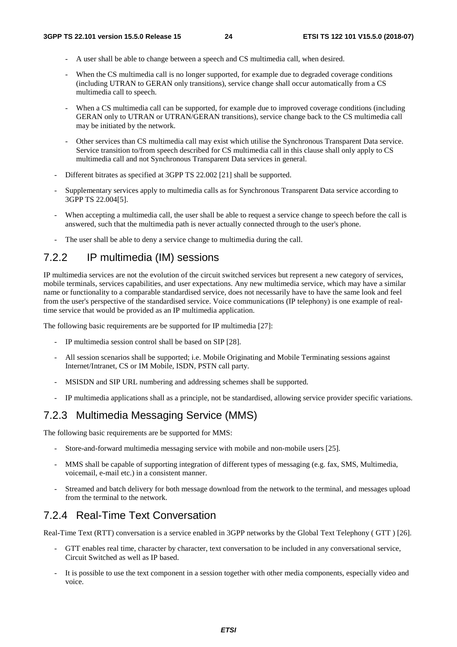- A user shall be able to change between a speech and CS multimedia call, when desired.
- When the CS multimedia call is no longer supported, for example due to degraded coverage conditions (including UTRAN to GERAN only transitions), service change shall occur automatically from a CS multimedia call to speech.
- When a CS multimedia call can be supported, for example due to improved coverage conditions (including GERAN only to UTRAN or UTRAN/GERAN transitions), service change back to the CS multimedia call may be initiated by the network.
- Other services than CS multimedia call may exist which utilise the Synchronous Transparent Data service. Service transition to/from speech described for CS multimedia call in this clause shall only apply to CS multimedia call and not Synchronous Transparent Data services in general.
- Different bitrates as specified at 3GPP TS 22.002 [21] shall be supported.
- Supplementary services apply to multimedia calls as for Synchronous Transparent Data service according to 3GPP TS 22.004[5].
- When accepting a multimedia call, the user shall be able to request a service change to speech before the call is answered, such that the multimedia path is never actually connected through to the user's phone.
- The user shall be able to deny a service change to multimedia during the call.

#### 7.2.2 IP multimedia (IM) sessions

IP multimedia services are not the evolution of the circuit switched services but represent a new category of services, mobile terminals, services capabilities, and user expectations. Any new multimedia service, which may have a similar name or functionality to a comparable standardised service, does not necessarily have to have the same look and feel from the user's perspective of the standardised service. Voice communications (IP telephony) is one example of realtime service that would be provided as an IP multimedia application.

The following basic requirements are be supported for IP multimedia [27]:

- IP multimedia session control shall be based on SIP [28].
- All session scenarios shall be supported; i.e. Mobile Originating and Mobile Terminating sessions against Internet/Intranet, CS or IM Mobile, ISDN, PSTN call party.
- MSISDN and SIP URL numbering and addressing schemes shall be supported.
- IP multimedia applications shall as a principle, not be standardised, allowing service provider specific variations.

#### 7.2.3 Multimedia Messaging Service (MMS)

The following basic requirements are be supported for MMS:

- Store-and-forward multimedia messaging service with mobile and non-mobile users [25].
- MMS shall be capable of supporting integration of different types of messaging (e.g. fax, SMS, Multimedia, voicemail, e-mail etc.) in a consistent manner.
- Streamed and batch delivery for both message download from the network to the terminal, and messages upload from the terminal to the network.

#### 7.2.4 Real-Time Text Conversation

Real-Time Text (RTT) conversation is a service enabled in 3GPP networks by the Global Text Telephony ( GTT ) [26].

- GTT enables real time, character by character, text conversation to be included in any conversational service, Circuit Switched as well as IP based.
- It is possible to use the text component in a session together with other media components, especially video and voice.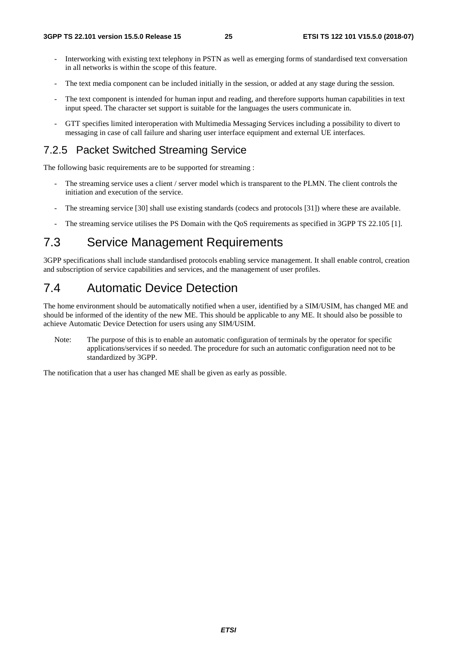- Interworking with existing text telephony in PSTN as well as emerging forms of standardised text conversation in all networks is within the scope of this feature.
- The text media component can be included initially in the session, or added at any stage during the session.
- The text component is intended for human input and reading, and therefore supports human capabilities in text input speed. The character set support is suitable for the languages the users communicate in.
- GTT specifies limited interoperation with Multimedia Messaging Services including a possibility to divert to messaging in case of call failure and sharing user interface equipment and external UE interfaces.

#### 7.2.5 Packet Switched Streaming Service

The following basic requirements are to be supported for streaming :

- The streaming service uses a client / server model which is transparent to the PLMN. The client controls the initiation and execution of the service.
- The streaming service [30] shall use existing standards (codecs and protocols [31]) where these are available.
- The streaming service utilises the PS Domain with the QoS requirements as specified in 3GPP TS 22.105 [1].

#### 7.3 Service Management Requirements

3GPP specifications shall include standardised protocols enabling service management. It shall enable control, creation and subscription of service capabilities and services, and the management of user profiles.

#### 7.4 Automatic Device Detection

The home environment should be automatically notified when a user, identified by a SIM/USIM, has changed ME and should be informed of the identity of the new ME. This should be applicable to any ME. It should also be possible to achieve Automatic Device Detection for users using any SIM/USIM.

Note: The purpose of this is to enable an automatic configuration of terminals by the operator for specific applications/services if so needed. The procedure for such an automatic configuration need not to be standardized by 3GPP.

The notification that a user has changed ME shall be given as early as possible.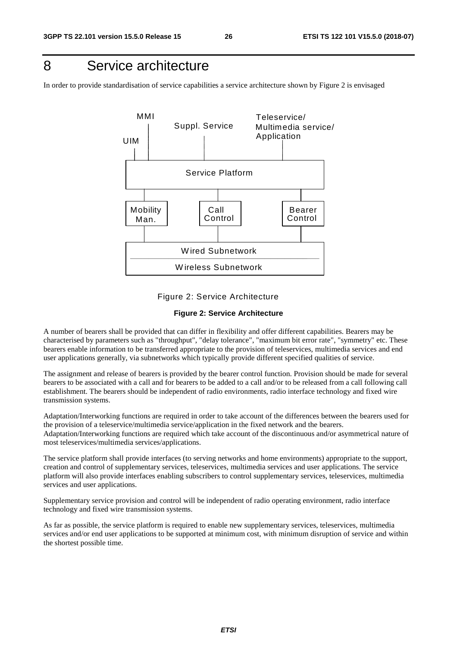# 8 Service architecture

In order to provide standardisation of service capabilities a service architecture shown by Figure 2 is envisaged



#### Figure 2: Service Architecture

#### **Figure 2: Service Architecture**

A number of bearers shall be provided that can differ in flexibility and offer different capabilities. Bearers may be characterised by parameters such as "throughput", "delay tolerance", "maximum bit error rate", "symmetry" etc. These bearers enable information to be transferred appropriate to the provision of teleservices, multimedia services and end user applications generally, via subnetworks which typically provide different specified qualities of service.

The assignment and release of bearers is provided by the bearer control function. Provision should be made for several bearers to be associated with a call and for bearers to be added to a call and/or to be released from a call following call establishment. The bearers should be independent of radio environments, radio interface technology and fixed wire transmission systems.

Adaptation/Interworking functions are required in order to take account of the differences between the bearers used for the provision of a teleservice/multimedia service/application in the fixed network and the bearers. Adaptation/Interworking functions are required which take account of the discontinuous and/or asymmetrical nature of most teleservices/multimedia services/applications.

The service platform shall provide interfaces (to serving networks and home environments) appropriate to the support, creation and control of supplementary services, teleservices, multimedia services and user applications. The service platform will also provide interfaces enabling subscribers to control supplementary services, teleservices, multimedia services and user applications.

Supplementary service provision and control will be independent of radio operating environment, radio interface technology and fixed wire transmission systems.

As far as possible, the service platform is required to enable new supplementary services, teleservices, multimedia services and/or end user applications to be supported at minimum cost, with minimum disruption of service and within the shortest possible time.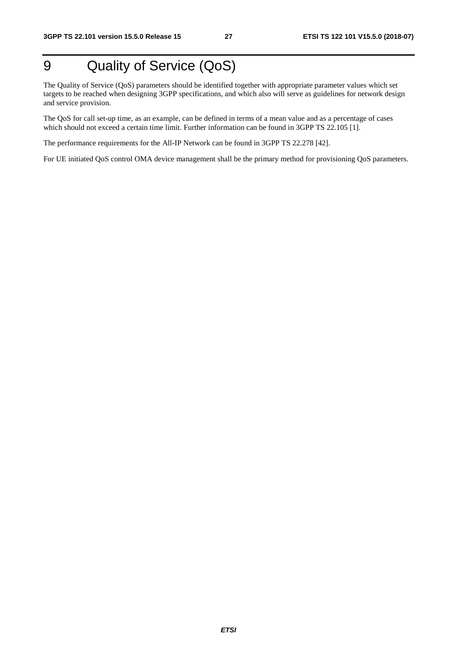# 9 Quality of Service (QoS)

The Quality of Service (QoS) parameters should be identified together with appropriate parameter values which set targets to be reached when designing 3GPP specifications, and which also will serve as guidelines for network design and service provision.

The QoS for call set-up time, as an example, can be defined in terms of a mean value and as a percentage of cases which should not exceed a certain time limit. Further information can be found in 3GPP TS 22.105 [1].

The performance requirements for the All-IP Network can be found in 3GPP TS 22.278 [42].

For UE initiated QoS control OMA device management shall be the primary method for provisioning QoS parameters.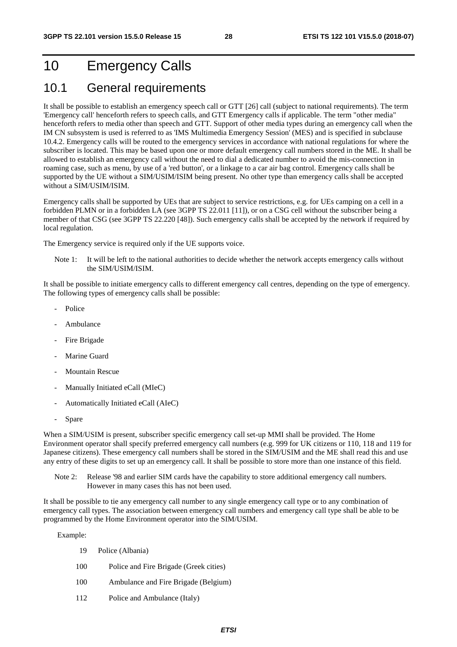# 10 Emergency Calls

### 10.1 General requirements

It shall be possible to establish an emergency speech call or GTT [26] call (subject to national requirements). The term 'Emergency call' henceforth refers to speech calls, and GTT Emergency calls if applicable. The term "other media" henceforth refers to media other than speech and GTT. Support of other media types during an emergency call when the IM CN subsystem is used is referred to as 'IMS Multimedia Emergency Session' (MES) and is specified in subclause 10.4.2. Emergency calls will be routed to the emergency services in accordance with national regulations for where the subscriber is located. This may be based upon one or more default emergency call numbers stored in the ME. It shall be allowed to establish an emergency call without the need to dial a dedicated number to avoid the mis-connection in roaming case, such as menu, by use of a 'red button', or a linkage to a car air bag control. Emergency calls shall be supported by the UE without a SIM/USIM/ISIM being present. No other type than emergency calls shall be accepted without a SIM/USIM/ISIM.

Emergency calls shall be supported by UEs that are subject to service restrictions, e.g. for UEs camping on a cell in a forbidden PLMN or in a forbidden LA (see 3GPP TS 22.011 [11]), or on a CSG cell without the subscriber being a member of that CSG (see 3GPP TS 22.220 [48]). Such emergency calls shall be accepted by the network if required by local regulation.

The Emergency service is required only if the UE supports voice.

Note 1: It will be left to the national authorities to decide whether the network accepts emergency calls without the SIM/USIM/ISIM.

It shall be possible to initiate emergency calls to different emergency call centres, depending on the type of emergency. The following types of emergency calls shall be possible:

- Police
- Ambulance
- Fire Brigade
- Marine Guard
- Mountain Rescue
- Manually Initiated eCall (MIeC)
- Automatically Initiated eCall (AIeC)
- **Spare**

When a SIM/USIM is present, subscriber specific emergency call set-up MMI shall be provided. The Home Environment operator shall specify preferred emergency call numbers (e.g. 999 for UK citizens or 110, 118 and 119 for Japanese citizens). These emergency call numbers shall be stored in the SIM/USIM and the ME shall read this and use any entry of these digits to set up an emergency call. It shall be possible to store more than one instance of this field.

Note 2: Release '98 and earlier SIM cards have the capability to store additional emergency call numbers. However in many cases this has not been used.

It shall be possible to tie any emergency call number to any single emergency call type or to any combination of emergency call types. The association between emergency call numbers and emergency call type shall be able to be programmed by the Home Environment operator into the SIM/USIM.

Example:

19 Police (Albania)

- 100 Police and Fire Brigade (Greek cities)
- 100 Ambulance and Fire Brigade (Belgium)
- 112 Police and Ambulance (Italy)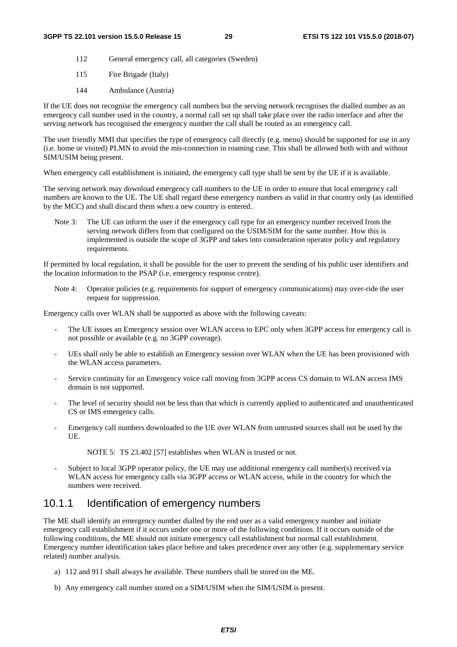- 112 General emergency call, all categories (Sweden)
- 115 Fire Brigade (Italy)
- 144 Ambulance (Austria)

If the UE does not recognise the emergency call numbers but the serving network recognises the dialled number as an emergency call number used in the country, a normal call set up shall take place over the radio interface and after the serving network has recognised the emergency number the call shall be routed as an emergency call.

The user friendly MMI that specifies the type of emergency call directly (e.g. menu) should be supported for use in any (i.e. home or visited) PLMN to avoid the mis-connection in roaming case. This shall be allowed both with and without SIM/USIM being present.

When emergency call establishment is initiated, the emergency call type shall be sent by the UE if it is available.

The serving network may download emergency call numbers to the UE in order to ensure that local emergency call numbers are known to the UE. The UE shall regard these emergency numbers as valid in that country only (as identified by the MCC) and shall discard them when a new country is entered.

Note 3: The UE can inform the user if the emergency call type for an emergency number received from the serving network differs from that configured on the USIM/SIM for the same number. How this is implemented is outside the scope of 3GPP and takes into consideration operator policy and regulatory requirements.

If permitted by local regulation, it shall be possible for the user to prevent the sending of his public user identifiers and the location information to the PSAP (i.e. emergency response centre).

Note 4: Operator policies (e.g. requirements for support of emergency communications) may over-ride the user request for suppression.

Emergency calls over WLAN shall be supported as above with the following caveats:

- The UE issues an Emergency session over WLAN access to EPC only when 3GPP access for emergency call is not possible or available (e.g. no 3GPP coverage).
- UEs shall only be able to establish an Emergency session over WLAN when the UE has been provisioned with the WLAN access parameters.
- Service continuity for an Emergency voice call moving from 3GPP access CS domain to WLAN access IMS domain is not supported.
- The level of security should not be less than that which is currently applied to authenticated and unauthenticated CS or IMS emergency calls.
- Emergency call numbers downloaded to the UE over WLAN from untrusted sources shall not be used by the UE.

NOTE 5: TS 23.402 [57] establishes when WLAN is trusted or not.

Subject to local 3GPP operator policy, the UE may use additional emergency call number(s) received via WLAN access for emergency calls via 3GPP access or WLAN access, while in the country for which the numbers were received.

#### 10.1.1 Identification of emergency numbers

The ME shall identify an emergency number dialled by the end user as a valid emergency number and initiate emergency call establishment if it occurs under one or more of the following conditions. If it occurs outside of the following conditions, the ME should not initiate emergency call establishment but normal call establishment. Emergency number identification takes place before and takes precedence over any other (e.g. supplementary service related) number analysis.

- a) 112 and 911 shall always be available. These numbers shall be stored on the ME.
- b) Any emergency call number stored on a SIM/USIM when the SIM/USIM is present.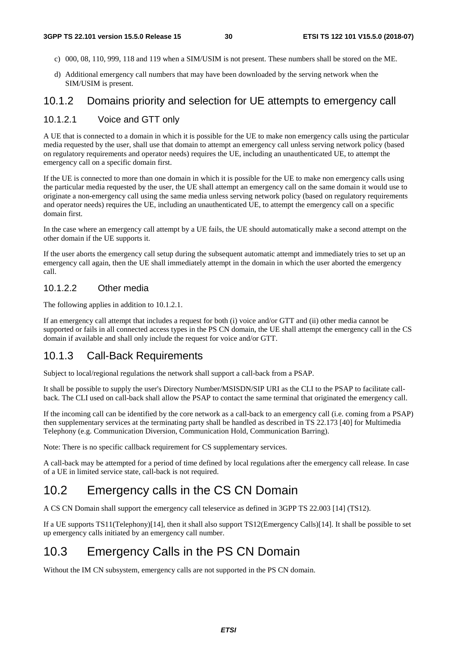- c) 000, 08, 110, 999, 118 and 119 when a SIM/USIM is not present. These numbers shall be stored on the ME.
- d) Additional emergency call numbers that may have been downloaded by the serving network when the SIM/USIM is present.

#### 10.1.2 Domains priority and selection for UE attempts to emergency call

#### 10.1.2.1 Voice and GTT only

A UE that is connected to a domain in which it is possible for the UE to make non emergency calls using the particular media requested by the user, shall use that domain to attempt an emergency call unless serving network policy (based on regulatory requirements and operator needs) requires the UE, including an unauthenticated UE, to attempt the emergency call on a specific domain first.

If the UE is connected to more than one domain in which it is possible for the UE to make non emergency calls using the particular media requested by the user, the UE shall attempt an emergency call on the same domain it would use to originate a non-emergency call using the same media unless serving network policy (based on regulatory requirements and operator needs) requires the UE, including an unauthenticated UE, to attempt the emergency call on a specific domain first.

In the case where an emergency call attempt by a UE fails, the UE should automatically make a second attempt on the other domain if the UE supports it.

If the user aborts the emergency call setup during the subsequent automatic attempt and immediately tries to set up an emergency call again, then the UE shall immediately attempt in the domain in which the user aborted the emergency call.

#### 10.1.2.2 Other media

The following applies in addition to 10.1.2.1.

If an emergency call attempt that includes a request for both (i) voice and/or GTT and (ii) other media cannot be supported or fails in all connected access types in the PS CN domain, the UE shall attempt the emergency call in the CS domain if available and shall only include the request for voice and/or GTT.

#### 10.1.3 Call-Back Requirements

Subject to local/regional regulations the network shall support a call-back from a PSAP.

It shall be possible to supply the user's Directory Number/MSISDN/SIP URI as the CLI to the PSAP to facilitate callback. The CLI used on call-back shall allow the PSAP to contact the same terminal that originated the emergency call.

If the incoming call can be identified by the core network as a call-back to an emergency call (i.e. coming from a PSAP) then supplementary services at the terminating party shall be handled as described in TS 22.173 [40] for Multimedia Telephony (e.g. Communication Diversion, Communication Hold, Communication Barring).

Note: There is no specific callback requirement for CS supplementary services.

A call-back may be attempted for a period of time defined by local regulations after the emergency call release. In case of a UE in limited service state, call-back is not required.

### 10.2 Emergency calls in the CS CN Domain

A CS CN Domain shall support the emergency call teleservice as defined in 3GPP TS 22.003 [14] (TS12).

If a UE supports TS11(Telephony)[14], then it shall also support TS12(Emergency Calls)[14]. It shall be possible to set up emergency calls initiated by an emergency call number.

### 10.3 Emergency Calls in the PS CN Domain

Without the IM CN subsystem, emergency calls are not supported in the PS CN domain.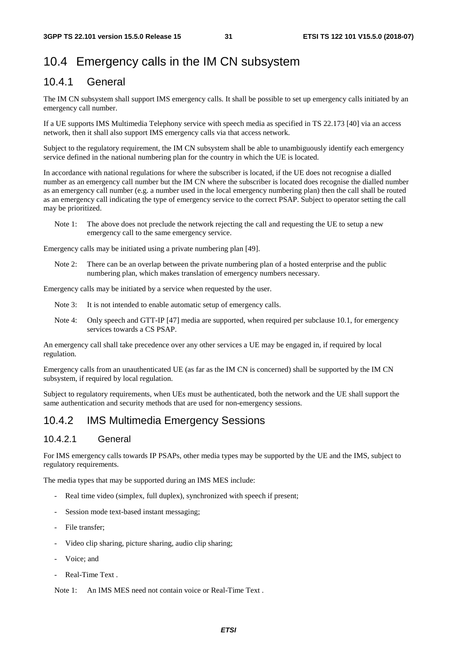# 10.4 Emergency calls in the IM CN subsystem

#### 10.4.1 General

The IM CN subsystem shall support IMS emergency calls. It shall be possible to set up emergency calls initiated by an emergency call number.

If a UE supports IMS Multimedia Telephony service with speech media as specified in TS 22.173 [40] via an access network, then it shall also support IMS emergency calls via that access network.

Subject to the regulatory requirement, the IM CN subsystem shall be able to unambiguously identify each emergency service defined in the national numbering plan for the country in which the UE is located.

In accordance with national regulations for where the subscriber is located, if the UE does not recognise a dialled number as an emergency call number but the IM CN where the subscriber is located does recognise the dialled number as an emergency call number (e.g. a number used in the local emergency numbering plan) then the call shall be routed as an emergency call indicating the type of emergency service to the correct PSAP. Subject to operator setting the call may be prioritized.

Note 1: The above does not preclude the network rejecting the call and requesting the UE to setup a new emergency call to the same emergency service.

Emergency calls may be initiated using a private numbering plan [49].

Note 2: There can be an overlap between the private numbering plan of a hosted enterprise and the public numbering plan, which makes translation of emergency numbers necessary.

Emergency calls may be initiated by a service when requested by the user.

- Note 3: It is not intended to enable automatic setup of emergency calls.
- Note 4: Only speech and GTT-IP [47] media are supported, when required per subclause 10.1, for emergency services towards a CS PSAP.

An emergency call shall take precedence over any other services a UE may be engaged in, if required by local regulation.

Emergency calls from an unauthenticated UE (as far as the IM CN is concerned) shall be supported by the IM CN subsystem, if required by local regulation.

Subject to regulatory requirements, when UEs must be authenticated, both the network and the UE shall support the same authentication and security methods that are used for non-emergency sessions.

#### 10.4.2 IMS Multimedia Emergency Sessions

#### 10.4.2.1 General

For IMS emergency calls towards IP PSAPs, other media types may be supported by the UE and the IMS, subject to regulatory requirements.

The media types that may be supported during an IMS MES include:

- Real time video (simplex, full duplex), synchronized with speech if present;
- Session mode text-based instant messaging;
- File transfer;
- Video clip sharing, picture sharing, audio clip sharing;
- Voice; and
- Real-Time Text.

Note 1: An IMS MES need not contain voice or Real-Time Text .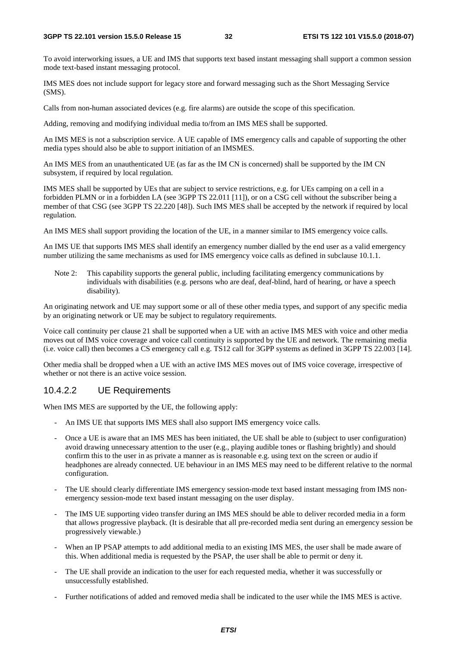To avoid interworking issues, a UE and IMS that supports text based instant messaging shall support a common session mode text-based instant messaging protocol.

IMS MES does not include support for legacy store and forward messaging such as the Short Messaging Service (SMS).

Calls from non-human associated devices (e.g. fire alarms) are outside the scope of this specification.

Adding, removing and modifying individual media to/from an IMS MES shall be supported.

An IMS MES is not a subscription service. A UE capable of IMS emergency calls and capable of supporting the other media types should also be able to support initiation of an IMSMES.

An IMS MES from an unauthenticated UE (as far as the IM CN is concerned) shall be supported by the IM CN subsystem, if required by local regulation.

IMS MES shall be supported by UEs that are subject to service restrictions, e.g. for UEs camping on a cell in a forbidden PLMN or in a forbidden LA (see 3GPP TS 22.011 [11]), or on a CSG cell without the subscriber being a member of that CSG (see 3GPP TS 22.220 [48]). Such IMS MES shall be accepted by the network if required by local regulation.

An IMS MES shall support providing the location of the UE, in a manner similar to IMS emergency voice calls.

An IMS UE that supports IMS MES shall identify an emergency number dialled by the end user as a valid emergency number utilizing the same mechanisms as used for IMS emergency voice calls as defined in subclause 10.1.1.

Note 2: This capability supports the general public, including facilitating emergency communications by individuals with disabilities (e.g. persons who are deaf, deaf-blind, hard of hearing, or have a speech disability).

An originating network and UE may support some or all of these other media types, and support of any specific media by an originating network or UE may be subject to regulatory requirements.

Voice call continuity per clause 21 shall be supported when a UE with an active IMS MES with voice and other media moves out of IMS voice coverage and voice call continuity is supported by the UE and network. The remaining media (i.e. voice call) then becomes a CS emergency call e.g. TS12 call for 3GPP systems as defined in 3GPP TS 22.003 [14].

Other media shall be dropped when a UE with an active IMS MES moves out of IMS voice coverage, irrespective of whether or not there is an active voice session.

#### 10.4.2.2 UE Requirements

When IMS MES are supported by the UE, the following apply:

- An IMS UE that supports IMS MES shall also support IMS emergency voice calls.
- Once a UE is aware that an IMS MES has been initiated, the UE shall be able to (subject to user configuration) avoid drawing unnecessary attention to the user (e.g., playing audible tones or flashing brightly) and should confirm this to the user in as private a manner as is reasonable e.g. using text on the screen or audio if headphones are already connected. UE behaviour in an IMS MES may need to be different relative to the normal configuration.
- The UE should clearly differentiate IMS emergency session-mode text based instant messaging from IMS nonemergency session-mode text based instant messaging on the user display.
- The IMS UE supporting video transfer during an IMS MES should be able to deliver recorded media in a form that allows progressive playback. (It is desirable that all pre-recorded media sent during an emergency session be progressively viewable.)
- When an IP PSAP attempts to add additional media to an existing IMS MES, the user shall be made aware of this. When additional media is requested by the PSAP, the user shall be able to permit or deny it.
- The UE shall provide an indication to the user for each requested media, whether it was successfully or unsuccessfully established.
- Further notifications of added and removed media shall be indicated to the user while the IMS MES is active.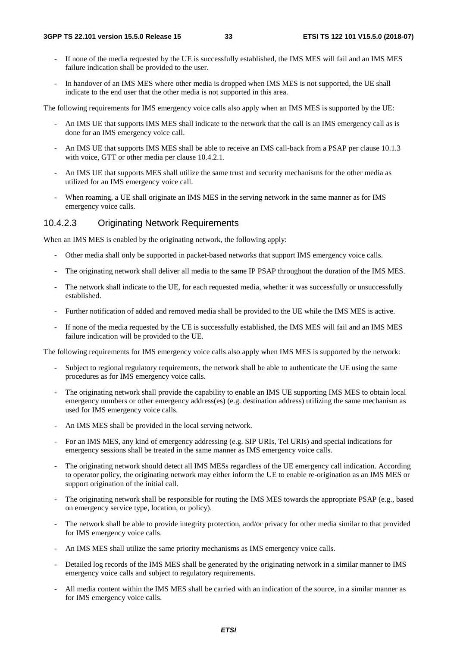- If none of the media requested by the UE is successfully established, the IMS MES will fail and an IMS MES failure indication shall be provided to the user.
- In handover of an IMS MES where other media is dropped when IMS MES is not supported, the UE shall indicate to the end user that the other media is not supported in this area.

The following requirements for IMS emergency voice calls also apply when an IMS MES is supported by the UE:

- An IMS UE that supports IMS MES shall indicate to the network that the call is an IMS emergency call as is done for an IMS emergency voice call.
- An IMS UE that supports IMS MES shall be able to receive an IMS call-back from a PSAP per clause 10.1.3 with voice, GTT or other media per clause 10.4.2.1.
- An IMS UE that supports MES shall utilize the same trust and security mechanisms for the other media as utilized for an IMS emergency voice call.
- When roaming, a UE shall originate an IMS MES in the serving network in the same manner as for IMS emergency voice calls.

#### 10.4.2.3 Originating Network Requirements

When an IMS MES is enabled by the originating network, the following apply:

- Other media shall only be supported in packet-based networks that support IMS emergency voice calls.
- The originating network shall deliver all media to the same IP PSAP throughout the duration of the IMS MES.
- The network shall indicate to the UE, for each requested media, whether it was successfully or unsuccessfully established.
- Further notification of added and removed media shall be provided to the UE while the IMS MES is active.
- If none of the media requested by the UE is successfully established, the IMS MES will fail and an IMS MES failure indication will be provided to the UE.

The following requirements for IMS emergency voice calls also apply when IMS MES is supported by the network:

- Subject to regional regulatory requirements, the network shall be able to authenticate the UE using the same procedures as for IMS emergency voice calls.
- The originating network shall provide the capability to enable an IMS UE supporting IMS MES to obtain local emergency numbers or other emergency address(es) (e.g. destination address) utilizing the same mechanism as used for IMS emergency voice calls.
- An IMS MES shall be provided in the local serving network.
- For an IMS MES, any kind of emergency addressing (e.g. SIP URIs, Tel URIs) and special indications for emergency sessions shall be treated in the same manner as IMS emergency voice calls.
- The originating network should detect all IMS MESs regardless of the UE emergency call indication. According to operator policy, the originating network may either inform the UE to enable re-origination as an IMS MES or support origination of the initial call.
- The originating network shall be responsible for routing the IMS MES towards the appropriate PSAP (e.g., based on emergency service type, location, or policy).
- The network shall be able to provide integrity protection, and/or privacy for other media similar to that provided for IMS emergency voice calls.
- An IMS MES shall utilize the same priority mechanisms as IMS emergency voice calls.
- Detailed log records of the IMS MES shall be generated by the originating network in a similar manner to IMS emergency voice calls and subject to regulatory requirements.
- All media content within the IMS MES shall be carried with an indication of the source, in a similar manner as for IMS emergency voice calls.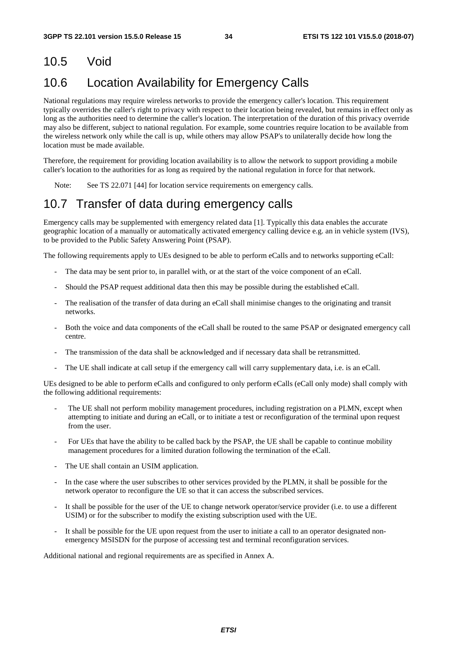### 10.5 Void

# 10.6 Location Availability for Emergency Calls

National regulations may require wireless networks to provide the emergency caller's location. This requirement typically overrides the caller's right to privacy with respect to their location being revealed, but remains in effect only as long as the authorities need to determine the caller's location. The interpretation of the duration of this privacy override may also be different, subject to national regulation. For example, some countries require location to be available from the wireless network only while the call is up, while others may allow PSAP's to unilaterally decide how long the location must be made available.

Therefore, the requirement for providing location availability is to allow the network to support providing a mobile caller's location to the authorities for as long as required by the national regulation in force for that network.

Note: See TS 22.071 [44] for location service requirements on emergency calls.

#### 10.7 Transfer of data during emergency calls

Emergency calls may be supplemented with emergency related data [1]. Typically this data enables the accurate geographic location of a manually or automatically activated emergency calling device e.g. an in vehicle system (IVS), to be provided to the Public Safety Answering Point (PSAP).

The following requirements apply to UEs designed to be able to perform eCalls and to networks supporting eCall:

- The data may be sent prior to, in parallel with, or at the start of the voice component of an eCall.
- Should the PSAP request additional data then this may be possible during the established eCall.
- The realisation of the transfer of data during an eCall shall minimise changes to the originating and transit networks.
- Both the voice and data components of the eCall shall be routed to the same PSAP or designated emergency call centre.
- The transmission of the data shall be acknowledged and if necessary data shall be retransmitted.
- The UE shall indicate at call setup if the emergency call will carry supplementary data, i.e. is an eCall.

UEs designed to be able to perform eCalls and configured to only perform eCalls (eCall only mode) shall comply with the following additional requirements:

- The UE shall not perform mobility management procedures, including registration on a PLMN, except when attempting to initiate and during an eCall, or to initiate a test or reconfiguration of the terminal upon request from the user.
- For UEs that have the ability to be called back by the PSAP, the UE shall be capable to continue mobility management procedures for a limited duration following the termination of the eCall.
- The UE shall contain an USIM application.
- In the case where the user subscribes to other services provided by the PLMN, it shall be possible for the network operator to reconfigure the UE so that it can access the subscribed services.
- It shall be possible for the user of the UE to change network operator/service provider (i.e. to use a different USIM) or for the subscriber to modify the existing subscription used with the UE.
- It shall be possible for the UE upon request from the user to initiate a call to an operator designated nonemergency MSISDN for the purpose of accessing test and terminal reconfiguration services.

Additional national and regional requirements are as specified in Annex A.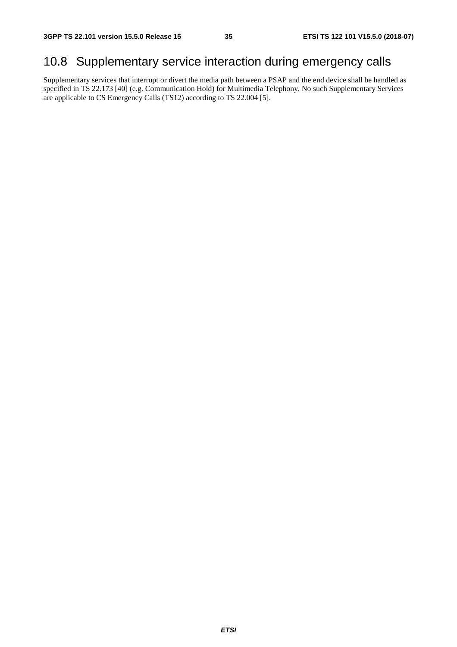# 10.8 Supplementary service interaction during emergency calls

Supplementary services that interrupt or divert the media path between a PSAP and the end device shall be handled as specified in TS 22.173 [40] (e.g. Communication Hold) for Multimedia Telephony. No such Supplementary Services are applicable to CS Emergency Calls (TS12) according to TS 22.004 [5].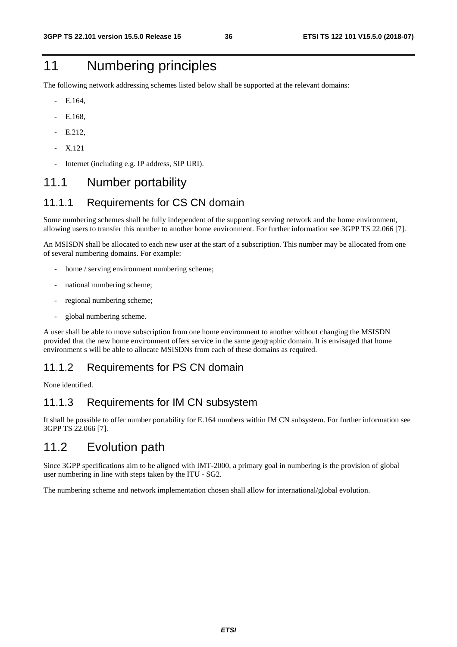# 11 Numbering principles

The following network addressing schemes listed below shall be supported at the relevant domains:

- E.164.
- E.168.
- E. 212
- X.121
- Internet (including e.g. IP address, SIP URI).

### 11.1 Number portability

### 11.1.1 Requirements for CS CN domain

Some numbering schemes shall be fully independent of the supporting serving network and the home environment, allowing users to transfer this number to another home environment. For further information see 3GPP TS 22.066 [7].

An MSISDN shall be allocated to each new user at the start of a subscription. This number may be allocated from one of several numbering domains. For example:

- home / serving environment numbering scheme;
- national numbering scheme;
- regional numbering scheme;
- global numbering scheme.

A user shall be able to move subscription from one home environment to another without changing the MSISDN provided that the new home environment offers service in the same geographic domain. It is envisaged that home environment s will be able to allocate MSISDNs from each of these domains as required.

#### 11.1.2 Requirements for PS CN domain

None identified.

#### 11.1.3 Requirements for IM CN subsystem

It shall be possible to offer number portability for E.164 numbers within IM CN subsystem. For further information see 3GPP TS 22.066 [7].

### 11.2 Evolution path

Since 3GPP specifications aim to be aligned with IMT-2000, a primary goal in numbering is the provision of global user numbering in line with steps taken by the ITU - SG2.

The numbering scheme and network implementation chosen shall allow for international/global evolution.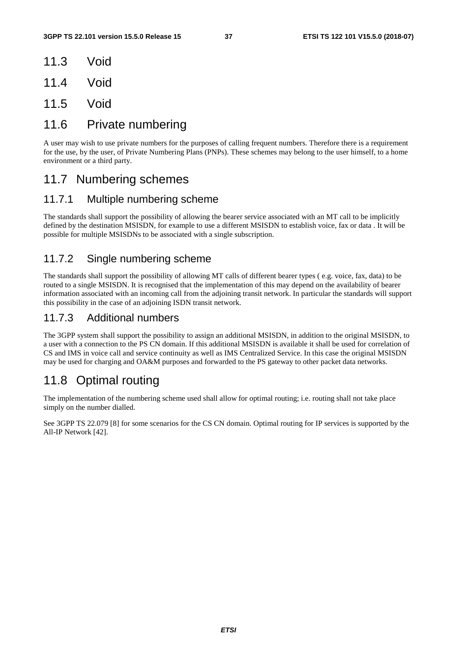- 11.3 Void
- 11.4 Void
- 11.5 Void

### 11.6 Private numbering

A user may wish to use private numbers for the purposes of calling frequent numbers. Therefore there is a requirement for the use, by the user, of Private Numbering Plans (PNPs). These schemes may belong to the user himself, to a home environment or a third party.

### 11.7 Numbering schemes

#### 11.7.1 Multiple numbering scheme

The standards shall support the possibility of allowing the bearer service associated with an MT call to be implicitly defined by the destination MSISDN, for example to use a different MSISDN to establish voice, fax or data . It will be possible for multiple MSISDNs to be associated with a single subscription.

### 11.7.2 Single numbering scheme

The standards shall support the possibility of allowing MT calls of different bearer types ( e.g. voice, fax, data) to be routed to a single MSISDN. It is recognised that the implementation of this may depend on the availability of bearer information associated with an incoming call from the adjoining transit network. In particular the standards will support this possibility in the case of an adjoining ISDN transit network.

#### 11.7.3 Additional numbers

The 3GPP system shall support the possibility to assign an additional MSISDN, in addition to the original MSISDN, to a user with a connection to the PS CN domain. If this additional MSISDN is available it shall be used for correlation of CS and IMS in voice call and service continuity as well as IMS Centralized Service. In this case the original MSISDN may be used for charging and OA&M purposes and forwarded to the PS gateway to other packet data networks.

### 11.8 Optimal routing

The implementation of the numbering scheme used shall allow for optimal routing; i.e. routing shall not take place simply on the number dialled.

See 3GPP TS 22.079 [8] for some scenarios for the CS CN domain. Optimal routing for IP services is supported by the All-IP Network [42].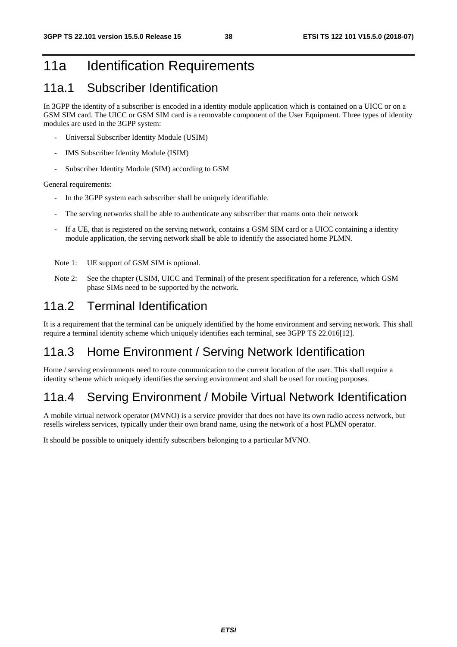# 11a Identification Requirements

### 11a.1 Subscriber Identification

In 3GPP the identity of a subscriber is encoded in a identity module application which is contained on a UICC or on a GSM SIM card. The UICC or GSM SIM card is a removable component of the User Equipment. Three types of identity modules are used in the 3GPP system:

- Universal Subscriber Identity Module (USIM)
- IMS Subscriber Identity Module (ISIM)
- Subscriber Identity Module (SIM) according to GSM

General requirements:

- In the 3GPP system each subscriber shall be uniquely identifiable.
- The serving networks shall be able to authenticate any subscriber that roams onto their network
- If a UE, that is registered on the serving network, contains a GSM SIM card or a UICC containing a identity module application, the serving network shall be able to identify the associated home PLMN.

Note 1: UE support of GSM SIM is optional.

Note 2: See the chapter (USIM, UICC and Terminal) of the present specification for a reference, which GSM phase SIMs need to be supported by the network.

### 11a.2 Terminal Identification

It is a requirement that the terminal can be uniquely identified by the home environment and serving network. This shall require a terminal identity scheme which uniquely identifies each terminal, see 3GPP TS 22.016[12].

### 11a.3 Home Environment / Serving Network Identification

Home / serving environments need to route communication to the current location of the user. This shall require a identity scheme which uniquely identifies the serving environment and shall be used for routing purposes.

# 11a.4 Serving Environment / Mobile Virtual Network Identification

A mobile virtual network operator (MVNO) is a service provider that does not have its own radio access network, but resells wireless services, typically under their own brand name, using the network of a host PLMN operator.

It should be possible to uniquely identify subscribers belonging to a particular MVNO.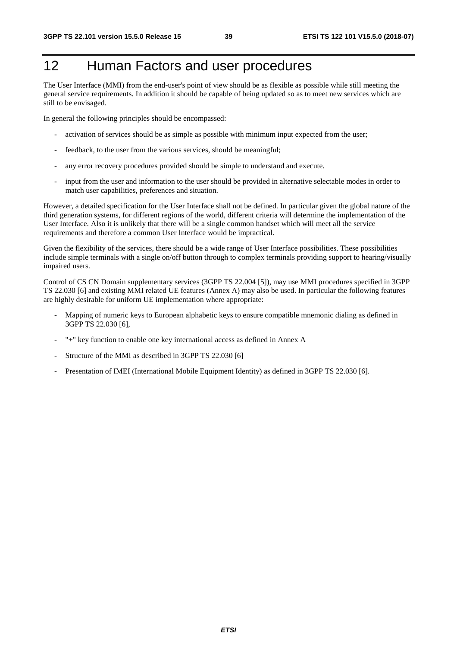# 12 Human Factors and user procedures

The User Interface (MMI) from the end-user's point of view should be as flexible as possible while still meeting the general service requirements. In addition it should be capable of being updated so as to meet new services which are still to be envisaged.

In general the following principles should be encompassed:

- activation of services should be as simple as possible with minimum input expected from the user;
- feedback, to the user from the various services, should be meaningful;
- any error recovery procedures provided should be simple to understand and execute.
- input from the user and information to the user should be provided in alternative selectable modes in order to match user capabilities, preferences and situation.

However, a detailed specification for the User Interface shall not be defined. In particular given the global nature of the third generation systems, for different regions of the world, different criteria will determine the implementation of the User Interface. Also it is unlikely that there will be a single common handset which will meet all the service requirements and therefore a common User Interface would be impractical.

Given the flexibility of the services, there should be a wide range of User Interface possibilities. These possibilities include simple terminals with a single on/off button through to complex terminals providing support to hearing/visually impaired users.

Control of CS CN Domain supplementary services (3GPP TS 22.004 [5]), may use MMI procedures specified in 3GPP TS 22.030 [6] and existing MMI related UE features (Annex A) may also be used. In particular the following features are highly desirable for uniform UE implementation where appropriate:

- Mapping of numeric keys to European alphabetic keys to ensure compatible mnemonic dialing as defined in 3GPP TS 22.030 [6],
- "+" key function to enable one key international access as defined in Annex A
- Structure of the MMI as described in 3GPP TS 22.030 [6]
- Presentation of IMEI (International Mobile Equipment Identity) as defined in 3GPP TS 22.030 [6].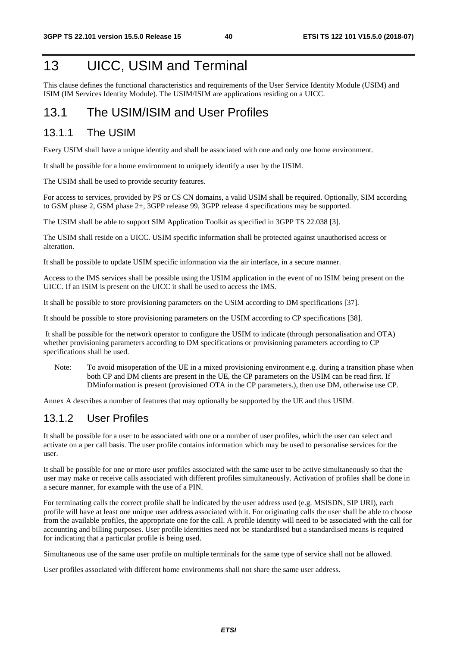# 13 UICC, USIM and Terminal

This clause defines the functional characteristics and requirements of the User Service Identity Module (USIM) and ISIM (IM Services Identity Module). The USIM/ISIM are applications residing on a UICC.

### 13.1 The USIM/ISIM and User Profiles

#### 13.1.1 The USIM

Every USIM shall have a unique identity and shall be associated with one and only one home environment.

It shall be possible for a home environment to uniquely identify a user by the USIM.

The USIM shall be used to provide security features.

For access to services, provided by PS or CS CN domains, a valid USIM shall be required. Optionally, SIM according to GSM phase 2, GSM phase 2+, 3GPP release 99, 3GPP release 4 specifications may be supported.

The USIM shall be able to support SIM Application Toolkit as specified in 3GPP TS 22.038 [3].

The USIM shall reside on a UICC. USIM specific information shall be protected against unauthorised access or alteration.

It shall be possible to update USIM specific information via the air interface, in a secure manner.

Access to the IMS services shall be possible using the USIM application in the event of no ISIM being present on the UICC. If an ISIM is present on the UICC it shall be used to access the IMS.

It shall be possible to store provisioning parameters on the USIM according to DM specifications [37].

It should be possible to store provisioning parameters on the USIM according to CP specifications [38].

 It shall be possible for the network operator to configure the USIM to indicate (through personalisation and OTA) whether provisioning parameters according to DM specifications or provisioning parameters according to CP specifications shall be used.

Note: To avoid misoperation of the UE in a mixed provisioning environment e.g. during a transition phase when both CP and DM clients are present in the UE, the CP parameters on the USIM can be read first. If DMinformation is present (provisioned OTA in the CP parameters.), then use DM, otherwise use CP.

Annex A describes a number of features that may optionally be supported by the UE and thus USIM.

#### 13.1.2 User Profiles

It shall be possible for a user to be associated with one or a number of user profiles, which the user can select and activate on a per call basis. The user profile contains information which may be used to personalise services for the user.

It shall be possible for one or more user profiles associated with the same user to be active simultaneously so that the user may make or receive calls associated with different profiles simultaneously. Activation of profiles shall be done in a secure manner, for example with the use of a PIN.

For terminating calls the correct profile shall be indicated by the user address used (e.g. MSISDN, SIP URI), each profile will have at least one unique user address associated with it. For originating calls the user shall be able to choose from the available profiles, the appropriate one for the call. A profile identity will need to be associated with the call for accounting and billing purposes. User profile identities need not be standardised but a standardised means is required for indicating that a particular profile is being used.

Simultaneous use of the same user profile on multiple terminals for the same type of service shall not be allowed.

User profiles associated with different home environments shall not share the same user address.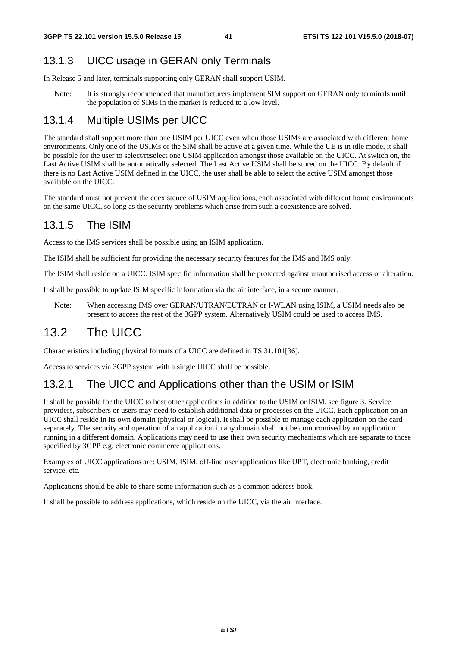#### 13.1.3 UICC usage in GERAN only Terminals

In Release 5 and later, terminals supporting only GERAN shall support USIM.

Note: It is strongly recommended that manufacturers implement SIM support on GERAN only terminals until the population of SIMs in the market is reduced to a low level.

#### 13.1.4 Multiple USIMs per UICC

The standard shall support more than one USIM per UICC even when those USIMs are associated with different home environments. Only one of the USIMs or the SIM shall be active at a given time. While the UE is in idle mode, it shall be possible for the user to select/reselect one USIM application amongst those available on the UICC. At switch on, the Last Active USIM shall be automatically selected. The Last Active USIM shall be stored on the UICC. By default if there is no Last Active USIM defined in the UICC, the user shall be able to select the active USIM amongst those available on the UICC.

The standard must not prevent the coexistence of USIM applications, each associated with different home environments on the same UICC, so long as the security problems which arise from such a coexistence are solved.

#### 13.1.5 The ISIM

Access to the IMS services shall be possible using an ISIM application.

The ISIM shall be sufficient for providing the necessary security features for the IMS and IMS only.

The ISIM shall reside on a UICC. ISIM specific information shall be protected against unauthorised access or alteration.

It shall be possible to update ISIM specific information via the air interface, in a secure manner.

Note: When accessing IMS over GERAN/UTRAN/EUTRAN or I-WLAN using ISIM, a USIM needs also be present to access the rest of the 3GPP system. Alternatively USIM could be used to access IMS.

### 13.2 The UICC

Characteristics including physical formats of a UICC are defined in TS 31.101[36].

Access to services via 3GPP system with a single UICC shall be possible.

#### 13.2.1 The UICC and Applications other than the USIM or ISIM

It shall be possible for the UICC to host other applications in addition to the USIM or ISIM, see figure 3. Service providers, subscribers or users may need to establish additional data or processes on the UICC. Each application on an UICC shall reside in its own domain (physical or logical). It shall be possible to manage each application on the card separately. The security and operation of an application in any domain shall not be compromised by an application running in a different domain. Applications may need to use their own security mechanisms which are separate to those specified by 3GPP e.g. electronic commerce applications.

Examples of UICC applications are: USIM, ISIM, off-line user applications like UPT, electronic banking, credit service, etc.

Applications should be able to share some information such as a common address book.

It shall be possible to address applications, which reside on the UICC, via the air interface.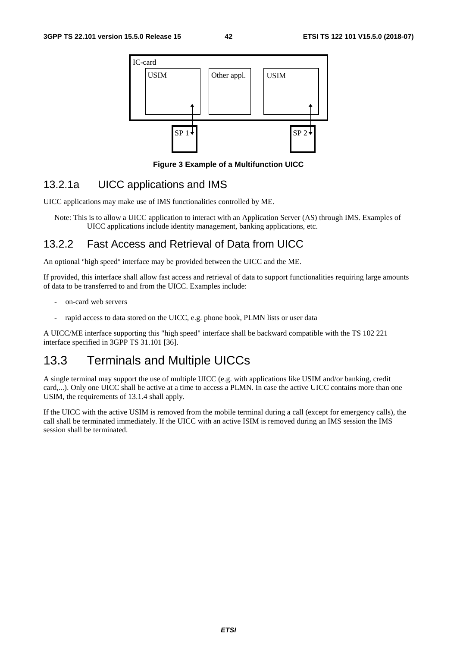

**Figure 3 Example of a Multifunction UICC** 

#### 13.2.1a UICC applications and IMS

UICC applications may make use of IMS functionalities controlled by ME.

Note: This is to allow a UICC application to interact with an Application Server (AS) through IMS. Examples of UICC applications include identity management, banking applications, etc.

#### 13.2.2 Fast Access and Retrieval of Data from UICC

An optional "high speed" interface may be provided between the UICC and the ME.

If provided, this interface shall allow fast access and retrieval of data to support functionalities requiring large amounts of data to be transferred to and from the UICC. Examples include:

- on-card web servers
- rapid access to data stored on the UICC, e.g. phone book, PLMN lists or user data

A UICC/ME interface supporting this "high speed" interface shall be backward compatible with the TS 102 221 interface specified in 3GPP TS 31.101 [36].

### 13.3 Terminals and Multiple UICCs

A single terminal may support the use of multiple UICC (e.g. with applications like USIM and/or banking, credit card,...). Only one UICC shall be active at a time to access a PLMN. In case the active UICC contains more than one USIM, the requirements of 13.1.4 shall apply.

If the UICC with the active USIM is removed from the mobile terminal during a call (except for emergency calls), the call shall be terminated immediately. If the UICC with an active ISIM is removed during an IMS session the IMS session shall be terminated.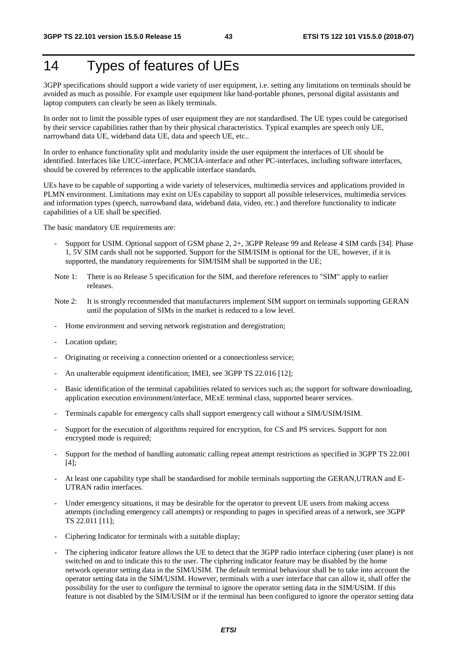# 14 Types of features of UEs

3GPP specifications should support a wide variety of user equipment, i.e. setting any limitations on terminals should be avoided as much as possible. For example user equipment like hand-portable phones, personal digital assistants and laptop computers can clearly be seen as likely terminals.

In order not to limit the possible types of user equipment they are not standardised. The UE types could be categorised by their service capabilities rather than by their physical characteristics. Typical examples are speech only UE, narrowband data UE, wideband data UE, data and speech UE, etc..

In order to enhance functionality split and modularity inside the user equipment the interfaces of UE should be identified. Interfaces like UICC-interface, PCMCIA-interface and other PC-interfaces, including software interfaces, should be covered by references to the applicable interface standards.

UEs have to be capable of supporting a wide variety of teleservices, multimedia services and applications provided in PLMN environment. Limitations may exist on UEs capability to support all possible teleservices, multimedia services and information types (speech, narrowband data, wideband data, video, etc.) and therefore functionality to indicate capabilities of a UE shall be specified.

The basic mandatory UE requirements are:

- Support for USIM. Optional support of GSM phase 2, 2+, 3GPP Release 99 and Release 4 SIM cards [34]. Phase 1, 5V SIM cards shall not be supported. Support for the SIM/ISIM is optional for the UE, however, if it is supported, the mandatory requirements for SIM/ISIM shall be supported in the UE;
- Note 1: There is no Release 5 specification for the SIM, and therefore references to "SIM" apply to earlier releases.
- Note 2: It is strongly recommended that manufacturers implement SIM support on terminals supporting GERAN until the population of SIMs in the market is reduced to a low level.
- Home environment and serving network registration and deregistration;
- Location update;
- Originating or receiving a connection oriented or a connectionless service;
- An unalterable equipment identification; IMEI, see 3GPP TS 22.016 [12];
- Basic identification of the terminal capabilities related to services such as; the support for software downloading, application execution environment/interface, MExE terminal class, supported bearer services.
- Terminals capable for emergency calls shall support emergency call without a SIM/USIM/ISIM.
- Support for the execution of algorithms required for encryption, for CS and PS services. Support for non encrypted mode is required;
- Support for the method of handling automatic calling repeat attempt restrictions as specified in 3GPP TS 22.001 [4]:
- At least one capability type shall be standardised for mobile terminals supporting the GERAN,UTRAN and E-UTRAN radio interfaces.
- Under emergency situations, it may be desirable for the operator to prevent UE users from making access attempts (including emergency call attempts) or responding to pages in specified areas of a network, see 3GPP TS 22.011 [11];
- Ciphering Indicator for terminals with a suitable display;
- The ciphering indicator feature allows the UE to detect that the 3GPP radio interface ciphering (user plane) is not switched on and to indicate this to the user. The ciphering indicator feature may be disabled by the home network operator setting data in the SIM/USIM. The default terminal behaviour shall be to take into account the operator setting data in the SIM/USIM. However, terminals with a user interface that can allow it, shall offer the possibility for the user to configure the terminal to ignore the operator setting data in the SIM/USIM. If this feature is not disabled by the SIM/USIM or if the terminal has been configured to ignore the operator setting data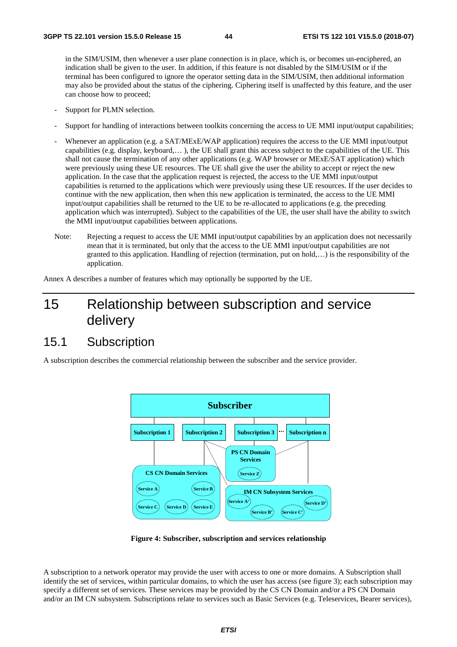in the SIM/USIM, then whenever a user plane connection is in place, which is, or becomes un-enciphered, an indication shall be given to the user. In addition, if this feature is not disabled by the SIM/USIM or if the terminal has been configured to ignore the operator setting data in the SIM/USIM, then additional information may also be provided about the status of the ciphering. Ciphering itself is unaffected by this feature, and the user can choose how to proceed;

- Support for PLMN selection.
- Support for handling of interactions between toolkits concerning the access to UE MMI input/output capabilities;
- Whenever an application (e.g. a SAT/MExE/WAP application) requires the access to the UE MMI input/output capabilities (e.g. display, keyboard,… ), the UE shall grant this access subject to the capabilities of the UE. This shall not cause the termination of any other applications (e.g. WAP browser or MExE/SAT application) which were previously using these UE resources. The UE shall give the user the ability to accept or reject the new application. In the case that the application request is rejected, the access to the UE MMI input/output capabilities is returned to the applications which were previously using these UE resources. If the user decides to continue with the new application, then when this new application is terminated, the access to the UE MMI input/output capabilities shall be returned to the UE to be re-allocated to applications (e.g. the preceding application which was interrupted). Subject to the capabilities of the UE, the user shall have the ability to switch the MMI input/output capabilities between applications.
- Note: Rejecting a request to access the UE MMI input/output capabilities by an application does not necessarily mean that it is terminated, but only that the access to the UE MMI input/output capabilities are not granted to this application. Handling of rejection (termination, put on hold,…) is the responsibility of the application.

Annex A describes a number of features which may optionally be supported by the UE.

# 15 Relationship between subscription and service delivery

### 15.1 Subscription

A subscription describes the commercial relationship between the subscriber and the service provider.



**Figure 4: Subscriber, subscription and services relationship** 

A subscription to a network operator may provide the user with access to one or more domains. A Subscription shall identify the set of services, within particular domains, to which the user has access (see figure 3); each subscription may specify a different set of services. These services may be provided by the CS CN Domain and/or a PS CN Domain and/or an IM CN subsystem. Subscriptions relate to services such as Basic Services (e.g. Teleservices, Bearer services),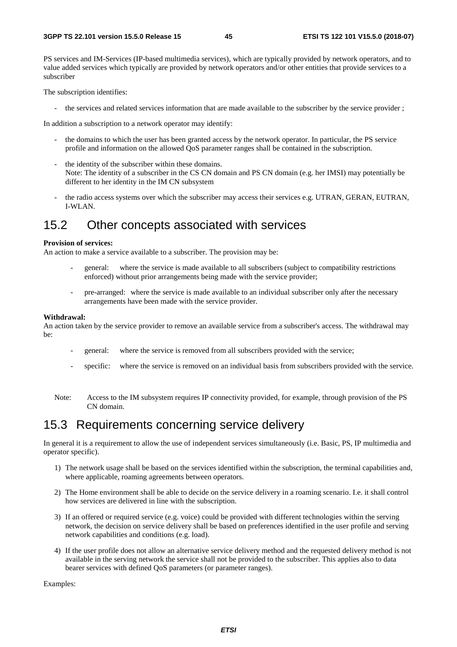PS services and IM-Services (IP-based multimedia services), which are typically provided by network operators, and to value added services which typically are provided by network operators and/or other entities that provide services to a subscriber

The subscription identifies:

- the services and related services information that are made available to the subscriber by the service provider ;

In addition a subscription to a network operator may identify:

- the domains to which the user has been granted access by the network operator. In particular, the PS service profile and information on the allowed QoS parameter ranges shall be contained in the subscription.
- the identity of the subscriber within these domains. Note: The identity of a subscriber in the CS CN domain and PS CN domain (e.g. her IMSI) may potentially be different to her identity in the IM CN subsystem
- the radio access systems over which the subscriber may access their services e.g. UTRAN, GERAN, EUTRAN, I-WLAN.

### 15.2 Other concepts associated with services

#### **Provision of services:**

An action to make a service available to a subscriber. The provision may be:

- general: where the service is made available to all subscribers (subject to compatibility restrictions enforced) without prior arrangements being made with the service provider;
- pre-arranged: where the service is made available to an individual subscriber only after the necessary arrangements have been made with the service provider.

#### **Withdrawal:**

An action taken by the service provider to remove an available service from a subscriber's access. The withdrawal may be:

- general: where the service is removed from all subscribers provided with the service;
- specific: where the service is removed on an individual basis from subscribers provided with the service.
- Note: Access to the IM subsystem requires IP connectivity provided, for example, through provision of the PS CN domain.

### 15.3 Requirements concerning service delivery

In general it is a requirement to allow the use of independent services simultaneously (i.e. Basic, PS, IP multimedia and operator specific).

- 1) The network usage shall be based on the services identified within the subscription, the terminal capabilities and, where applicable, roaming agreements between operators.
- 2) The Home environment shall be able to decide on the service delivery in a roaming scenario. I.e. it shall control how services are delivered in line with the subscription.
- 3) If an offered or required service (e.g. voice) could be provided with different technologies within the serving network, the decision on service delivery shall be based on preferences identified in the user profile and serving network capabilities and conditions (e.g. load).
- 4) If the user profile does not allow an alternative service delivery method and the requested delivery method is not available in the serving network the service shall not be provided to the subscriber. This applies also to data bearer services with defined QoS parameters (or parameter ranges).

Examples: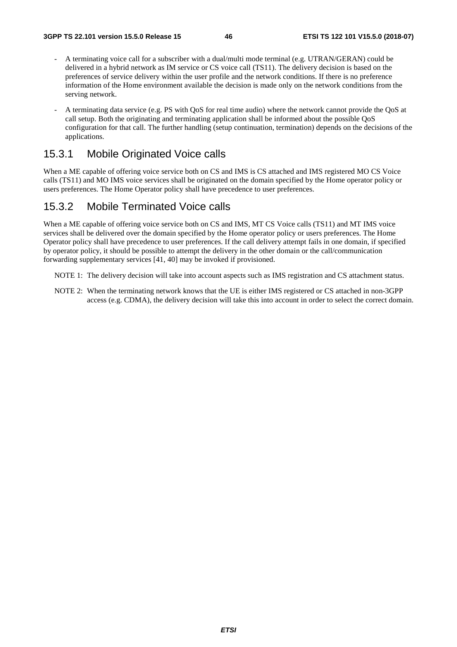- A terminating voice call for a subscriber with a dual/multi mode terminal (e.g. UTRAN/GERAN) could be delivered in a hybrid network as IM service or CS voice call (TS11). The delivery decision is based on the preferences of service delivery within the user profile and the network conditions. If there is no preference information of the Home environment available the decision is made only on the network conditions from the serving network.
- A terminating data service (e.g. PS with OoS for real time audio) where the network cannot provide the OoS at call setup. Both the originating and terminating application shall be informed about the possible QoS configuration for that call. The further handling (setup continuation, termination) depends on the decisions of the applications.

#### 15.3.1 Mobile Originated Voice calls

When a ME capable of offering voice service both on CS and IMS is CS attached and IMS registered MO CS Voice calls (TS11) and MO IMS voice services shall be originated on the domain specified by the Home operator policy or users preferences. The Home Operator policy shall have precedence to user preferences.

#### 15.3.2 Mobile Terminated Voice calls

When a ME capable of offering voice service both on CS and IMS, MT CS Voice calls (TS11) and MT IMS voice services shall be delivered over the domain specified by the Home operator policy or users preferences. The Home Operator policy shall have precedence to user preferences. If the call delivery attempt fails in one domain, if specified by operator policy, it should be possible to attempt the delivery in the other domain or the call/communication forwarding supplementary services [41, 40] may be invoked if provisioned.

NOTE 1: The delivery decision will take into account aspects such as IMS registration and CS attachment status.

NOTE 2: When the terminating network knows that the UE is either IMS registered or CS attached in non-3GPP access (e.g. CDMA), the delivery decision will take this into account in order to select the correct domain.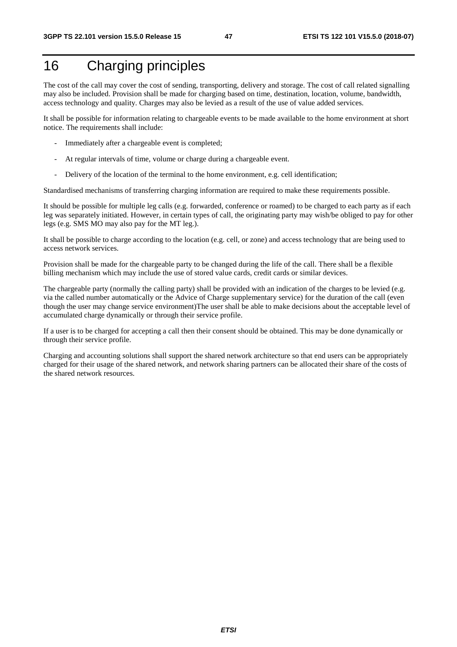# 16 Charging principles

The cost of the call may cover the cost of sending, transporting, delivery and storage. The cost of call related signalling may also be included. Provision shall be made for charging based on time, destination, location, volume, bandwidth, access technology and quality. Charges may also be levied as a result of the use of value added services.

It shall be possible for information relating to chargeable events to be made available to the home environment at short notice. The requirements shall include:

- Immediately after a chargeable event is completed;
- At regular intervals of time, volume or charge during a chargeable event.
- Delivery of the location of the terminal to the home environment, e.g. cell identification;

Standardised mechanisms of transferring charging information are required to make these requirements possible.

It should be possible for multiple leg calls (e.g. forwarded, conference or roamed) to be charged to each party as if each leg was separately initiated. However, in certain types of call, the originating party may wish/be obliged to pay for other legs (e.g. SMS MO may also pay for the MT leg.).

It shall be possible to charge according to the location (e.g. cell, or zone) and access technology that are being used to access network services.

Provision shall be made for the chargeable party to be changed during the life of the call. There shall be a flexible billing mechanism which may include the use of stored value cards, credit cards or similar devices.

The chargeable party (normally the calling party) shall be provided with an indication of the charges to be levied (e.g. via the called number automatically or the Advice of Charge supplementary service) for the duration of the call (even though the user may change service environment)The user shall be able to make decisions about the acceptable level of accumulated charge dynamically or through their service profile.

If a user is to be charged for accepting a call then their consent should be obtained. This may be done dynamically or through their service profile.

Charging and accounting solutions shall support the shared network architecture so that end users can be appropriately charged for their usage of the shared network, and network sharing partners can be allocated their share of the costs of the shared network resources.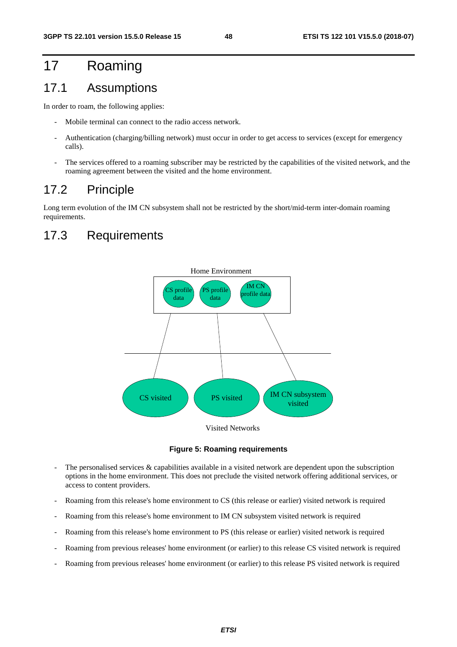# 17 Roaming

### 17.1 Assumptions

In order to roam, the following applies:

- Mobile terminal can connect to the radio access network.
- Authentication (charging/billing network) must occur in order to get access to services (except for emergency calls).
- The services offered to a roaming subscriber may be restricted by the capabilities of the visited network, and the roaming agreement between the visited and the home environment.

## 17.2 Principle

Long term evolution of the IM CN subsystem shall not be restricted by the short/mid-term inter-domain roaming requirements.

## 17.3 Requirements



Visited Networks

#### **Figure 5: Roaming requirements**

- The personalised services & capabilities available in a visited network are dependent upon the subscription options in the home environment. This does not preclude the visited network offering additional services, or access to content providers.
- Roaming from this release's home environment to CS (this release or earlier) visited network is required
- Roaming from this release's home environment to IM CN subsystem visited network is required
- Roaming from this release's home environment to PS (this release or earlier) visited network is required
- Roaming from previous releases' home environment (or earlier) to this release CS visited network is required
- Roaming from previous releases' home environment (or earlier) to this release PS visited network is required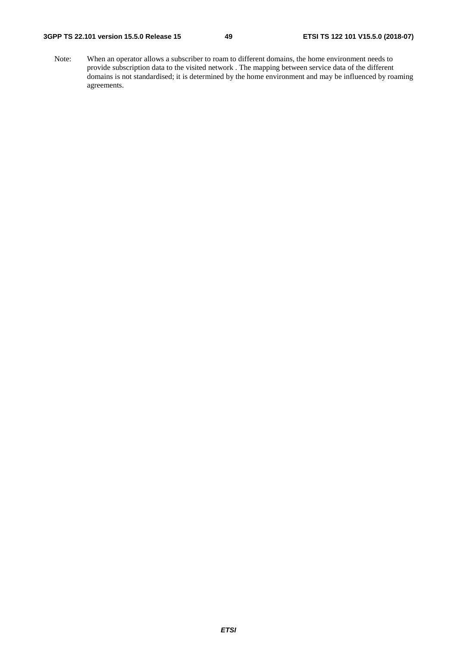#### **3GPP TS 22.101 version 15.5.0 Release 15 49 ETSI TS 122 101 V15.5.0 (2018-07)**

Note: When an operator allows a subscriber to roam to different domains, the home environment needs to provide subscription data to the visited network . The mapping between service data of the different domains is not standardised; it is determined by the home environment and may be influenced by roaming agreements.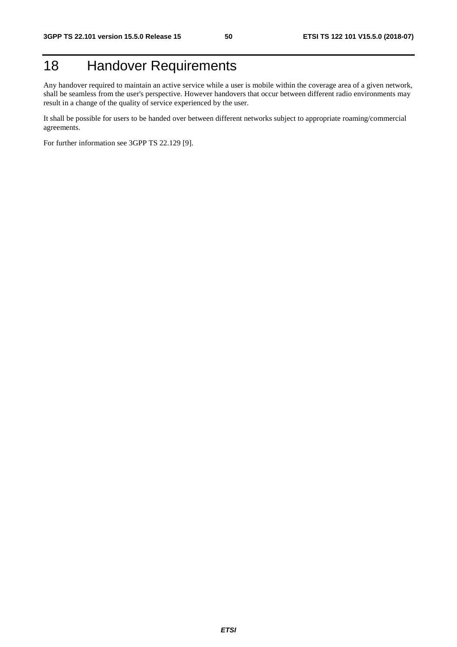# 18 Handover Requirements

Any handover required to maintain an active service while a user is mobile within the coverage area of a given network, shall be seamless from the user's perspective. However handovers that occur between different radio environments may result in a change of the quality of service experienced by the user.

It shall be possible for users to be handed over between different networks subject to appropriate roaming/commercial agreements.

For further information see 3GPP TS 22.129 [9].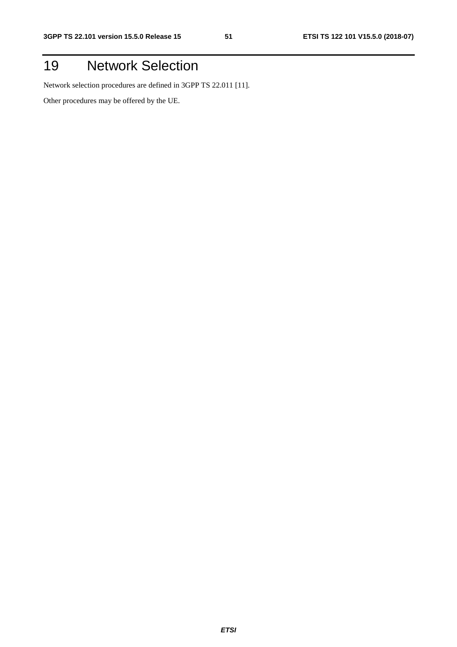# 19 Network Selection

Network selection procedures are defined in 3GPP TS 22.011 [11].

Other procedures may be offered by the UE.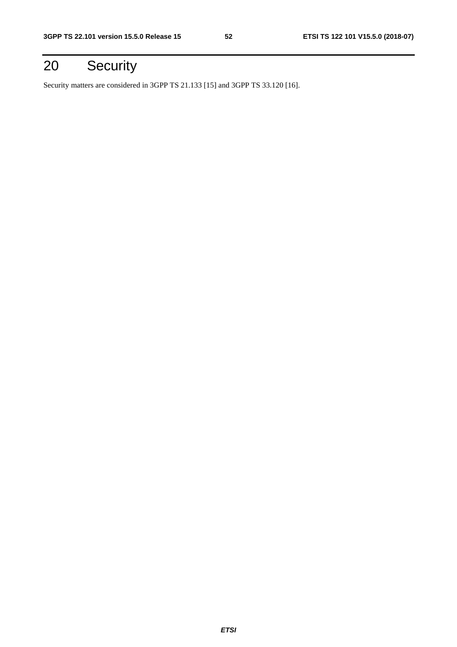# 20 Security

Security matters are considered in 3GPP TS 21.133 [15] and 3GPP TS 33.120 [16].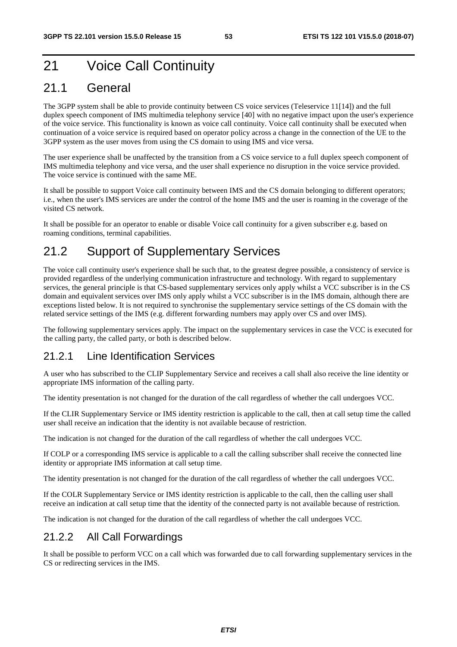# 21 Voice Call Continuity

### 21.1 General

The 3GPP system shall be able to provide continuity between CS voice services (Teleservice 11[14]) and the full duplex speech component of IMS multimedia telephony service [40] with no negative impact upon the user's experience of the voice service. This functionality is known as voice call continuity. Voice call continuity shall be executed when continuation of a voice service is required based on operator policy across a change in the connection of the UE to the 3GPP system as the user moves from using the CS domain to using IMS and vice versa.

The user experience shall be unaffected by the transition from a CS voice service to a full duplex speech component of IMS multimedia telephony and vice versa, and the user shall experience no disruption in the voice service provided. The voice service is continued with the same ME.

It shall be possible to support Voice call continuity between IMS and the CS domain belonging to different operators; i.e., when the user's IMS services are under the control of the home IMS and the user is roaming in the coverage of the visited CS network.

It shall be possible for an operator to enable or disable Voice call continuity for a given subscriber e.g. based on roaming conditions, terminal capabilities.

## 21.2 Support of Supplementary Services

The voice call continuity user's experience shall be such that, to the greatest degree possible, a consistency of service is provided regardless of the underlying communication infrastructure and technology. With regard to supplementary services, the general principle is that CS-based supplementary services only apply whilst a VCC subscriber is in the CS domain and equivalent services over IMS only apply whilst a VCC subscriber is in the IMS domain, although there are exceptions listed below. It is not required to synchronise the supplementary service settings of the CS domain with the related service settings of the IMS (e.g. different forwarding numbers may apply over CS and over IMS).

The following supplementary services apply. The impact on the supplementary services in case the VCC is executed for the calling party, the called party, or both is described below.

### 21.2.1 Line Identification Services

A user who has subscribed to the CLIP Supplementary Service and receives a call shall also receive the line identity or appropriate IMS information of the calling party.

The identity presentation is not changed for the duration of the call regardless of whether the call undergoes VCC.

If the CLIR Supplementary Service or IMS identity restriction is applicable to the call, then at call setup time the called user shall receive an indication that the identity is not available because of restriction.

The indication is not changed for the duration of the call regardless of whether the call undergoes VCC.

If COLP or a corresponding IMS service is applicable to a call the calling subscriber shall receive the connected line identity or appropriate IMS information at call setup time.

The identity presentation is not changed for the duration of the call regardless of whether the call undergoes VCC.

If the COLR Supplementary Service or IMS identity restriction is applicable to the call, then the calling user shall receive an indication at call setup time that the identity of the connected party is not available because of restriction.

The indication is not changed for the duration of the call regardless of whether the call undergoes VCC.

#### 21.2.2 All Call Forwardings

It shall be possible to perform VCC on a call which was forwarded due to call forwarding supplementary services in the CS or redirecting services in the IMS.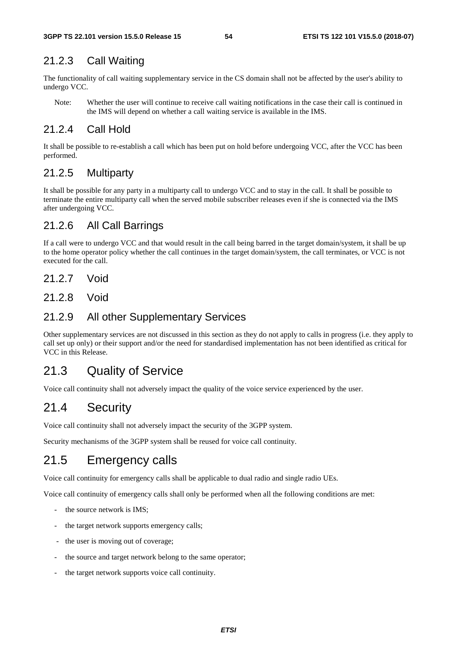### 21.2.3 Call Waiting

The functionality of call waiting supplementary service in the CS domain shall not be affected by the user's ability to undergo VCC.

Note: Whether the user will continue to receive call waiting notifications in the case their call is continued in the IMS will depend on whether a call waiting service is available in the IMS.

#### 21.2.4 Call Hold

It shall be possible to re-establish a call which has been put on hold before undergoing VCC, after the VCC has been performed.

#### 21.2.5 Multiparty

It shall be possible for any party in a multiparty call to undergo VCC and to stay in the call. It shall be possible to terminate the entire multiparty call when the served mobile subscriber releases even if she is connected via the IMS after undergoing VCC.

#### 21.2.6 All Call Barrings

If a call were to undergo VCC and that would result in the call being barred in the target domain/system, it shall be up to the home operator policy whether the call continues in the target domain/system, the call terminates, or VCC is not executed for the call.

21.2.7 Void

21.2.8 Void

#### 21.2.9 All other Supplementary Services

Other supplementary services are not discussed in this section as they do not apply to calls in progress (i.e. they apply to call set up only) or their support and/or the need for standardised implementation has not been identified as critical for VCC in this Release.

### 21.3 Quality of Service

Voice call continuity shall not adversely impact the quality of the voice service experienced by the user.

### 21.4 Security

Voice call continuity shall not adversely impact the security of the 3GPP system.

Security mechanisms of the 3GPP system shall be reused for voice call continuity.

### 21.5 Emergency calls

Voice call continuity for emergency calls shall be applicable to dual radio and single radio UEs.

Voice call continuity of emergency calls shall only be performed when all the following conditions are met:

- the source network is IMS;
- the target network supports emergency calls;
- the user is moving out of coverage;
- the source and target network belong to the same operator;
- the target network supports voice call continuity.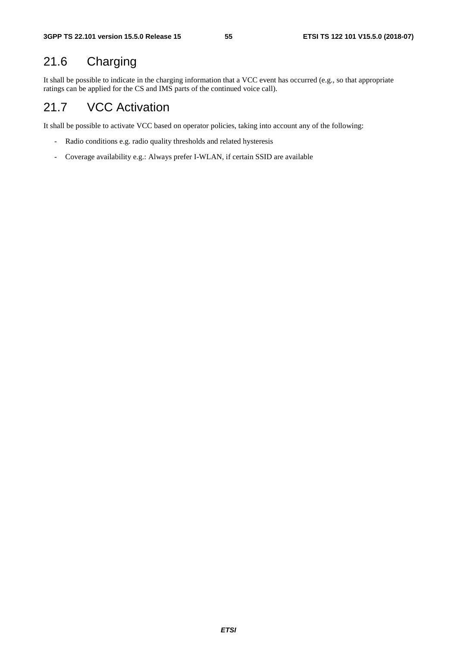## 21.6 Charging

It shall be possible to indicate in the charging information that a VCC event has occurred (e.g., so that appropriate ratings can be applied for the CS and IMS parts of the continued voice call).

## 21.7 VCC Activation

It shall be possible to activate VCC based on operator policies, taking into account any of the following:

- Radio conditions e.g. radio quality thresholds and related hysteresis
- Coverage availability e.g.: Always prefer I-WLAN, if certain SSID are available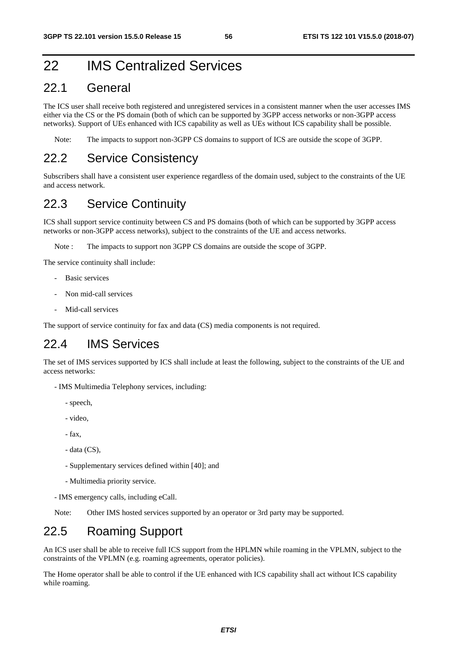# 22 IMS Centralized Services

### 22.1 General

The ICS user shall receive both registered and unregistered services in a consistent manner when the user accesses IMS either via the CS or the PS domain (both of which can be supported by 3GPP access networks or non-3GPP access networks). Support of UEs enhanced with ICS capability as well as UEs without ICS capability shall be possible.

Note: The impacts to support non-3GPP CS domains to support of ICS are outside the scope of 3GPP.

### 22.2 Service Consistency

Subscribers shall have a consistent user experience regardless of the domain used, subject to the constraints of the UE and access network.

### 22.3 Service Continuity

ICS shall support service continuity between CS and PS domains (both of which can be supported by 3GPP access networks or non-3GPP access networks), subject to the constraints of the UE and access networks.

Note : The impacts to support non 3GPP CS domains are outside the scope of 3GPP.

The service continuity shall include:

- Basic services
- Non mid-call services
- Mid-call services

The support of service continuity for fax and data (CS) media components is not required.

### 22.4 IMS Services

The set of IMS services supported by ICS shall include at least the following, subject to the constraints of the UE and access networks:

- IMS Multimedia Telephony services, including:
	- speech,
	- video,
	- fax,
	- data (CS),
	- Supplementary services defined within [40]; and
	- Multimedia priority service.
- IMS emergency calls, including eCall.

Note: Other IMS hosted services supported by an operator or 3rd party may be supported.

### 22.5 Roaming Support

An ICS user shall be able to receive full ICS support from the HPLMN while roaming in the VPLMN, subject to the constraints of the VPLMN (e.g. roaming agreements, operator policies).

The Home operator shall be able to control if the UE enhanced with ICS capability shall act without ICS capability while roaming.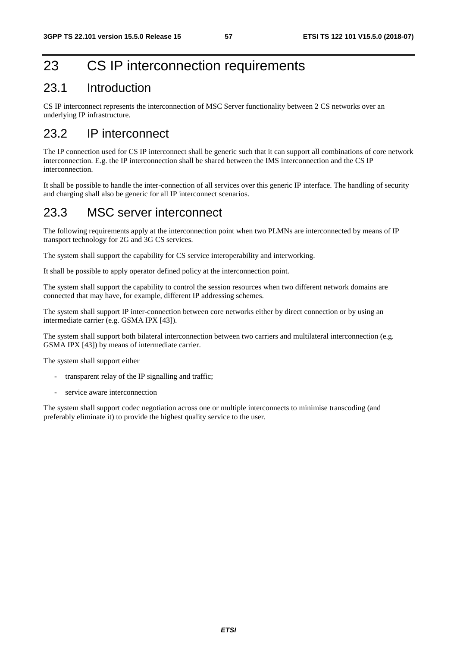# 23 CS IP interconnection requirements

### 23.1 Introduction

CS IP interconnect represents the interconnection of MSC Server functionality between 2 CS networks over an underlying IP infrastructure.

### 23.2 IP interconnect

The IP connection used for CS IP interconnect shall be generic such that it can support all combinations of core network interconnection. E.g. the IP interconnection shall be shared between the IMS interconnection and the CS IP interconnection.

It shall be possible to handle the inter-connection of all services over this generic IP interface. The handling of security and charging shall also be generic for all IP interconnect scenarios.

### 23.3 MSC server interconnect

The following requirements apply at the interconnection point when two PLMNs are interconnected by means of IP transport technology for 2G and 3G CS services.

The system shall support the capability for CS service interoperability and interworking.

It shall be possible to apply operator defined policy at the interconnection point.

The system shall support the capability to control the session resources when two different network domains are connected that may have, for example, different IP addressing schemes.

The system shall support IP inter-connection between core networks either by direct connection or by using an intermediate carrier (e.g. GSMA IPX [43]).

The system shall support both bilateral interconnection between two carriers and multilateral interconnection (e.g. GSMA IPX [43]) by means of intermediate carrier.

The system shall support either

- transparent relay of the IP signalling and traffic;
- service aware interconnection

The system shall support codec negotiation across one or multiple interconnects to minimise transcoding (and preferably eliminate it) to provide the highest quality service to the user.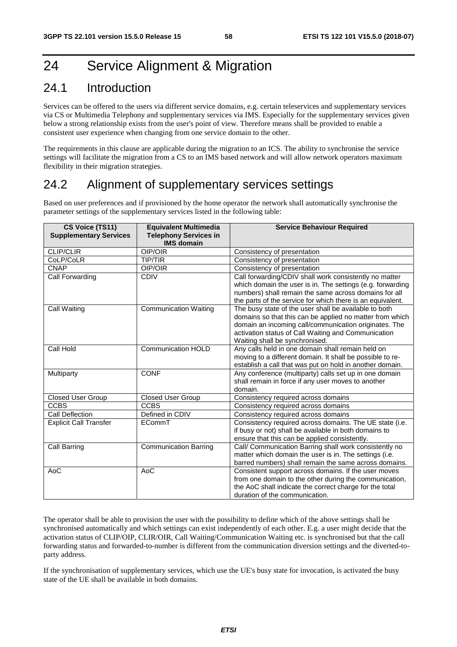# 24 Service Alignment & Migration

## 24.1 Introduction

Services can be offered to the users via different service domains, e.g. certain teleservices and supplementary services via CS or Multimedia Telephony and supplementary services via IMS. Especially for the supplementary services given below a strong relationship exists from the user's point of view. Therefore means shall be provided to enable a consistent user experience when changing from one service domain to the other.

The requirements in this clause are applicable during the migration to an ICS. The ability to synchronise the service settings will facilitate the migration from a CS to an IMS based network and will allow network operators maximum flexibility in their migration strategies.

# 24.2 Alignment of supplementary services settings

Based on user preferences and if provisioned by the home operator the network shall automatically synchronise the parameter settings of the supplementary services listed in the following table:

| CS Voice (TS11)<br><b>Supplementary Services</b> | <b>Equivalent Multimedia</b><br><b>Telephony Services in</b><br><b>IMS domain</b> | <b>Service Behaviour Required</b>                                                                                                                                                                                                                                   |
|--------------------------------------------------|-----------------------------------------------------------------------------------|---------------------------------------------------------------------------------------------------------------------------------------------------------------------------------------------------------------------------------------------------------------------|
| <b>CLIP/CLIR</b>                                 | OIP/OIR                                                                           | Consistency of presentation                                                                                                                                                                                                                                         |
| CoLP/CoLR                                        | <b>TIP/TIR</b>                                                                    | Consistency of presentation                                                                                                                                                                                                                                         |
| <b>CNAP</b>                                      | OIP/OIR                                                                           | Consistency of presentation                                                                                                                                                                                                                                         |
| Call Forwarding                                  | CDIV                                                                              | Call forwarding/CDIV shall work consistently no matter<br>which domain the user is in. The settings (e.g. forwarding<br>numbers) shall remain the same across domains for all<br>the parts of the service for which there is an equivalent.                         |
| Call Waiting                                     | <b>Communication Waiting</b>                                                      | The busy state of the user shall be available to both<br>domains so that this can be applied no matter from which<br>domain an incoming call/communication originates. The<br>activation status of Call Waiting and Communication<br>Waiting shall be synchronised. |
| Call Hold                                        | <b>Communication HOLD</b>                                                         | Any calls held in one domain shall remain held on<br>moving to a different domain. It shall be possible to re-<br>establish a call that was put on hold in another domain.                                                                                          |
| Multiparty                                       | <b>CONF</b>                                                                       | Any conference (multiparty) calls set up in one domain<br>shall remain in force if any user moves to another<br>domain.                                                                                                                                             |
| <b>Closed User Group</b>                         | Closed User Group                                                                 | Consistency required across domains                                                                                                                                                                                                                                 |
| <b>CCBS</b>                                      | <b>CCBS</b>                                                                       | Consistency required across domains                                                                                                                                                                                                                                 |
| Call Deflection                                  | Defined in CDIV                                                                   | Consistency required across domains                                                                                                                                                                                                                                 |
| <b>Explicit Call Transfer</b>                    | ECommT                                                                            | Consistency required across domains. The UE state (i.e.<br>if busy or not) shall be available in both domains to<br>ensure that this can be applied consistently.                                                                                                   |
| Call Barring                                     | <b>Communication Barring</b>                                                      | Call/ Communication Barring shall work consistently no<br>matter which domain the user is in. The settings (i.e.<br>barred numbers) shall remain the same across domains.                                                                                           |
| AoC                                              | AoC                                                                               | Consistent support across domains. If the user moves<br>from one domain to the other during the communication,<br>the AoC shall indicate the correct charge for the total<br>duration of the communication.                                                         |

The operator shall be able to provision the user with the possibility to define which of the above settings shall be synchronised automatically and which settings can exist independently of each other. E.g. a user might decide that the activation status of CLIP/OIP, CLIR/OIR, Call Waiting/Communication Waiting etc. is synchronised but that the call forwarding status and forwarded-to-number is different from the communication diversion settings and the diverted-toparty address.

If the synchronisation of supplementary services, which use the UE's busy state for invocation, is activated the busy state of the UE shall be available in both domains.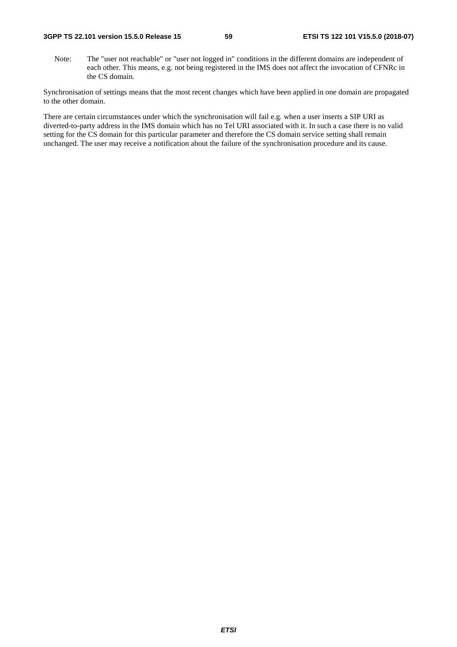#### **3GPP TS 22.101 version 15.5.0 Release 15 59 ETSI TS 122 101 V15.5.0 (2018-07)**

Note: The "user not reachable" or "user not logged in" conditions in the different domains are independent of each other. This means, e.g. not being registered in the IMS does not affect the invocation of CFNRc in the CS domain.

Synchronisation of settings means that the most recent changes which have been applied in one domain are propagated to the other domain.

There are certain circumstances under which the synchronisation will fail e.g. when a user inserts a SIP URI as diverted-to-party address in the IMS domain which has no Tel URI associated with it. In such a case there is no valid setting for the CS domain for this particular parameter and therefore the CS domain service setting shall remain unchanged. The user may receive a notification about the failure of the synchronisation procedure and its cause.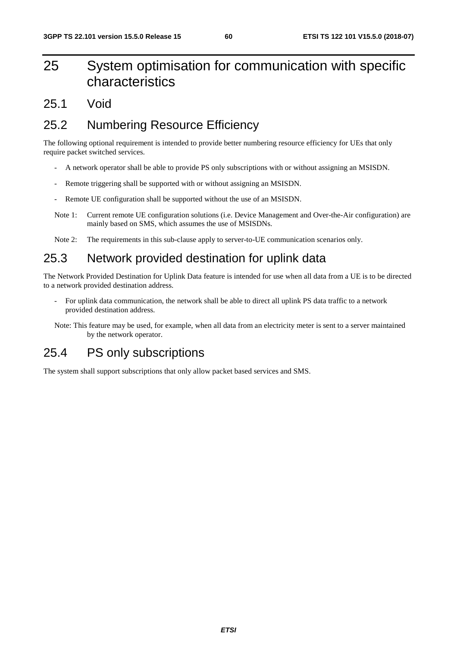# 25 System optimisation for communication with specific characteristics

25.1 Void

### 25.2 Numbering Resource Efficiency

The following optional requirement is intended to provide better numbering resource efficiency for UEs that only require packet switched services.

- A network operator shall be able to provide PS only subscriptions with or without assigning an MSISDN.
- Remote triggering shall be supported with or without assigning an MSISDN.
- Remote UE configuration shall be supported without the use of an MSISDN.
- Note 1: Current remote UE configuration solutions (i.e. Device Management and Over-the-Air configuration) are mainly based on SMS, which assumes the use of MSISDNs.
- Note 2: The requirements in this sub-clause apply to server-to-UE communication scenarios only.

### 25.3 Network provided destination for uplink data

The Network Provided Destination for Uplink Data feature is intended for use when all data from a UE is to be directed to a network provided destination address.

- For uplink data communication, the network shall be able to direct all uplink PS data traffic to a network provided destination address.

Note: This feature may be used, for example, when all data from an electricity meter is sent to a server maintained by the network operator.

### 25.4 PS only subscriptions

The system shall support subscriptions that only allow packet based services and SMS.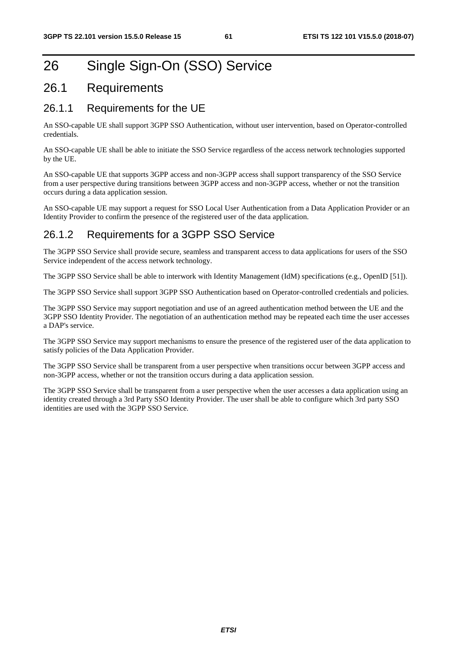# 26 Single Sign-On (SSO) Service

### 26.1 Requirements

### 26.1.1 Requirements for the UE

An SSO-capable UE shall support 3GPP SSO Authentication, without user intervention, based on Operator-controlled credentials.

An SSO-capable UE shall be able to initiate the SSO Service regardless of the access network technologies supported by the UE.

An SSO-capable UE that supports 3GPP access and non-3GPP access shall support transparency of the SSO Service from a user perspective during transitions between 3GPP access and non-3GPP access, whether or not the transition occurs during a data application session.

An SSO-capable UE may support a request for SSO Local User Authentication from a Data Application Provider or an Identity Provider to confirm the presence of the registered user of the data application.

### 26.1.2 Requirements for a 3GPP SSO Service

The 3GPP SSO Service shall provide secure, seamless and transparent access to data applications for users of the SSO Service independent of the access network technology.

The 3GPP SSO Service shall be able to interwork with Identity Management (IdM) specifications (e.g., OpenID [51]).

The 3GPP SSO Service shall support 3GPP SSO Authentication based on Operator-controlled credentials and policies.

The 3GPP SSO Service may support negotiation and use of an agreed authentication method between the UE and the 3GPP SSO Identity Provider. The negotiation of an authentication method may be repeated each time the user accesses a DAP's service.

The 3GPP SSO Service may support mechanisms to ensure the presence of the registered user of the data application to satisfy policies of the Data Application Provider.

The 3GPP SSO Service shall be transparent from a user perspective when transitions occur between 3GPP access and non-3GPP access, whether or not the transition occurs during a data application session.

The 3GPP SSO Service shall be transparent from a user perspective when the user accesses a data application using an identity created through a 3rd Party SSO Identity Provider. The user shall be able to configure which 3rd party SSO identities are used with the 3GPP SSO Service.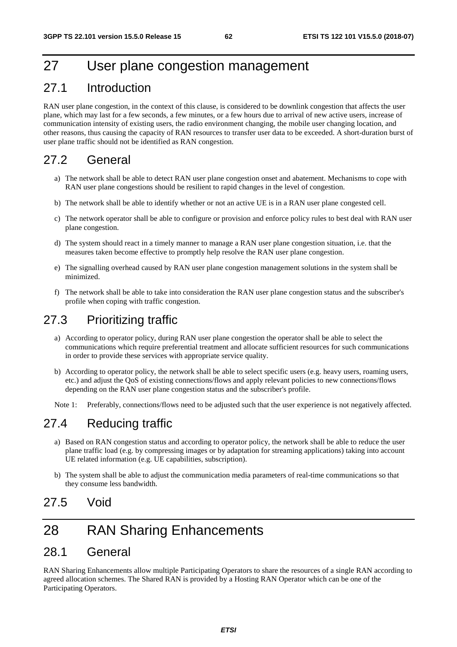# 27 User plane congestion management

### 27.1 Introduction

RAN user plane congestion, in the context of this clause, is considered to be downlink congestion that affects the user plane, which may last for a few seconds, a few minutes, or a few hours due to arrival of new active users, increase of communication intensity of existing users, the radio environment changing, the mobile user changing location, and other reasons, thus causing the capacity of RAN resources to transfer user data to be exceeded. A short-duration burst of user plane traffic should not be identified as RAN congestion.

### 27.2 General

- a) The network shall be able to detect RAN user plane congestion onset and abatement. Mechanisms to cope with RAN user plane congestions should be resilient to rapid changes in the level of congestion.
- b) The network shall be able to identify whether or not an active UE is in a RAN user plane congested cell.
- c) The network operator shall be able to configure or provision and enforce policy rules to best deal with RAN user plane congestion.
- d) The system should react in a timely manner to manage a RAN user plane congestion situation, i.e. that the measures taken become effective to promptly help resolve the RAN user plane congestion.
- e) The signalling overhead caused by RAN user plane congestion management solutions in the system shall be minimized.
- f) The network shall be able to take into consideration the RAN user plane congestion status and the subscriber's profile when coping with traffic congestion.

### 27.3 Prioritizing traffic

- a) According to operator policy, during RAN user plane congestion the operator shall be able to select the communications which require preferential treatment and allocate sufficient resources for such communications in order to provide these services with appropriate service quality.
- b) According to operator policy, the network shall be able to select specific users (e.g. heavy users, roaming users, etc.) and adjust the QoS of existing connections/flows and apply relevant policies to new connections/flows depending on the RAN user plane congestion status and the subscriber's profile.
- Note 1: Preferably, connections/flows need to be adjusted such that the user experience is not negatively affected.

### 27.4 Reducing traffic

- a) Based on RAN congestion status and according to operator policy, the network shall be able to reduce the user plane traffic load (e.g. by compressing images or by adaptation for streaming applications) taking into account UE related information (e.g. UE capabilities, subscription).
- b) The system shall be able to adjust the communication media parameters of real-time communications so that they consume less bandwidth.

### 27.5 Void

# 28 RAN Sharing Enhancements

### 28.1 General

RAN Sharing Enhancements allow multiple Participating Operators to share the resources of a single RAN according to agreed allocation schemes. The Shared RAN is provided by a Hosting RAN Operator which can be one of the Participating Operators.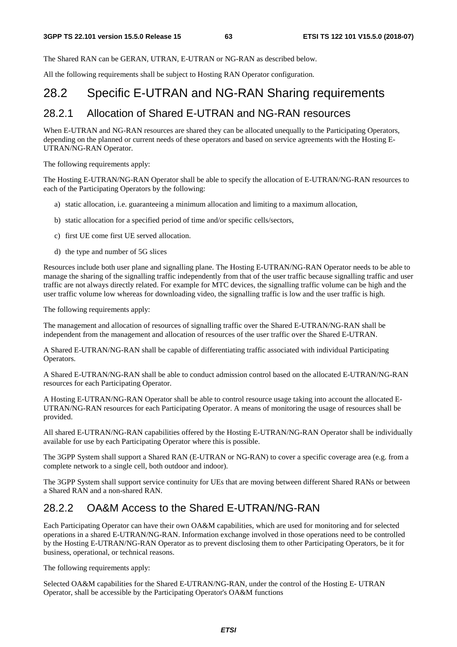The Shared RAN can be GERAN, UTRAN, E-UTRAN or NG-RAN as described below.

All the following requirements shall be subject to Hosting RAN Operator configuration.

### 28.2 Specific E-UTRAN and NG-RAN Sharing requirements

#### 28.2.1 Allocation of Shared E-UTRAN and NG-RAN resources

When E-UTRAN and NG-RAN resources are shared they can be allocated unequally to the Participating Operators, depending on the planned or current needs of these operators and based on service agreements with the Hosting E-UTRAN/NG-RAN Operator.

The following requirements apply:

The Hosting E-UTRAN/NG-RAN Operator shall be able to specify the allocation of E-UTRAN/NG-RAN resources to each of the Participating Operators by the following:

- a) static allocation, i.e. guaranteeing a minimum allocation and limiting to a maximum allocation,
- b) static allocation for a specified period of time and/or specific cells/sectors,
- c) first UE come first UE served allocation.
- d) the type and number of 5G slices

Resources include both user plane and signalling plane. The Hosting E-UTRAN/NG-RAN Operator needs to be able to manage the sharing of the signalling traffic independently from that of the user traffic because signalling traffic and user traffic are not always directly related. For example for MTC devices, the signalling traffic volume can be high and the user traffic volume low whereas for downloading video, the signalling traffic is low and the user traffic is high.

The following requirements apply:

The management and allocation of resources of signalling traffic over the Shared E-UTRAN/NG-RAN shall be independent from the management and allocation of resources of the user traffic over the Shared E-UTRAN.

A Shared E-UTRAN/NG-RAN shall be capable of differentiating traffic associated with individual Participating Operators.

A Shared E-UTRAN/NG-RAN shall be able to conduct admission control based on the allocated E-UTRAN/NG-RAN resources for each Participating Operator.

A Hosting E-UTRAN/NG-RAN Operator shall be able to control resource usage taking into account the allocated E-UTRAN/NG-RAN resources for each Participating Operator. A means of monitoring the usage of resources shall be provided.

All shared E-UTRAN/NG-RAN capabilities offered by the Hosting E-UTRAN/NG-RAN Operator shall be individually available for use by each Participating Operator where this is possible.

The 3GPP System shall support a Shared RAN (E-UTRAN or NG-RAN) to cover a specific coverage area (e.g. from a complete network to a single cell, both outdoor and indoor).

The 3GPP System shall support service continuity for UEs that are moving between different Shared RANs or between a Shared RAN and a non-shared RAN.

### 28.2.2 OA&M Access to the Shared E-UTRAN/NG-RAN

Each Participating Operator can have their own OA&M capabilities, which are used for monitoring and for selected operations in a shared E-UTRAN/NG-RAN. Information exchange involved in those operations need to be controlled by the Hosting E-UTRAN/NG-RAN Operator as to prevent disclosing them to other Participating Operators, be it for business, operational, or technical reasons.

The following requirements apply:

Selected OA&M capabilities for the Shared E-UTRAN/NG-RAN, under the control of the Hosting E- UTRAN Operator, shall be accessible by the Participating Operator's OA&M functions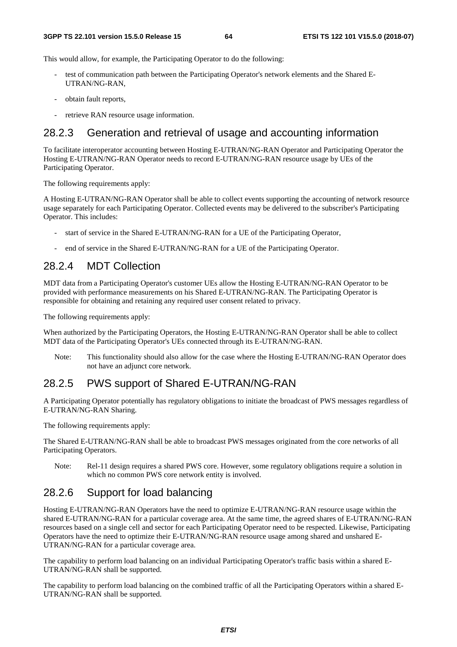This would allow, for example, the Participating Operator to do the following:

- test of communication path between the Participating Operator's network elements and the Shared E-UTRAN/NG-RAN,
- obtain fault reports,
- retrieve RAN resource usage information.

#### 28.2.3 Generation and retrieval of usage and accounting information

To facilitate interoperator accounting between Hosting E-UTRAN/NG-RAN Operator and Participating Operator the Hosting E-UTRAN/NG-RAN Operator needs to record E-UTRAN/NG-RAN resource usage by UEs of the Participating Operator.

The following requirements apply:

A Hosting E-UTRAN/NG-RAN Operator shall be able to collect events supporting the accounting of network resource usage separately for each Participating Operator. Collected events may be delivered to the subscriber's Participating Operator. This includes:

- start of service in the Shared E-UTRAN/NG-RAN for a UE of the Participating Operator,
- end of service in the Shared E-UTRAN/NG-RAN for a UE of the Participating Operator.

#### 28.2.4 MDT Collection

MDT data from a Participating Operator's customer UEs allow the Hosting E-UTRAN/NG-RAN Operator to be provided with performance measurements on his Shared E-UTRAN/NG-RAN. The Participating Operator is responsible for obtaining and retaining any required user consent related to privacy.

The following requirements apply:

When authorized by the Participating Operators, the Hosting E-UTRAN/NG-RAN Operator shall be able to collect MDT data of the Participating Operator's UEs connected through its E-UTRAN/NG-RAN.

Note: This functionality should also allow for the case where the Hosting E-UTRAN/NG-RAN Operator does not have an adjunct core network.

### 28.2.5 PWS support of Shared E-UTRAN/NG-RAN

A Participating Operator potentially has regulatory obligations to initiate the broadcast of PWS messages regardless of E-UTRAN/NG-RAN Sharing.

The following requirements apply:

The Shared E-UTRAN/NG-RAN shall be able to broadcast PWS messages originated from the core networks of all Participating Operators.

Note: Rel-11 design requires a shared PWS core. However, some regulatory obligations require a solution in which no common PWS core network entity is involved.

### 28.2.6 Support for load balancing

Hosting E-UTRAN/NG-RAN Operators have the need to optimize E-UTRAN/NG-RAN resource usage within the shared E-UTRAN/NG-RAN for a particular coverage area. At the same time, the agreed shares of E-UTRAN/NG-RAN resources based on a single cell and sector for each Participating Operator need to be respected. Likewise, Participating Operators have the need to optimize their E-UTRAN/NG-RAN resource usage among shared and unshared E-UTRAN/NG-RAN for a particular coverage area.

The capability to perform load balancing on an individual Participating Operator's traffic basis within a shared E-UTRAN/NG-RAN shall be supported.

The capability to perform load balancing on the combined traffic of all the Participating Operators within a shared E-UTRAN/NG-RAN shall be supported.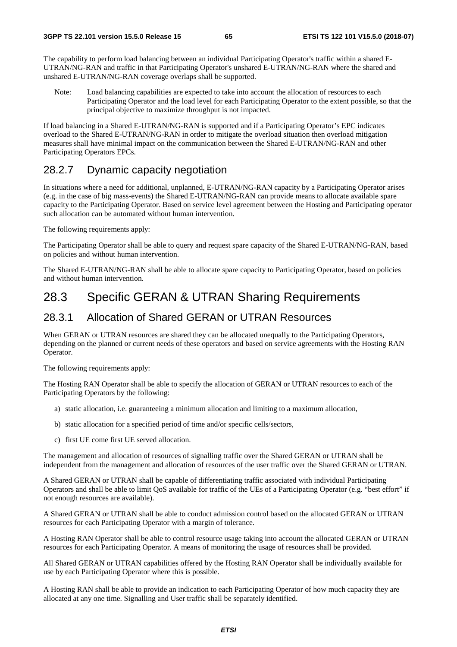The capability to perform load balancing between an individual Participating Operator's traffic within a shared E-UTRAN/NG-RAN and traffic in that Participating Operator's unshared E-UTRAN/NG-RAN where the shared and unshared E-UTRAN/NG-RAN coverage overlaps shall be supported.

Note: Load balancing capabilities are expected to take into account the allocation of resources to each Participating Operator and the load level for each Participating Operator to the extent possible, so that the principal objective to maximize throughput is not impacted.

If load balancing in a Shared E-UTRAN/NG-RAN is supported and if a Participating Operator's EPC indicates overload to the Shared E-UTRAN/NG-RAN in order to mitigate the overload situation then overload mitigation measures shall have minimal impact on the communication between the Shared E-UTRAN/NG-RAN and other Participating Operators EPCs.

#### 28.2.7 Dynamic capacity negotiation

In situations where a need for additional, unplanned, E-UTRAN/NG-RAN capacity by a Participating Operator arises (e.g. in the case of big mass-events) the Shared E-UTRAN/NG-RAN can provide means to allocate available spare capacity to the Participating Operator. Based on service level agreement between the Hosting and Participating operator such allocation can be automated without human intervention.

The following requirements apply:

The Participating Operator shall be able to query and request spare capacity of the Shared E-UTRAN/NG-RAN, based on policies and without human intervention.

The Shared E-UTRAN/NG-RAN shall be able to allocate spare capacity to Participating Operator, based on policies and without human intervention.

### 28.3 Specific GERAN & UTRAN Sharing Requirements

#### 28.3.1 Allocation of Shared GERAN or UTRAN Resources

When GERAN or UTRAN resources are shared they can be allocated unequally to the Participating Operators, depending on the planned or current needs of these operators and based on service agreements with the Hosting RAN Operator.

The following requirements apply:

The Hosting RAN Operator shall be able to specify the allocation of GERAN or UTRAN resources to each of the Participating Operators by the following:

- a) static allocation, i.e. guaranteeing a minimum allocation and limiting to a maximum allocation,
- b) static allocation for a specified period of time and/or specific cells/sectors,
- c) first UE come first UE served allocation.

The management and allocation of resources of signalling traffic over the Shared GERAN or UTRAN shall be independent from the management and allocation of resources of the user traffic over the Shared GERAN or UTRAN.

A Shared GERAN or UTRAN shall be capable of differentiating traffic associated with individual Participating Operators and shall be able to limit QoS available for traffic of the UEs of a Participating Operator (e.g. "best effort" if not enough resources are available).

A Shared GERAN or UTRAN shall be able to conduct admission control based on the allocated GERAN or UTRAN resources for each Participating Operator with a margin of tolerance.

A Hosting RAN Operator shall be able to control resource usage taking into account the allocated GERAN or UTRAN resources for each Participating Operator. A means of monitoring the usage of resources shall be provided.

All Shared GERAN or UTRAN capabilities offered by the Hosting RAN Operator shall be individually available for use by each Participating Operator where this is possible.

A Hosting RAN shall be able to provide an indication to each Participating Operator of how much capacity they are allocated at any one time. Signalling and User traffic shall be separately identified.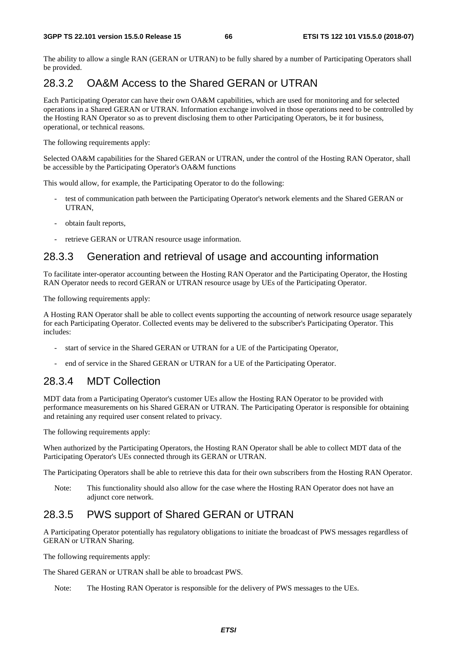The ability to allow a single RAN (GERAN or UTRAN) to be fully shared by a number of Participating Operators shall be provided.

### 28.3.2 OA&M Access to the Shared GERAN or UTRAN

Each Participating Operator can have their own OA&M capabilities, which are used for monitoring and for selected operations in a Shared GERAN or UTRAN. Information exchange involved in those operations need to be controlled by the Hosting RAN Operator so as to prevent disclosing them to other Participating Operators, be it for business, operational, or technical reasons.

The following requirements apply:

Selected OA&M capabilities for the Shared GERAN or UTRAN, under the control of the Hosting RAN Operator, shall be accessible by the Participating Operator's OA&M functions

This would allow, for example, the Participating Operator to do the following:

- test of communication path between the Participating Operator's network elements and the Shared GERAN or **UTRAN**
- obtain fault reports,
- retrieve GERAN or UTRAN resource usage information.

#### 28.3.3 Generation and retrieval of usage and accounting information

To facilitate inter-operator accounting between the Hosting RAN Operator and the Participating Operator, the Hosting RAN Operator needs to record GERAN or UTRAN resource usage by UEs of the Participating Operator.

The following requirements apply:

A Hosting RAN Operator shall be able to collect events supporting the accounting of network resource usage separately for each Participating Operator. Collected events may be delivered to the subscriber's Participating Operator. This includes:

- start of service in the Shared GERAN or UTRAN for a UE of the Participating Operator,
- end of service in the Shared GERAN or UTRAN for a UE of the Participating Operator.

### 28.3.4 MDT Collection

MDT data from a Participating Operator's customer UEs allow the Hosting RAN Operator to be provided with performance measurements on his Shared GERAN or UTRAN. The Participating Operator is responsible for obtaining and retaining any required user consent related to privacy.

The following requirements apply:

When authorized by the Participating Operators, the Hosting RAN Operator shall be able to collect MDT data of the Participating Operator's UEs connected through its GERAN or UTRAN.

The Participating Operators shall be able to retrieve this data for their own subscribers from the Hosting RAN Operator.

Note: This functionality should also allow for the case where the Hosting RAN Operator does not have an adjunct core network.

#### 28.3.5 PWS support of Shared GERAN or UTRAN

A Participating Operator potentially has regulatory obligations to initiate the broadcast of PWS messages regardless of GERAN or UTRAN Sharing.

The following requirements apply:

The Shared GERAN or UTRAN shall be able to broadcast PWS.

Note: The Hosting RAN Operator is responsible for the delivery of PWS messages to the UEs.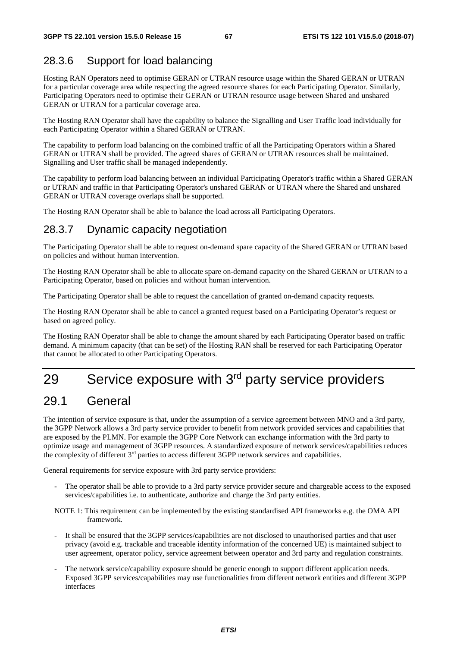### 28.3.6 Support for load balancing

Hosting RAN Operators need to optimise GERAN or UTRAN resource usage within the Shared GERAN or UTRAN for a particular coverage area while respecting the agreed resource shares for each Participating Operator. Similarly, Participating Operators need to optimise their GERAN or UTRAN resource usage between Shared and unshared GERAN or UTRAN for a particular coverage area.

The Hosting RAN Operator shall have the capability to balance the Signalling and User Traffic load individually for each Participating Operator within a Shared GERAN or UTRAN.

The capability to perform load balancing on the combined traffic of all the Participating Operators within a Shared GERAN or UTRAN shall be provided. The agreed shares of GERAN or UTRAN resources shall be maintained. Signalling and User traffic shall be managed independently.

The capability to perform load balancing between an individual Participating Operator's traffic within a Shared GERAN or UTRAN and traffic in that Participating Operator's unshared GERAN or UTRAN where the Shared and unshared GERAN or UTRAN coverage overlaps shall be supported.

The Hosting RAN Operator shall be able to balance the load across all Participating Operators.

#### 28.3.7 Dynamic capacity negotiation

The Participating Operator shall be able to request on-demand spare capacity of the Shared GERAN or UTRAN based on policies and without human intervention.

The Hosting RAN Operator shall be able to allocate spare on-demand capacity on the Shared GERAN or UTRAN to a Participating Operator, based on policies and without human intervention.

The Participating Operator shall be able to request the cancellation of granted on-demand capacity requests.

The Hosting RAN Operator shall be able to cancel a granted request based on a Participating Operator's request or based on agreed policy.

The Hosting RAN Operator shall be able to change the amount shared by each Participating Operator based on traffic demand. A minimum capacity (that can be set) of the Hosting RAN shall be reserved for each Participating Operator that cannot be allocated to other Participating Operators.

# 29 Service exposure with 3<sup>rd</sup> party service providers

### 29.1 General

The intention of service exposure is that, under the assumption of a service agreement between MNO and a 3rd party, the 3GPP Network allows a 3rd party service provider to benefit from network provided services and capabilities that are exposed by the PLMN. For example the 3GPP Core Network can exchange information with the 3rd party to optimize usage and management of 3GPP resources. A standardized exposure of network services/capabilities reduces the complexity of different 3rd parties to access different 3GPP network services and capabilities.

General requirements for service exposure with 3rd party service providers:

The operator shall be able to provide to a 3rd party service provider secure and chargeable access to the exposed services/capabilities i.e. to authenticate, authorize and charge the 3rd party entities.

NOTE 1: This requirement can be implemented by the existing standardised API frameworks e.g. the OMA API framework.

- It shall be ensured that the 3GPP services/capabilities are not disclosed to unauthorised parties and that user privacy (avoid e.g. trackable and traceable identity information of the concerned UE) is maintained subject to user agreement, operator policy, service agreement between operator and 3rd party and regulation constraints.
- The network service/capability exposure should be generic enough to support different application needs. Exposed 3GPP services/capabilities may use functionalities from different network entities and different 3GPP interfaces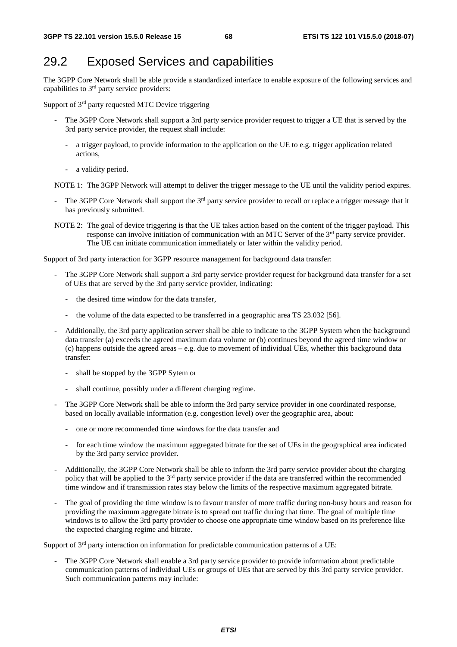### 29.2 Exposed Services and capabilities

The 3GPP Core Network shall be able provide a standardized interface to enable exposure of the following services and capabilities to 3rd party service providers:

Support of 3rd party requested MTC Device triggering

- The 3GPP Core Network shall support a 3rd party service provider request to trigger a UE that is served by the 3rd party service provider, the request shall include:
	- a trigger payload, to provide information to the application on the UE to e.g. trigger application related actions,
	- a validity period.

NOTE 1: The 3GPP Network will attempt to deliver the trigger message to the UE until the validity period expires.

- The 3GPP Core Network shall support the  $3<sup>rd</sup>$  party service provider to recall or replace a trigger message that it has previously submitted.
- NOTE 2: The goal of device triggering is that the UE takes action based on the content of the trigger payload. This response can involve initiation of communication with an MTC Server of the  $3<sup>rd</sup>$  party service provider. The UE can initiate communication immediately or later within the validity period.

Support of 3rd party interaction for 3GPP resource management for background data transfer:

- The 3GPP Core Network shall support a 3rd party service provider request for background data transfer for a set of UEs that are served by the 3rd party service provider, indicating:
	- the desired time window for the data transfer,
	- the volume of the data expected to be transferred in a geographic area TS 23.032 [56].
- Additionally, the 3rd party application server shall be able to indicate to the 3GPP System when the background data transfer (a) exceeds the agreed maximum data volume or (b) continues beyond the agreed time window or (c) happens outside the agreed areas – e.g. due to movement of individual UEs, whether this background data transfer:
	- shall be stopped by the 3GPP Sytem or
	- shall continue, possibly under a different charging regime.
- The 3GPP Core Network shall be able to inform the 3rd party service provider in one coordinated response, based on locally available information (e.g. congestion level) over the geographic area, about:
	- one or more recommended time windows for the data transfer and
	- for each time window the maximum aggregated bitrate for the set of UEs in the geographical area indicated by the 3rd party service provider.
- Additionally, the 3GPP Core Network shall be able to inform the 3rd party service provider about the charging policy that will be applied to the 3<sup>rd</sup> party service provider if the data are transferred within the recommended time window and if transmission rates stay below the limits of the respective maximum aggregated bitrate.
- The goal of providing the time window is to favour transfer of more traffic during non-busy hours and reason for providing the maximum aggregate bitrate is to spread out traffic during that time. The goal of multiple time windows is to allow the 3rd party provider to choose one appropriate time window based on its preference like the expected charging regime and bitrate.

Support of 3<sup>rd</sup> party interaction on information for predictable communication patterns of a UE:

The 3GPP Core Network shall enable a 3rd party service provider to provide information about predictable communication patterns of individual UEs or groups of UEs that are served by this 3rd party service provider. Such communication patterns may include: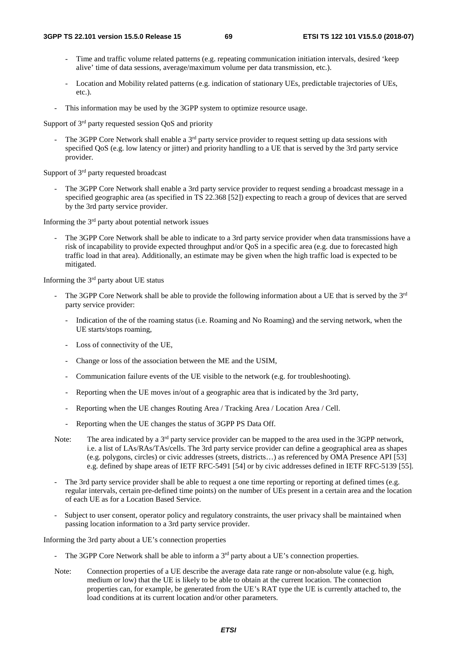- Time and traffic volume related patterns (e.g. repeating communication initiation intervals, desired 'keep alive' time of data sessions, average/maximum volume per data transmission, etc.).
- Location and Mobility related patterns (e.g. indication of stationary UEs, predictable trajectories of UEs, etc.).
- This information may be used by the 3GPP system to optimize resource usage.

Support of 3<sup>rd</sup> party requested session OoS and priority

The 3GPP Core Network shall enable a 3<sup>rd</sup> party service provider to request setting up data sessions with specified QoS (e.g. low latency or jitter) and priority handling to a UE that is served by the 3rd party service provider.

Support of 3rd party requested broadcast

The 3GPP Core Network shall enable a 3rd party service provider to request sending a broadcast message in a specified geographic area (as specified in TS 22.368 [52]) expecting to reach a group of devices that are served by the 3rd party service provider.

Informing the 3rd party about potential network issues

The 3GPP Core Network shall be able to indicate to a 3rd party service provider when data transmissions have a risk of incapability to provide expected throughput and/or QoS in a specific area (e.g. due to forecasted high traffic load in that area). Additionally, an estimate may be given when the high traffic load is expected to be mitigated.

Informing the  $3<sup>rd</sup>$  party about UE status

- The 3GPP Core Network shall be able to provide the following information about a UE that is served by the 3rd party service provider:
	- Indication of the of the roaming status (i.e. Roaming and No Roaming) and the serving network, when the UE starts/stops roaming,
	- Loss of connectivity of the UE,
	- Change or loss of the association between the ME and the USIM,
	- Communication failure events of the UE visible to the network (e.g. for troubleshooting).
	- Reporting when the UE moves in/out of a geographic area that is indicated by the 3rd party,
	- Reporting when the UE changes Routing Area / Tracking Area / Location Area / Cell.
	- Reporting when the UE changes the status of 3GPP PS Data Off.
- Note: The area indicated by a 3<sup>rd</sup> party service provider can be mapped to the area used in the 3GPP network, i.e. a list of LAs/RAs/TAs/cells. The 3rd party service provider can define a geographical area as shapes (e.g. polygons, circles) or civic addresses (streets, districts…) as referenced by OMA Presence API [53] e.g. defined by shape areas of IETF RFC-5491 [54] or by civic addresses defined in IETF RFC-5139 [55].
- The 3rd party service provider shall be able to request a one time reporting or reporting at defined times (e.g. regular intervals, certain pre-defined time points) on the number of UEs present in a certain area and the location of each UE as for a Location Based Service.
- Subject to user consent, operator policy and regulatory constraints, the user privacy shall be maintained when passing location information to a 3rd party service provider.

Informing the 3rd party about a UE's connection properties

- The 3GPP Core Network shall be able to inform a 3<sup>rd</sup> party about a UE's connection properties.
- Note: Connection properties of a UE describe the average data rate range or non-absolute value (e.g. high, medium or low) that the UE is likely to be able to obtain at the current location. The connection properties can, for example, be generated from the UE's RAT type the UE is currently attached to, the load conditions at its current location and/or other parameters.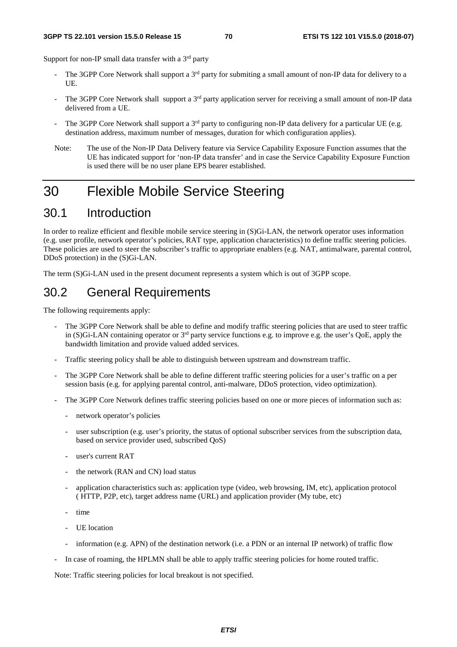Support for non-IP small data transfer with a  $3<sup>rd</sup>$  party

- The 3GPP Core Network shall support a 3<sup>rd</sup> party for submiting a small amount of non-IP data for delivery to a UE.
- The 3GPP Core Network shall support a 3<sup>rd</sup> party application server for receiving a small amount of non-IP data delivered from a UE.
- The 3GPP Core Network shall support a 3<sup>rd</sup> party to configuring non-IP data delivery for a particular UE (e.g. destination address, maximum number of messages, duration for which configuration applies).
- Note: The use of the Non-IP Data Delivery feature via Service Capability Exposure Function assumes that the UE has indicated support for 'non-IP data transfer' and in case the Service Capability Exposure Function is used there will be no user plane EPS bearer established.

# 30 Flexible Mobile Service Steering

### 30.1 Introduction

In order to realize efficient and flexible mobile service steering in (S)Gi-LAN, the network operator uses information (e.g. user profile, network operator's policies, RAT type, application characteristics) to define traffic steering policies. These policies are used to steer the subscriber's traffic to appropriate enablers (e.g. NAT, antimalware, parental control, DDoS protection) in the (S)Gi-LAN.

The term (S)Gi-LAN used in the present document represents a system which is out of 3GPP scope.

### 30.2 General Requirements

The following requirements apply:

- The 3GPP Core Network shall be able to define and modify traffic steering policies that are used to steer traffic in (S)Gi-LAN containing operator or 3rd party service functions e.g. to improve e.g. the user's QoE, apply the bandwidth limitation and provide valued added services.
- Traffic steering policy shall be able to distinguish between upstream and downstream traffic.
- The 3GPP Core Network shall be able to define different traffic steering policies for a user's traffic on a per session basis (e.g. for applying parental control, anti-malware, DDoS protection, video optimization).
- The 3GPP Core Network defines traffic steering policies based on one or more pieces of information such as:
	- network operator's policies
	- user subscription (e.g. user's priority, the status of optional subscriber services from the subscription data, based on service provider used, subscribed QoS)
	- user's current RAT
	- the network (RAN and CN) load status
	- application characteristics such as: application type (video, web browsing, IM, etc), application protocol ( HTTP, P2P, etc), target address name (URL) and application provider (My tube, etc)
	- time
	- UE location
	- information (e.g. APN) of the destination network (i.e. a PDN or an internal IP network) of traffic flow
	- In case of roaming, the HPLMN shall be able to apply traffic steering policies for home routed traffic.

Note: Traffic steering policies for local breakout is not specified.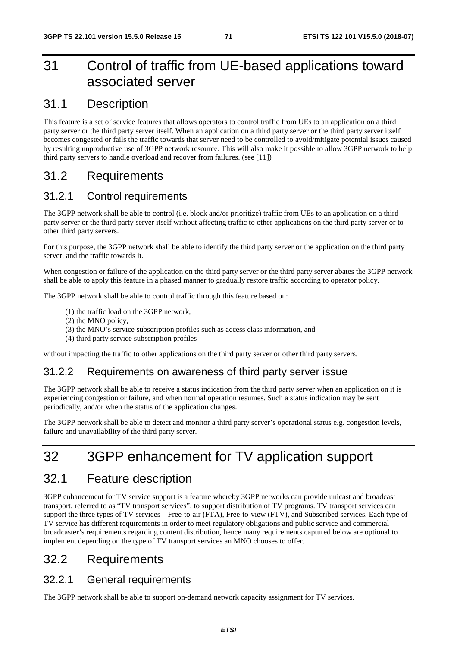# 31 Control of traffic from UE-based applications toward associated server

### 31.1 Description

This feature is a set of service features that allows operators to control traffic from UEs to an application on a third party server or the third party server itself. When an application on a third party server or the third party server itself becomes congested or fails the traffic towards that server need to be controlled to avoid/mitigate potential issues caused by resulting unproductive use of 3GPP network resource. This will also make it possible to allow 3GPP network to help third party servers to handle overload and recover from failures. (see [11])

### 31.2 Requirements

#### 31.2.1 Control requirements

The 3GPP network shall be able to control (i.e. block and/or prioritize) traffic from UEs to an application on a third party server or the third party server itself without affecting traffic to other applications on the third party server or to other third party servers.

For this purpose, the 3GPP network shall be able to identify the third party server or the application on the third party server, and the traffic towards it.

When congestion or failure of the application on the third party server or the third party server abates the 3GPP network shall be able to apply this feature in a phased manner to gradually restore traffic according to operator policy.

The 3GPP network shall be able to control traffic through this feature based on:

- (1) the traffic load on the 3GPP network,
- (2) the MNO policy,
- (3) the MNO's service subscription profiles such as access class information, and
- (4) third party service subscription profiles

without impacting the traffic to other applications on the third party server or other third party servers.

#### 31.2.2 Requirements on awareness of third party server issue

The 3GPP network shall be able to receive a status indication from the third party server when an application on it is experiencing congestion or failure, and when normal operation resumes. Such a status indication may be sent periodically, and/or when the status of the application changes.

The 3GPP network shall be able to detect and monitor a third party server's operational status e.g. congestion levels, failure and unavailability of the third party server.

# 32 3GPP enhancement for TV application support

### 32.1 Feature description

3GPP enhancement for TV service support is a feature whereby 3GPP networks can provide unicast and broadcast transport, referred to as "TV transport services", to support distribution of TV programs. TV transport services can support the three types of TV services – Free-to-air (FTA), Free-to-view (FTV), and Subscribed services. Each type of TV service has different requirements in order to meet regulatory obligations and public service and commercial broadcaster's requirements regarding content distribution, hence many requirements captured below are optional to implement depending on the type of TV transport services an MNO chooses to offer.

### 32.2 Requirements

#### 32.2.1 General requirements

The 3GPP network shall be able to support on-demand network capacity assignment for TV services.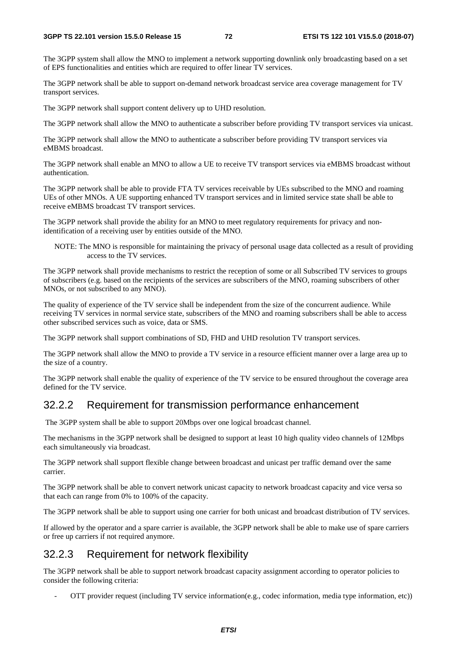### **3GPP TS 22.101 version 15.5.0 Release 15 72 ETSI TS 122 101 V15.5.0 (2018-07)**

The 3GPP system shall allow the MNO to implement a network supporting downlink only broadcasting based on a set of EPS functionalities and entities which are required to offer linear TV services.

The 3GPP network shall be able to support on-demand network broadcast service area coverage management for TV transport services.

The 3GPP network shall support content delivery up to UHD resolution.

The 3GPP network shall allow the MNO to authenticate a subscriber before providing TV transport services via unicast.

The 3GPP network shall allow the MNO to authenticate a subscriber before providing TV transport services via eMBMS broadcast.

The 3GPP network shall enable an MNO to allow a UE to receive TV transport services via eMBMS broadcast without authentication.

The 3GPP network shall be able to provide FTA TV services receivable by UEs subscribed to the MNO and roaming UEs of other MNOs. A UE supporting enhanced TV transport services and in limited service state shall be able to receive eMBMS broadcast TV transport services.

The 3GPP network shall provide the ability for an MNO to meet regulatory requirements for privacy and nonidentification of a receiving user by entities outside of the MNO.

NOTE: The MNO is responsible for maintaining the privacy of personal usage data collected as a result of providing access to the TV services.

The 3GPP network shall provide mechanisms to restrict the reception of some or all Subscribed TV services to groups of subscribers (e.g. based on the recipients of the services are subscribers of the MNO, roaming subscribers of other MNOs, or not subscribed to any MNO).

The quality of experience of the TV service shall be independent from the size of the concurrent audience. While receiving TV services in normal service state, subscribers of the MNO and roaming subscribers shall be able to access other subscribed services such as voice, data or SMS.

The 3GPP network shall support combinations of SD, FHD and UHD resolution TV transport services.

The 3GPP network shall allow the MNO to provide a TV service in a resource efficient manner over a large area up to the size of a country.

The 3GPP network shall enable the quality of experience of the TV service to be ensured throughout the coverage area defined for the TV service.

## 32.2.2 Requirement for transmission performance enhancement

The 3GPP system shall be able to support 20Mbps over one logical broadcast channel.

The mechanisms in the 3GPP network shall be designed to support at least 10 high quality video channels of 12Mbps each simultaneously via broadcast.

The 3GPP network shall support flexible change between broadcast and unicast per traffic demand over the same carrier.

The 3GPP network shall be able to convert network unicast capacity to network broadcast capacity and vice versa so that each can range from 0% to 100% of the capacity.

The 3GPP network shall be able to support using one carrier for both unicast and broadcast distribution of TV services.

If allowed by the operator and a spare carrier is available, the 3GPP network shall be able to make use of spare carriers or free up carriers if not required anymore.

## 32.2.3 Requirement for network flexibility

The 3GPP network shall be able to support network broadcast capacity assignment according to operator policies to consider the following criteria:

- OTT provider request (including TV service information(e.g., codec information, media type information, etc))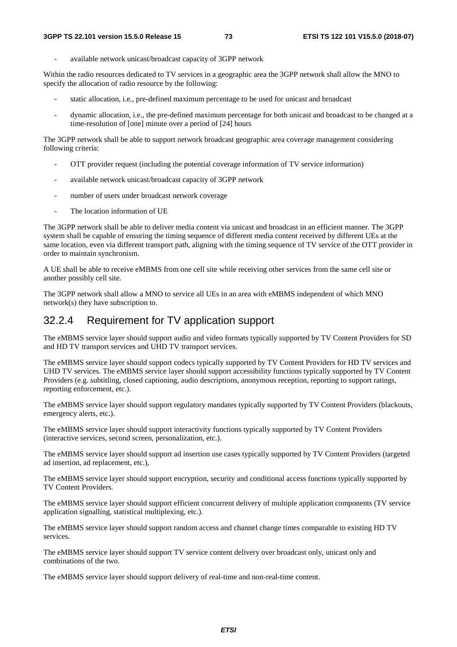available network unicast/broadcast capacity of 3GPP network

Within the radio resources dedicated to TV services in a geographic area the 3GPP network shall allow the MNO to specify the allocation of radio resource by the following:

- static allocation, i.e., pre-defined maximum percentage to be used for unicast and broadcast
- dynamic allocation, i.e., the pre-defined maximum percentage for both unicast and broadcast to be changed at a time-resolution of [one] minute over a period of [24] hours

The 3GPP network shall be able to support network broadcast geographic area coverage management considering following criteria:

- OTT provider request (including the potential coverage information of TV service information)
- available network unicast/broadcast capacity of 3GPP network
- number of users under broadcast network coverage
- The location information of UE

The 3GPP network shall be able to deliver media content via unicast and broadcast in an efficient manner. The 3GPP system shall be capable of ensuring the timing sequence of different media content received by different UEs at the same location, even via different transport path, aligning with the timing sequence of TV service of the OTT provider in order to maintain synchronism.

A UE shall be able to receive eMBMS from one cell site while receiving other services from the same cell site or another possibly cell site.

The 3GPP network shall allow a MNO to service all UEs in an area with eMBMS independent of which MNO network(s) they have subscription to.

### 32.2.4 Requirement for TV application support

The eMBMS service layer should support audio and video formats typically supported by TV Content Providers for SD and HD TV transport services and UHD TV transport services.

The eMBMS service layer should support codecs typically supported by TV Content Providers for HD TV services and UHD TV services. The eMBMS service layer should support accessibility functions typically supported by TV Content Providers (e.g. subtitling, closed captioning, audio descriptions, anonymous reception, reporting to support ratings, reporting enforcement, etc.).

The eMBMS service layer should support regulatory mandates typically supported by TV Content Providers (blackouts, emergency alerts, etc.).

The eMBMS service layer should support interactivity functions typically supported by TV Content Providers (interactive services, second screen, personalization, etc.).

The eMBMS service layer should support ad insertion use cases typically supported by TV Content Providers (targeted ad insertion, ad replacement, etc.),

The eMBMS service layer should support encryption, security and conditional access functions typically supported by TV Content Providers.

The eMBMS service layer should support efficient concurrent delivery of multiple application components (TV service application signalling, statistical multiplexing, etc.).

The eMBMS service layer should support random access and channel change times comparable to existing HD TV services.

The eMBMS service layer should support TV service content delivery over broadcast only, unicast only and combinations of the two.

The eMBMS service layer should support delivery of real-time and non-real-time content.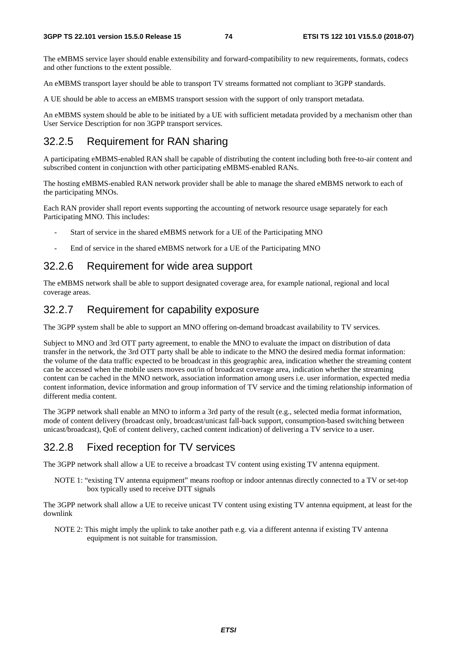The eMBMS service layer should enable extensibility and forward-compatibility to new requirements, formats, codecs and other functions to the extent possible.

An eMBMS transport layer should be able to transport TV streams formatted not compliant to 3GPP standards.

A UE should be able to access an eMBMS transport session with the support of only transport metadata.

An eMBMS system should be able to be initiated by a UE with sufficient metadata provided by a mechanism other than User Service Description for non 3GPP transport services.

### 32.2.5 Requirement for RAN sharing

A participating eMBMS-enabled RAN shall be capable of distributing the content including both free-to-air content and subscribed content in conjunction with other participating eMBMS-enabled RANs.

The hosting eMBMS-enabled RAN network provider shall be able to manage the shared eMBMS network to each of the participating MNOs.

Each RAN provider shall report events supporting the accounting of network resource usage separately for each Participating MNO. This includes:

- Start of service in the shared eMBMS network for a UE of the Participating MNO
- End of service in the shared eMBMS network for a UE of the Participating MNO

### 32.2.6 Requirement for wide area support

The eMBMS network shall be able to support designated coverage area, for example national, regional and local coverage areas.

### 32.2.7 Requirement for capability exposure

The 3GPP system shall be able to support an MNO offering on-demand broadcast availability to TV services.

Subject to MNO and 3rd OTT party agreement, to enable the MNO to evaluate the impact on distribution of data transfer in the network, the 3rd OTT party shall be able to indicate to the MNO the desired media format information: the volume of the data traffic expected to be broadcast in this geographic area, indication whether the streaming content can be accessed when the mobile users moves out/in of broadcast coverage area, indication whether the streaming content can be cached in the MNO network, association information among users i.e. user information, expected media content information, device information and group information of TV service and the timing relationship information of different media content.

The 3GPP network shall enable an MNO to inform a 3rd party of the result (e.g., selected media format information, mode of content delivery (broadcast only, broadcast/unicast fall-back support, consumption-based switching between unicast/broadcast), QoE of content delivery, cached content indication) of delivering a TV service to a user.

### 32.2.8 Fixed reception for TV services

The 3GPP network shall allow a UE to receive a broadcast TV content using existing TV antenna equipment.

NOTE 1: "existing TV antenna equipment" means rooftop or indoor antennas directly connected to a TV or set-top box typically used to receive DTT signals

The 3GPP network shall allow a UE to receive unicast TV content using existing TV antenna equipment, at least for the downlink

NOTE 2: This might imply the uplink to take another path e.g. via a different antenna if existing TV antenna equipment is not suitable for transmission.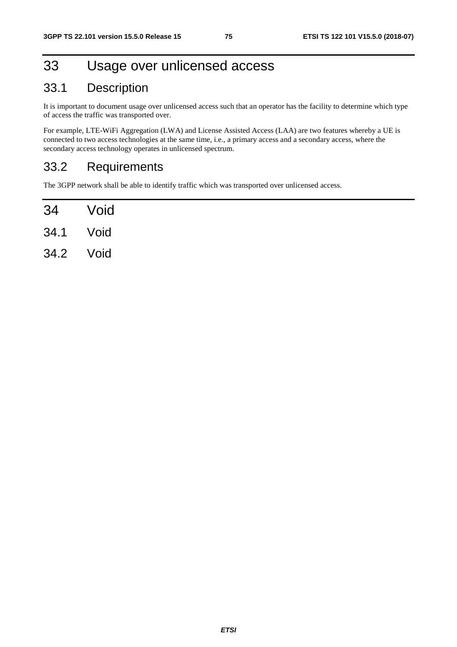# 33 Usage over unlicensed access

## 33.1 Description

It is important to document usage over unlicensed access such that an operator has the facility to determine which type of access the traffic was transported over.

For example, LTE-WiFi Aggregation (LWA) and License Assisted Access (LAA) are two features whereby a UE is connected to two access technologies at the same time, i.e., a primary access and a secondary access, where the secondary access technology operates in unlicensed spectrum.

## 33.2 Requirements

The 3GPP network shall be able to identify traffic which was transported over unlicensed access.

| 34   | Void |
|------|------|
| 34.1 | Void |
| 34.2 | Void |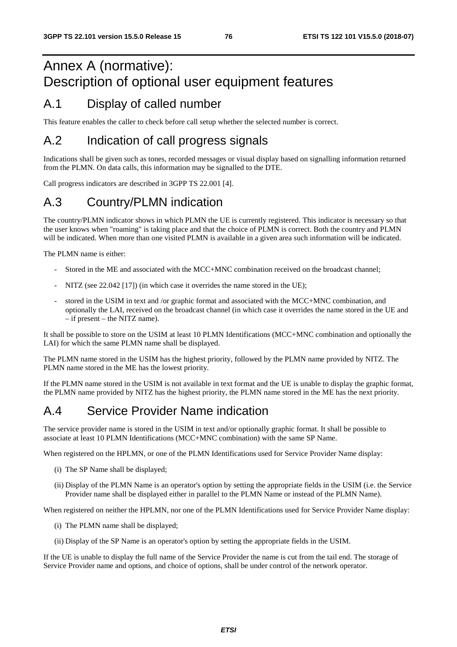# Annex A (normative): Description of optional user equipment features

## A.1 Display of called number

This feature enables the caller to check before call setup whether the selected number is correct.

## A.2 Indication of call progress signals

Indications shall be given such as tones, recorded messages or visual display based on signalling information returned from the PLMN. On data calls, this information may be signalled to the DTE.

Call progress indicators are described in 3GPP TS 22.001 [4].

## A.3 Country/PLMN indication

The country/PLMN indicator shows in which PLMN the UE is currently registered. This indicator is necessary so that the user knows when "roaming" is taking place and that the choice of PLMN is correct. Both the country and PLMN will be indicated. When more than one visited PLMN is available in a given area such information will be indicated.

The PLMN name is either:

- Stored in the ME and associated with the MCC+MNC combination received on the broadcast channel;
- NITZ (see 22.042 [17]) (in which case it overrides the name stored in the UE);
- stored in the USIM in text and /or graphic format and associated with the MCC+MNC combination, and optionally the LAI, received on the broadcast channel (in which case it overrides the name stored in the UE and – if present – the NITZ name).

It shall be possible to store on the USIM at least 10 PLMN Identifications (MCC+MNC combination and optionally the LAI) for which the same PLMN name shall be displayed.

The PLMN name stored in the USIM has the highest priority, followed by the PLMN name provided by NITZ. The PLMN name stored in the ME has the lowest priority.

If the PLMN name stored in the USIM is not available in text format and the UE is unable to display the graphic format, the PLMN name provided by NITZ has the highest priority, the PLMN name stored in the ME has the next priority.

## A.4 Service Provider Name indication

The service provider name is stored in the USIM in text and/or optionally graphic format. It shall be possible to associate at least 10 PLMN Identifications (MCC+MNC combination) with the same SP Name.

When registered on the HPLMN, or one of the PLMN Identifications used for Service Provider Name display:

- (i) The SP Name shall be displayed;
- (ii) Display of the PLMN Name is an operator's option by setting the appropriate fields in the USIM (i.e. the Service Provider name shall be displayed either in parallel to the PLMN Name or instead of the PLMN Name).

When registered on neither the HPLMN, nor one of the PLMN Identifications used for Service Provider Name display:

- (i) The PLMN name shall be displayed;
- (ii) Display of the SP Name is an operator's option by setting the appropriate fields in the USIM.

If the UE is unable to display the full name of the Service Provider the name is cut from the tail end. The storage of Service Provider name and options, and choice of options, shall be under control of the network operator.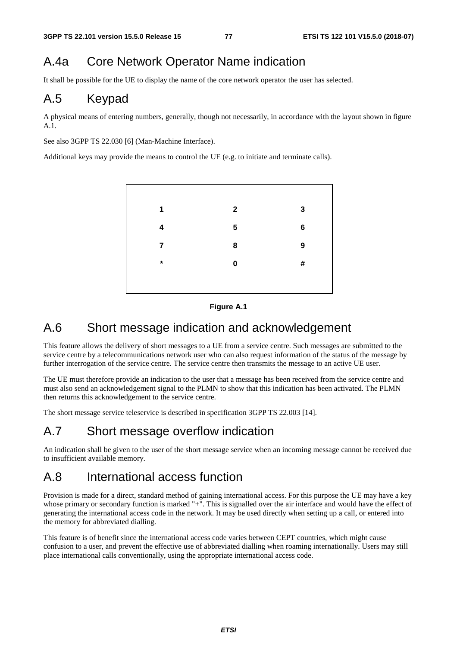## A.4a Core Network Operator Name indication

It shall be possible for the UE to display the name of the core network operator the user has selected.

## A.5 Keypad

A physical means of entering numbers, generally, though not necessarily, in accordance with the layout shown in figure A.1.

See also 3GPP TS 22.030 [6] (Man-Machine Interface).

Additional keys may provide the means to control the UE (e.g. to initiate and terminate calls).

| 1       | $\overline{2}$ | $\mathbf{3}$ |
|---------|----------------|--------------|
| 4       | 5              | 6            |
| 7       | 8              | 9            |
| $\star$ | 0              | #            |
|         |                |              |
|         |                |              |



## A.6 Short message indication and acknowledgement

This feature allows the delivery of short messages to a UE from a service centre. Such messages are submitted to the service centre by a telecommunications network user who can also request information of the status of the message by further interrogation of the service centre. The service centre then transmits the message to an active UE user.

The UE must therefore provide an indication to the user that a message has been received from the service centre and must also send an acknowledgement signal to the PLMN to show that this indication has been activated. The PLMN then returns this acknowledgement to the service centre.

The short message service teleservice is described in specification 3GPP TS 22.003 [14].

## A.7 Short message overflow indication

An indication shall be given to the user of the short message service when an incoming message cannot be received due to insufficient available memory.

## A.8 International access function

Provision is made for a direct, standard method of gaining international access. For this purpose the UE may have a key whose primary or secondary function is marked "+". This is signalled over the air interface and would have the effect of generating the international access code in the network. It may be used directly when setting up a call, or entered into the memory for abbreviated dialling.

This feature is of benefit since the international access code varies between CEPT countries, which might cause confusion to a user, and prevent the effective use of abbreviated dialling when roaming internationally. Users may still place international calls conventionally, using the appropriate international access code.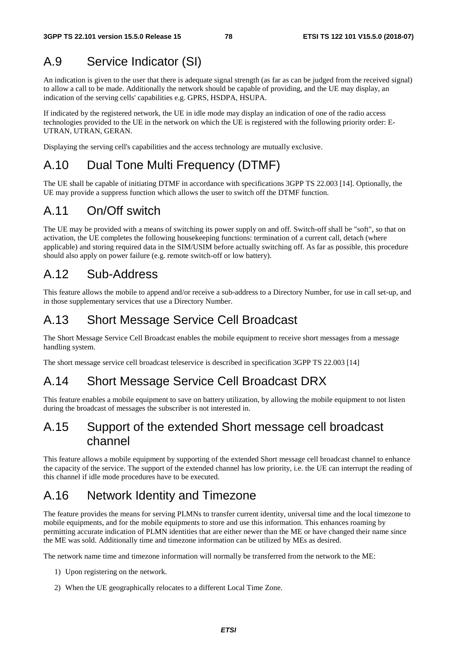## A.9 Service Indicator (SI)

An indication is given to the user that there is adequate signal strength (as far as can be judged from the received signal) to allow a call to be made. Additionally the network should be capable of providing, and the UE may display, an indication of the serving cells' capabilities e.g. GPRS, HSDPA, HSUPA.

If indicated by the registered network, the UE in idle mode may display an indication of one of the radio access technologies provided to the UE in the network on which the UE is registered with the following priority order: E-UTRAN, UTRAN, GERAN.

Displaying the serving cell's capabilities and the access technology are mutually exclusive.

## A.10 Dual Tone Multi Frequency (DTMF)

The UE shall be capable of initiating DTMF in accordance with specifications 3GPP TS 22.003 [14]. Optionally, the UE may provide a suppress function which allows the user to switch off the DTMF function.

## A.11 On/Off switch

The UE may be provided with a means of switching its power supply on and off. Switch-off shall be "soft", so that on activation, the UE completes the following housekeeping functions: termination of a current call, detach (where applicable) and storing required data in the SIM/USIM before actually switching off. As far as possible, this procedure should also apply on power failure (e.g. remote switch-off or low battery).

## A.12 Sub-Address

This feature allows the mobile to append and/or receive a sub-address to a Directory Number, for use in call set-up, and in those supplementary services that use a Directory Number.

## A.13 Short Message Service Cell Broadcast

The Short Message Service Cell Broadcast enables the mobile equipment to receive short messages from a message handling system.

The short message service cell broadcast teleservice is described in specification 3GPP TS 22.003 [14]

## A.14 Short Message Service Cell Broadcast DRX

This feature enables a mobile equipment to save on battery utilization, by allowing the mobile equipment to not listen during the broadcast of messages the subscriber is not interested in.

## A.15 Support of the extended Short message cell broadcast channel

This feature allows a mobile equipment by supporting of the extended Short message cell broadcast channel to enhance the capacity of the service. The support of the extended channel has low priority, i.e. the UE can interrupt the reading of this channel if idle mode procedures have to be executed.

## A.16 Network Identity and Timezone

The feature provides the means for serving PLMNs to transfer current identity, universal time and the local timezone to mobile equipments, and for the mobile equipments to store and use this information. This enhances roaming by permitting accurate indication of PLMN identities that are either newer than the ME or have changed their name since the ME was sold. Additionally time and timezone information can be utilized by MEs as desired.

The network name time and timezone information will normally be transferred from the network to the ME:

- 1) Upon registering on the network.
- 2) When the UE geographically relocates to a different Local Time Zone.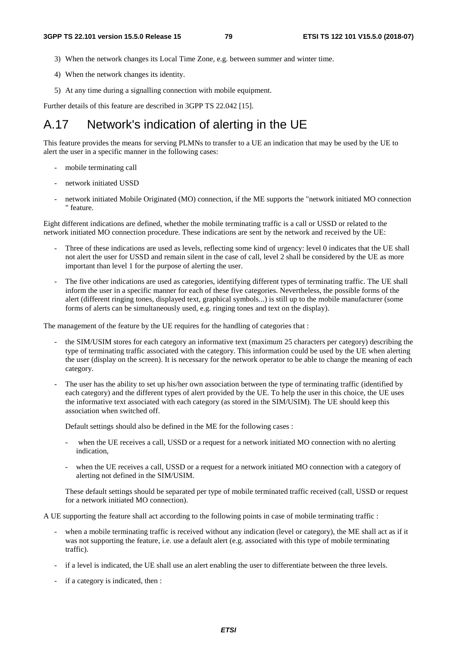- 3) When the network changes its Local Time Zone, e.g. between summer and winter time.
- 4) When the network changes its identity.
- 5) At any time during a signalling connection with mobile equipment.

Further details of this feature are described in 3GPP TS 22.042 [15].

## A.17 Network's indication of alerting in the UE

This feature provides the means for serving PLMNs to transfer to a UE an indication that may be used by the UE to alert the user in a specific manner in the following cases:

- mobile terminating call
- network initiated USSD
- network initiated Mobile Originated (MO) connection, if the ME supports the "network initiated MO connection " feature.

Eight different indications are defined, whether the mobile terminating traffic is a call or USSD or related to the network initiated MO connection procedure. These indications are sent by the network and received by the UE:

- Three of these indications are used as levels, reflecting some kind of urgency: level 0 indicates that the UE shall not alert the user for USSD and remain silent in the case of call, level 2 shall be considered by the UE as more important than level 1 for the purpose of alerting the user.
- The five other indications are used as categories, identifying different types of terminating traffic. The UE shall inform the user in a specific manner for each of these five categories. Nevertheless, the possible forms of the alert (different ringing tones, displayed text, graphical symbols...) is still up to the mobile manufacturer (some forms of alerts can be simultaneously used, e.g. ringing tones and text on the display).

The management of the feature by the UE requires for the handling of categories that :

- the SIM/USIM stores for each category an informative text (maximum 25 characters per category) describing the type of terminating traffic associated with the category. This information could be used by the UE when alerting the user (display on the screen). It is necessary for the network operator to be able to change the meaning of each category.
- The user has the ability to set up his/her own association between the type of terminating traffic (identified by each category) and the different types of alert provided by the UE. To help the user in this choice, the UE uses the informative text associated with each category (as stored in the SIM/USIM). The UE should keep this association when switched off.

Default settings should also be defined in the ME for the following cases :

- when the UE receives a call, USSD or a request for a network initiated MO connection with no alerting indication,
- when the UE receives a call, USSD or a request for a network initiated MO connection with a category of alerting not defined in the SIM/USIM.

 These default settings should be separated per type of mobile terminated traffic received (call, USSD or request for a network initiated MO connection).

A UE supporting the feature shall act according to the following points in case of mobile terminating traffic :

- when a mobile terminating traffic is received without any indication (level or category), the ME shall act as if it was not supporting the feature, i.e. use a default alert (e.g. associated with this type of mobile terminating traffic).
- if a level is indicated, the UE shall use an alert enabling the user to differentiate between the three levels.
- if a category is indicated, then :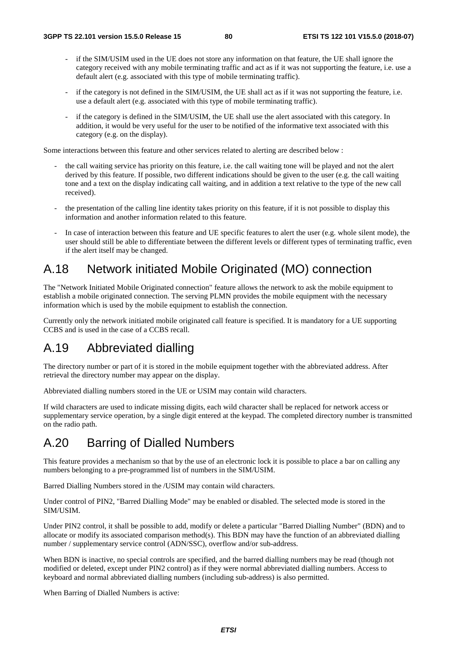- if the SIM/USIM used in the UE does not store any information on that feature, the UE shall ignore the category received with any mobile terminating traffic and act as if it was not supporting the feature, i.e. use a default alert (e.g. associated with this type of mobile terminating traffic).
- if the category is not defined in the SIM/USIM, the UE shall act as if it was not supporting the feature, i.e. use a default alert (e.g. associated with this type of mobile terminating traffic).
- if the category is defined in the SIM/USIM, the UE shall use the alert associated with this category. In addition, it would be very useful for the user to be notified of the informative text associated with this category (e.g. on the display).

Some interactions between this feature and other services related to alerting are described below :

- the call waiting service has priority on this feature, i.e. the call waiting tone will be played and not the alert derived by this feature. If possible, two different indications should be given to the user (e.g. the call waiting tone and a text on the display indicating call waiting, and in addition a text relative to the type of the new call received).
- the presentation of the calling line identity takes priority on this feature, if it is not possible to display this information and another information related to this feature.
- In case of interaction between this feature and UE specific features to alert the user (e.g. whole silent mode), the user should still be able to differentiate between the different levels or different types of terminating traffic, even if the alert itself may be changed.

## A.18 Network initiated Mobile Originated (MO) connection

The "Network Initiated Mobile Originated connection" feature allows the network to ask the mobile equipment to establish a mobile originated connection. The serving PLMN provides the mobile equipment with the necessary information which is used by the mobile equipment to establish the connection.

Currently only the network initiated mobile originated call feature is specified. It is mandatory for a UE supporting CCBS and is used in the case of a CCBS recall.

## A.19 Abbreviated dialling

The directory number or part of it is stored in the mobile equipment together with the abbreviated address. After retrieval the directory number may appear on the display.

Abbreviated dialling numbers stored in the UE or USIM may contain wild characters.

If wild characters are used to indicate missing digits, each wild character shall be replaced for network access or supplementary service operation, by a single digit entered at the keypad. The completed directory number is transmitted on the radio path.

## A.20 Barring of Dialled Numbers

This feature provides a mechanism so that by the use of an electronic lock it is possible to place a bar on calling any numbers belonging to a pre-programmed list of numbers in the SIM/USIM.

Barred Dialling Numbers stored in the /USIM may contain wild characters.

Under control of PIN2, "Barred Dialling Mode" may be enabled or disabled. The selected mode is stored in the SIM/USIM.

Under PIN2 control, it shall be possible to add, modify or delete a particular "Barred Dialling Number" (BDN) and to allocate or modify its associated comparison method(s). This BDN may have the function of an abbreviated dialling number / supplementary service control (ADN/SSC), overflow and/or sub-address.

When BDN is inactive, no special controls are specified, and the barred dialling numbers may be read (though not modified or deleted, except under PIN2 control) as if they were normal abbreviated dialling numbers. Access to keyboard and normal abbreviated dialling numbers (including sub-address) is also permitted.

When Barring of Dialled Numbers is active: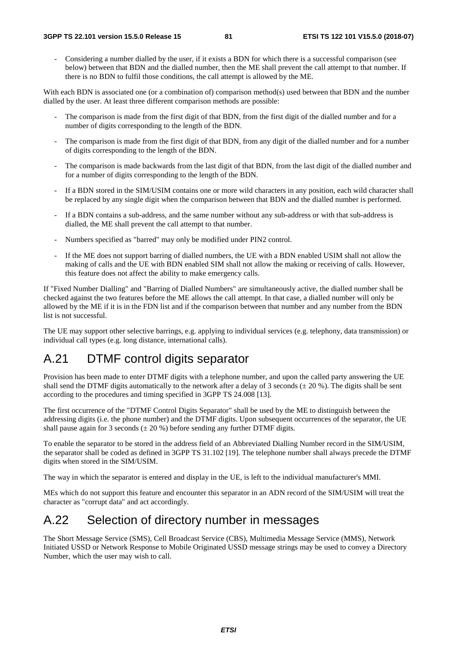- Considering a number dialled by the user, if it exists a BDN for which there is a successful comparison (see below) between that BDN and the dialled number, then the ME shall prevent the call attempt to that number. If there is no BDN to fulfil those conditions, the call attempt is allowed by the ME.

With each BDN is associated one (or a combination of) comparison method(s) used between that BDN and the number dialled by the user. At least three different comparison methods are possible:

- The comparison is made from the first digit of that BDN, from the first digit of the dialled number and for a number of digits corresponding to the length of the BDN.
- The comparison is made from the first digit of that BDN, from any digit of the dialled number and for a number of digits corresponding to the length of the BDN.
- The comparison is made backwards from the last digit of that BDN, from the last digit of the dialled number and for a number of digits corresponding to the length of the BDN.
- If a BDN stored in the SIM/USIM contains one or more wild characters in any position, each wild character shall be replaced by any single digit when the comparison between that BDN and the dialled number is performed.
- If a BDN contains a sub-address, and the same number without any sub-address or with that sub-address is dialled, the ME shall prevent the call attempt to that number.
- Numbers specified as "barred" may only be modified under PIN2 control.
- If the ME does not support barring of dialled numbers, the UE with a BDN enabled USIM shall not allow the making of calls and the UE with BDN enabled SIM shall not allow the making or receiving of calls. However, this feature does not affect the ability to make emergency calls.

If "Fixed Number Dialling" and "Barring of Dialled Numbers" are simultaneously active, the dialled number shall be checked against the two features before the ME allows the call attempt. In that case, a dialled number will only be allowed by the ME if it is in the FDN list and if the comparison between that number and any number from the BDN list is not successful.

The UE may support other selective barrings, e.g. applying to individual services (e.g. telephony, data transmission) or individual call types (e.g. long distance, international calls).

## A.21 DTMF control digits separator

Provision has been made to enter DTMF digits with a telephone number, and upon the called party answering the UE shall send the DTMF digits automatically to the network after a delay of 3 seconds ( $\pm$  20 %). The digits shall be sent according to the procedures and timing specified in 3GPP TS 24.008 [13].

The first occurrence of the "DTMF Control Digits Separator" shall be used by the ME to distinguish between the addressing digits (i.e. the phone number) and the DTMF digits. Upon subsequent occurrences of the separator, the UE shall pause again for 3 seconds ( $\pm$  20 %) before sending any further DTMF digits.

To enable the separator to be stored in the address field of an Abbreviated Dialling Number record in the SIM/USIM, the separator shall be coded as defined in 3GPP TS 31.102 [19]. The telephone number shall always precede the DTMF digits when stored in the SIM/USIM.

The way in which the separator is entered and display in the UE, is left to the individual manufacturer's MMI.

MEs which do not support this feature and encounter this separator in an ADN record of the SIM/USIM will treat the character as "corrupt data" and act accordingly.

## A.22 Selection of directory number in messages

The Short Message Service (SMS), Cell Broadcast Service (CBS), Multimedia Message Service (MMS), Network Initiated USSD or Network Response to Mobile Originated USSD message strings may be used to convey a Directory Number, which the user may wish to call.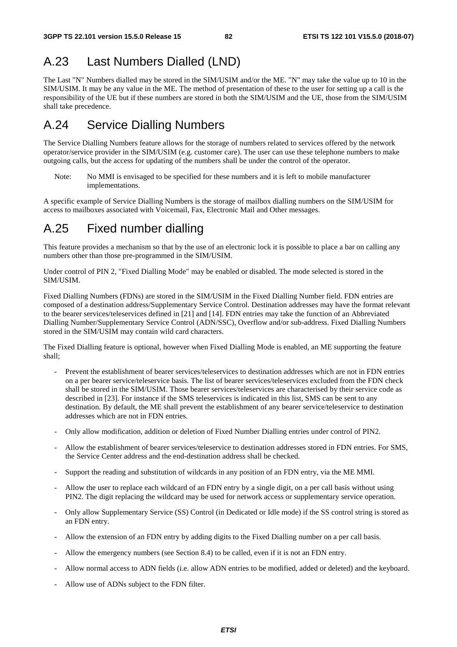## A.23 Last Numbers Dialled (LND)

The Last "N" Numbers dialled may be stored in the SIM/USIM and/or the ME. "N" may take the value up to 10 in the SIM/USIM. It may be any value in the ME. The method of presentation of these to the user for setting up a call is the responsibility of the UE but if these numbers are stored in both the SIM/USIM and the UE, those from the SIM/USIM shall take precedence.

## A.24 Service Dialling Numbers

The Service Dialling Numbers feature allows for the storage of numbers related to services offered by the network operator/service provider in the SIM/USIM (e.g. customer care). The user can use these telephone numbers to make outgoing calls, but the access for updating of the numbers shall be under the control of the operator.

Note: No MMI is envisaged to be specified for these numbers and it is left to mobile manufacturer implementations.

A specific example of Service Dialling Numbers is the storage of mailbox dialling numbers on the SIM/USIM for access to mailboxes associated with Voicemail, Fax, Electronic Mail and Other messages.

## A.25 Fixed number dialling

This feature provides a mechanism so that by the use of an electronic lock it is possible to place a bar on calling any numbers other than those pre-programmed in the SIM/USIM.

Under control of PIN 2, "Fixed Dialling Mode" may be enabled or disabled. The mode selected is stored in the SIM/USIM.

Fixed Dialling Numbers (FDNs) are stored in the SIM/USIM in the Fixed Dialling Number field. FDN entries are composed of a destination address/Supplementary Service Control. Destination addresses may have the format relevant to the bearer services/teleservices defined in [21] and [14]. FDN entries may take the function of an Abbreviated Dialling Number/Supplementary Service Control (ADN/SSC), Overflow and/or sub-address. Fixed Dialling Numbers stored in the SIM/USIM may contain wild card characters.

The Fixed Dialling feature is optional, however when Fixed Dialling Mode is enabled, an ME supporting the feature shall;

- Prevent the establishment of bearer services/teleservices to destination addresses which are not in FDN entries on a per bearer service/teleservice basis. The list of bearer services/teleservices excluded from the FDN check shall be stored in the SIM/USIM. Those bearer services/teleservices are characterised by their service code as described in [23]. For instance if the SMS teleservices is indicated in this list, SMS can be sent to any destination. By default, the ME shall prevent the establishment of any bearer service/teleservice to destination addresses which are not in FDN entries.
- Only allow modification, addition or deletion of Fixed Number Dialling entries under control of PIN2.
- Allow the establishment of bearer services/teleservice to destination addresses stored in FDN entries. For SMS, the Service Center address and the end-destination address shall be checked.
- Support the reading and substitution of wildcards in any position of an FDN entry, via the ME MMI.
- Allow the user to replace each wildcard of an FDN entry by a single digit, on a per call basis without using PIN2. The digit replacing the wildcard may be used for network access or supplementary service operation.
- Only allow Supplementary Service (SS) Control (in Dedicated or Idle mode) if the SS control string is stored as an FDN entry.
- Allow the extension of an FDN entry by adding digits to the Fixed Dialling number on a per call basis.
- Allow the emergency numbers (see Section 8.4) to be called, even if it is not an FDN entry.
- Allow normal access to ADN fields (i.e. allow ADN entries to be modified, added or deleted) and the keyboard.
- Allow use of ADNs subject to the FDN filter.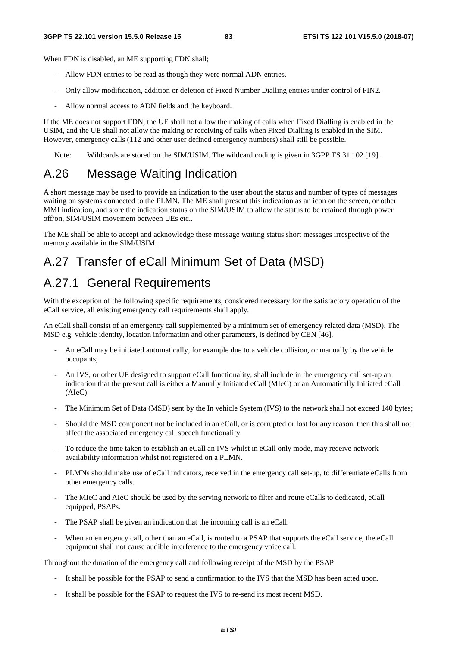When FDN is disabled, an ME supporting FDN shall;

- Allow FDN entries to be read as though they were normal ADN entries.
- Only allow modification, addition or deletion of Fixed Number Dialling entries under control of PIN2.
- Allow normal access to ADN fields and the keyboard.

If the ME does not support FDN, the UE shall not allow the making of calls when Fixed Dialling is enabled in the USIM, and the UE shall not allow the making or receiving of calls when Fixed Dialling is enabled in the SIM. However, emergency calls (112 and other user defined emergency numbers) shall still be possible.

Note: Wildcards are stored on the SIM/USIM. The wildcard coding is given in 3GPP TS 31.102 [19].

## A.26 Message Waiting Indication

A short message may be used to provide an indication to the user about the status and number of types of messages waiting on systems connected to the PLMN. The ME shall present this indication as an icon on the screen, or other MMI indication, and store the indication status on the SIM/USIM to allow the status to be retained through power off/on, SIM/USIM movement between UEs etc..

The ME shall be able to accept and acknowledge these message waiting status short messages irrespective of the memory available in the SIM/USIM.

## A.27 Transfer of eCall Minimum Set of Data (MSD)

## A.27.1 General Requirements

With the exception of the following specific requirements, considered necessary for the satisfactory operation of the eCall service, all existing emergency call requirements shall apply.

An eCall shall consist of an emergency call supplemented by a minimum set of emergency related data (MSD). The MSD e.g. vehicle identity, location information and other parameters, is defined by CEN [46].

- An eCall may be initiated automatically, for example due to a vehicle collision, or manually by the vehicle occupants;
- An IVS, or other UE designed to support eCall functionality, shall include in the emergency call set-up an indication that the present call is either a Manually Initiated eCall (MIeC) or an Automatically Initiated eCall (AIeC).
- The Minimum Set of Data (MSD) sent by the In vehicle System (IVS) to the network shall not exceed 140 bytes;
- Should the MSD component not be included in an eCall, or is corrupted or lost for any reason, then this shall not affect the associated emergency call speech functionality.
- To reduce the time taken to establish an eCall an IVS whilst in eCall only mode, may receive network availability information whilst not registered on a PLMN.
- PLMNs should make use of eCall indicators, received in the emergency call set-up, to differentiate eCalls from other emergency calls.
- The MIeC and AIeC should be used by the serving network to filter and route eCalls to dedicated, eCall equipped, PSAPs.
- The PSAP shall be given an indication that the incoming call is an eCall.
- When an emergency call, other than an eCall, is routed to a PSAP that supports the eCall service, the eCall equipment shall not cause audible interference to the emergency voice call.

Throughout the duration of the emergency call and following receipt of the MSD by the PSAP

- It shall be possible for the PSAP to send a confirmation to the IVS that the MSD has been acted upon.
- It shall be possible for the PSAP to request the IVS to re-send its most recent MSD.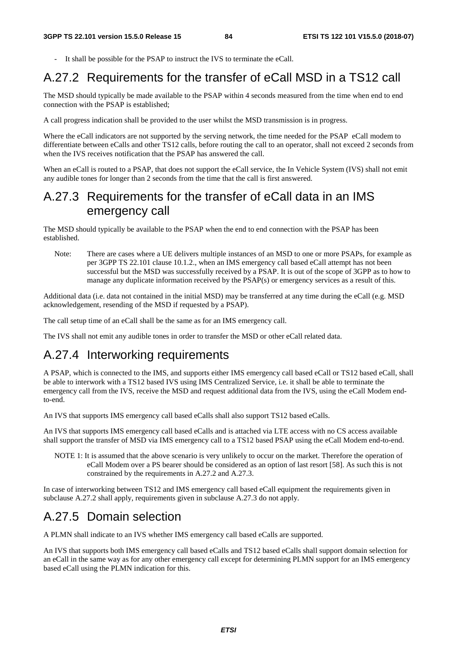It shall be possible for the PSAP to instruct the IVS to terminate the eCall.

## A.27.2 Requirements for the transfer of eCall MSD in a TS12 call

The MSD should typically be made available to the PSAP within 4 seconds measured from the time when end to end connection with the PSAP is established;

A call progress indication shall be provided to the user whilst the MSD transmission is in progress.

Where the eCall indicators are not supported by the serving network, the time needed for the PSAP eCall modem to differentiate between eCalls and other TS12 calls, before routing the call to an operator, shall not exceed 2 seconds from when the IVS receives notification that the PSAP has answered the call.

When an eCall is routed to a PSAP, that does not support the eCall service, the In Vehicle System (IVS) shall not emit any audible tones for longer than 2 seconds from the time that the call is first answered.

## A.27.3 Requirements for the transfer of eCall data in an IMS emergency call

The MSD should typically be available to the PSAP when the end to end connection with the PSAP has been established.

Note: There are cases where a UE delivers multiple instances of an MSD to one or more PSAPs, for example as per 3GPP TS 22.101 clause 10.1.2., when an IMS emergency call based eCall attempt has not been successful but the MSD was successfully received by a PSAP. It is out of the scope of 3GPP as to how to manage any duplicate information received by the PSAP(s) or emergency services as a result of this.

Additional data (i.e. data not contained in the initial MSD) may be transferred at any time during the eCall (e.g. MSD acknowledgement, resending of the MSD if requested by a PSAP).

The call setup time of an eCall shall be the same as for an IMS emergency call.

The IVS shall not emit any audible tones in order to transfer the MSD or other eCall related data.

## A.27.4 Interworking requirements

A PSAP, which is connected to the IMS, and supports either IMS emergency call based eCall or TS12 based eCall, shall be able to interwork with a TS12 based IVS using IMS Centralized Service, i.e. it shall be able to terminate the emergency call from the IVS, receive the MSD and request additional data from the IVS, using the eCall Modem endto-end.

An IVS that supports IMS emergency call based eCalls shall also support TS12 based eCalls.

An IVS that supports IMS emergency call based eCalls and is attached via LTE access with no CS access available shall support the transfer of MSD via IMS emergency call to a TS12 based PSAP using the eCall Modem end-to-end.

NOTE 1: It is assumed that the above scenario is very unlikely to occur on the market. Therefore the operation of eCall Modem over a PS bearer should be considered as an option of last resort [58]. As such this is not constrained by the requirements in A.27.2 and A.27.3.

In case of interworking between TS12 and IMS emergency call based eCall equipment the requirements given in subclause A.27.2 shall apply, requirements given in subclause A.27.3 do not apply.

## A.27.5 Domain selection

A PLMN shall indicate to an IVS whether IMS emergency call based eCalls are supported.

An IVS that supports both IMS emergency call based eCalls and TS12 based eCalls shall support domain selection for an eCall in the same way as for any other emergency call except for determining PLMN support for an IMS emergency based eCall using the PLMN indication for this.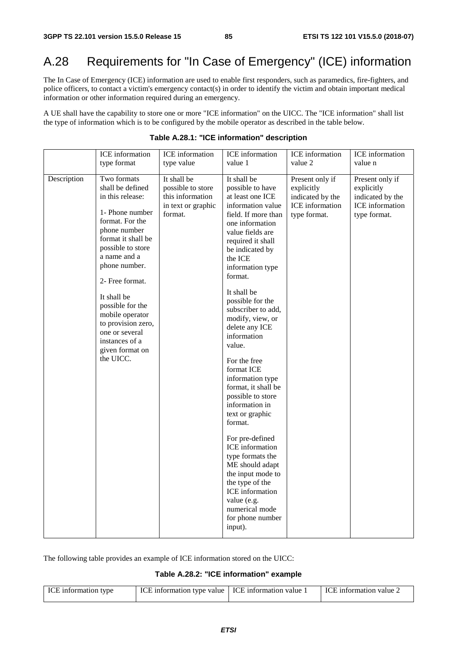## A.28 Requirements for "In Case of Emergency" (ICE) information

The In Case of Emergency (ICE) information are used to enable first responders, such as paramedics, fire-fighters, and police officers, to contact a victim's emergency contact(s) in order to identify the victim and obtain important medical information or other information required during an emergency.

A UE shall have the capability to store one or more "ICE information" on the UICC. The "ICE information" shall list the type of information which is to be configured by the mobile operator as described in the table below.

|             | ICE information                                                                                                                                                                                                                                                                                                                                          | ICE information                                                                       | ICE information                                                                                                                                                                                                                                                                                                                                                                                                                                                                                                                                                                                                                                                                                               | ICE information                                                                      | ICE information                                                                      |
|-------------|----------------------------------------------------------------------------------------------------------------------------------------------------------------------------------------------------------------------------------------------------------------------------------------------------------------------------------------------------------|---------------------------------------------------------------------------------------|---------------------------------------------------------------------------------------------------------------------------------------------------------------------------------------------------------------------------------------------------------------------------------------------------------------------------------------------------------------------------------------------------------------------------------------------------------------------------------------------------------------------------------------------------------------------------------------------------------------------------------------------------------------------------------------------------------------|--------------------------------------------------------------------------------------|--------------------------------------------------------------------------------------|
|             | type format                                                                                                                                                                                                                                                                                                                                              | type value                                                                            | value 1                                                                                                                                                                                                                                                                                                                                                                                                                                                                                                                                                                                                                                                                                                       | value 2                                                                              | value n                                                                              |
| Description | Two formats<br>shall be defined<br>in this release:<br>1- Phone number<br>format. For the<br>phone number<br>format it shall be<br>possible to store<br>a name and a<br>phone number.<br>2- Free format.<br>It shall be<br>possible for the<br>mobile operator<br>to provision zero,<br>one or several<br>instances of a<br>given format on<br>the UICC. | It shall be<br>possible to store<br>this information<br>in text or graphic<br>format. | It shall be<br>possible to have<br>at least one ICE<br>information value<br>field. If more than<br>one information<br>value fields are<br>required it shall<br>be indicated by<br>the ICE<br>information type<br>format.<br>It shall be<br>possible for the<br>subscriber to add,<br>modify, view, or<br>delete any ICE<br>information<br>value.<br>For the free<br>format ICE<br>information type<br>format, it shall be<br>possible to store<br>information in<br>text or graphic<br>format.<br>For pre-defined<br><b>ICE</b> information<br>type formats the<br>ME should adapt<br>the input mode to<br>the type of the<br>ICE information<br>value (e.g.<br>numerical mode<br>for phone number<br>input). | Present only if<br>explicitly<br>indicated by the<br>ICE information<br>type format. | Present only if<br>explicitly<br>indicated by the<br>ICE information<br>type format. |

### **Table A.28.1: "ICE information" description**

The following table provides an example of ICE information stored on the UICC:

### **Table A.28.2: "ICE information" example**

| <b>ICE</b> information type | ICE information type value   ICE information value 1 | $\blacksquare$ ICE information value 2 |
|-----------------------------|------------------------------------------------------|----------------------------------------|
|                             |                                                      |                                        |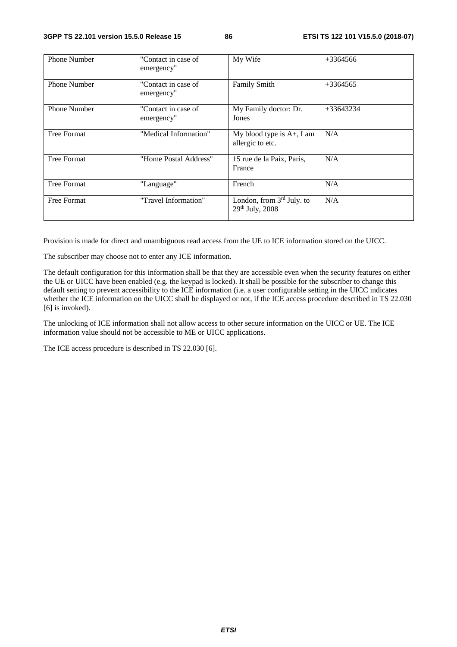| <b>Phone Number</b> | "Contact in case of<br>emergency" | My Wife                                          | $+3364566$  |  |  |
|---------------------|-----------------------------------|--------------------------------------------------|-------------|--|--|
| <b>Phone Number</b> | "Contact in case of<br>emergency" | Family Smith                                     | $+3364565$  |  |  |
| <b>Phone Number</b> | "Contact in case of<br>emergency" | My Family doctor: Dr.<br>Jones                   | $+33643234$ |  |  |
| Free Format         | "Medical Information"             | My blood type is $A+$ , I am<br>allergic to etc. | N/A         |  |  |
| Free Format         | "Home Postal Address"             | 15 rue de la Paix, Paris,<br>France              | N/A         |  |  |
| Free Format         | "Language"                        | French                                           | N/A         |  |  |
| Free Format         | "Travel Information"              | London, from $3rd$ July. to<br>29th July, 2008   | N/A         |  |  |

Provision is made for direct and unambiguous read access from the UE to ICE information stored on the UICC.

The subscriber may choose not to enter any ICE information.

The default configuration for this information shall be that they are accessible even when the security features on either the UE or UICC have been enabled (e.g. the keypad is locked). It shall be possible for the subscriber to change this default setting to prevent accessibility to the ICE information (i.e. a user configurable setting in the UICC indicates whether the ICE information on the UICC shall be displayed or not, if the ICE access procedure described in TS 22.030 [6] is invoked).

The unlocking of ICE information shall not allow access to other secure information on the UICC or UE. The ICE information value should not be accessible to ME or UICC applications.

The ICE access procedure is described in TS 22.030 [6].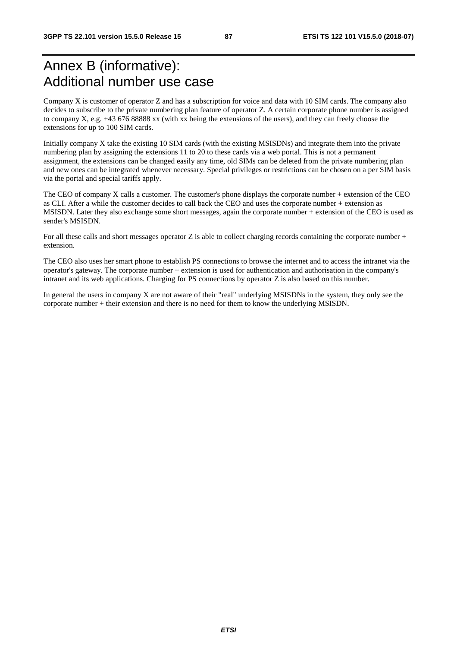# Annex B (informative): Additional number use case

Company X is customer of operator Z and has a subscription for voice and data with 10 SIM cards. The company also decides to subscribe to the private numbering plan feature of operator Z. A certain corporate phone number is assigned to company X, e.g. +43 676 88888 xx (with xx being the extensions of the users), and they can freely choose the extensions for up to 100 SIM cards.

Initially company X take the existing 10 SIM cards (with the existing MSISDNs) and integrate them into the private numbering plan by assigning the extensions 11 to 20 to these cards via a web portal. This is not a permanent assignment, the extensions can be changed easily any time, old SIMs can be deleted from the private numbering plan and new ones can be integrated whenever necessary. Special privileges or restrictions can be chosen on a per SIM basis via the portal and special tariffs apply.

The CEO of company X calls a customer. The customer's phone displays the corporate number + extension of the CEO as CLI. After a while the customer decides to call back the CEO and uses the corporate number + extension as MSISDN. Later they also exchange some short messages, again the corporate number + extension of the CEO is used as sender's MSISDN.

For all these calls and short messages operator Z is able to collect charging records containing the corporate number + extension.

The CEO also uses her smart phone to establish PS connections to browse the internet and to access the intranet via the operator's gateway. The corporate number + extension is used for authentication and authorisation in the company's intranet and its web applications. Charging for PS connections by operator Z is also based on this number.

In general the users in company X are not aware of their "real" underlying MSISDNs in the system, they only see the corporate number + their extension and there is no need for them to know the underlying MSISDN.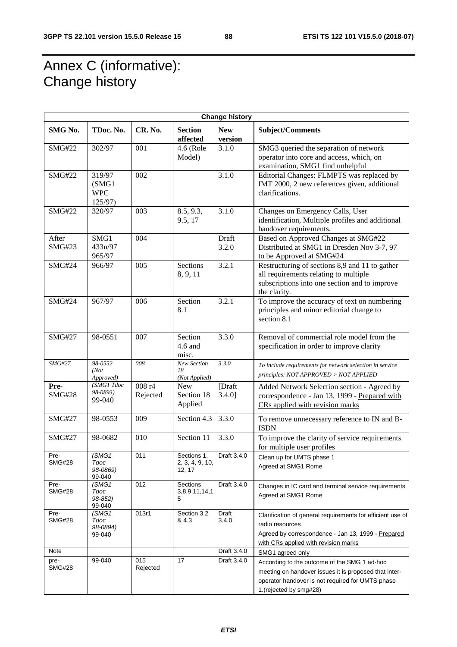# Annex C (informative): Change history

|                        |                                           |                    |                                          | <b>Change history</b> |                                                                                                                                                                                     |
|------------------------|-------------------------------------------|--------------------|------------------------------------------|-----------------------|-------------------------------------------------------------------------------------------------------------------------------------------------------------------------------------|
| SMG No.                | TDoc. No.                                 | CR. No.            | <b>Section</b><br>affected               | <b>New</b><br>version | <b>Subject/Comments</b>                                                                                                                                                             |
| <b>SMG#22</b>          | 302/97                                    | 001                | 4.6 (Role<br>Model)                      | 3.1.0                 | SMG3 queried the separation of network<br>operator into core and access, which, on<br>examination, SMG1 find unhelpful                                                              |
| <b>SMG#22</b>          | 319/97<br>(SMG1)<br><b>WPC</b><br>125/97) | 002                |                                          | $\overline{3.1.0}$    | Editorial Changes: FLMPTS was replaced by<br>IMT 2000, 2 new references given, additional<br>clarifications.                                                                        |
| <b>SMG#22</b>          | 320/97                                    | 003                | 8.5, 9.3,<br>9.5, 17                     | 3.1.0                 | Changes on Emergency Calls, User<br>identification, Multiple profiles and additional<br>handover requirements.                                                                      |
| After<br><b>SMG#23</b> | SMG1<br>433u/97<br>965/97                 | 004                |                                          | Draft<br>3.2.0        | Based on Approved Changes at SMG#22<br>Distributed at SMG1 in Dresden Nov 3-7, 97<br>to be Approved at SMG#24                                                                       |
| <b>SMG#24</b>          | 966/97                                    | 005                | Sections<br>8, 9, 11                     | 3.2.1                 | Restructuring of sections 8,9 and 11 to gather<br>all requirements relating to multiple<br>subscriptions into one section and to improve<br>the clarity.                            |
| <b>SMG#24</b>          | 967/97                                    | 006                | Section<br>8.1                           | 3.2.1                 | To improve the accuracy of text on numbering<br>principles and minor editorial change to<br>section 8.1                                                                             |
| <b>SMG#27</b>          | 98-0551                                   | 007                | Section<br>4.6 and<br>misc.              | 3.3.0                 | Removal of commercial role model from the<br>specification in order to improve clarity                                                                                              |
| <b>SMG#27</b>          | 98-0552<br>(Not<br>Approved)              | 008                | New Section<br>18<br>(Not Applied)       | 3.3.0                 | To include requirements for network selection in service<br>principles: NOT APPROVED > NOT APPLIED                                                                                  |
| Pre-<br><b>SMG#28</b>  | (SMG1 Tdoc<br>98-0893)<br>99-040          | 008 r4<br>Rejected | <b>New</b><br>Section 18<br>Applied      | [Draft<br>3.4.0]      | Added Network Selection section - Agreed by<br>correspondence - Jan 13, 1999 - Prepared with<br>CRs applied with revision marks                                                     |
| SMG#27                 | 98-0553                                   | 009                | Section 4.3                              | 3.3.0                 | To remove unnecessary reference to IN and B-<br><b>ISDN</b>                                                                                                                         |
| <b>SMG#27</b>          | 98-0682                                   | 010                | Section 11                               | 3.3.0                 | To improve the clarity of service requirements<br>for multiple user profiles                                                                                                        |
| Pre-<br><b>SMG#28</b>  | (SMG1<br>Tdoc<br>98-0869)<br>99-040       | 011                | Sections 1,<br>2, 3, 4, 9, 10,<br>12, 17 | Draft 3.4.0           | Clean up for UMTS phase 1<br>Agreed at SMG1 Rome                                                                                                                                    |
| Pre-<br><b>SMG#28</b>  | (SMG1<br>Tdoc<br>98-852)<br>99-040        | 012                | Sections<br>3,8,9,11,14,1<br>5           | Draft 3.4.0           | Changes in IC card and terminal service requirements<br>Agreed at SMG1 Rome                                                                                                         |
| Pre-<br><b>SMG#28</b>  | (SMG1<br>Tdoc<br>98-0894)<br>99-040       | 013r1              | Section 3.2<br>& 4.3                     | Draft<br>3.4.0        | Clarification of general requirements for efficient use of<br>radio resources<br>Agreed by correspondence - Jan 13, 1999 - Prepared<br>with CRs applied with revision marks         |
| Note                   |                                           |                    |                                          | Draft 3.4.0           | SMG1 agreed only                                                                                                                                                                    |
| pre-<br><b>SMG#28</b>  | 99-040                                    | 015<br>Rejected    | 17                                       | Draft 3.4.0           | According to the outcome of the SMG 1 ad-hoc<br>meeting on handover issues it is proposed that inter-<br>operator handover is not required for UMTS phase<br>1.(rejected by smg#28) |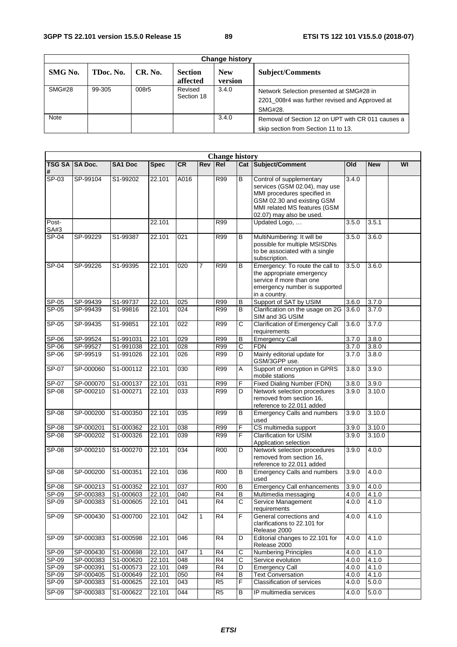|               | <b>Change history</b> |         |                            |                       |                                                                                                       |  |  |  |  |  |  |  |
|---------------|-----------------------|---------|----------------------------|-----------------------|-------------------------------------------------------------------------------------------------------|--|--|--|--|--|--|--|
| SMG No.       | TDoc. No.             | CR. No. | <b>Section</b><br>affected | <b>New</b><br>version | <b>Subject/Comments</b>                                                                               |  |  |  |  |  |  |  |
| <b>SMG#28</b> | 99-305                | 008r5   | Revised<br>Section 18      | 3.4.0                 | Network Selection presented at SMG#28 in<br>2201 008r4 was further revised and Approved at<br>SMG#28. |  |  |  |  |  |  |  |
| <b>Note</b>   |                       |         |                            | 3.4.0                 | Removal of Section 12 on UPT with CR 011 causes a<br>skip section from Section 11 to 13.              |  |  |  |  |  |  |  |

|               | <b>Change history</b> |                |             |           |              |                |                       |                                                                                                                                                                                    |       |            |    |  |  |
|---------------|-----------------------|----------------|-------------|-----------|--------------|----------------|-----------------------|------------------------------------------------------------------------------------------------------------------------------------------------------------------------------------|-------|------------|----|--|--|
| #             | TSG SA SA Doc.        | <b>SA1 Doc</b> | <b>Spec</b> | <b>CR</b> | Rev          | <b>Rel</b>     |                       | Cat Subject/Comment                                                                                                                                                                | Old   | <b>New</b> | WI |  |  |
| $SP-03$       | SP-99104              | S1-99202       | 22.101      | A016      |              | R99            | B                     | Control of supplementary<br>services (GSM 02.04), may use<br>MMI procedures specified in<br>GSM 02.30 and existing GSM<br>MMI related MS features (GSM<br>02.07) may also be used. | 3.4.0 |            |    |  |  |
| Post-<br>SA#3 |                       |                | 22.101      |           |              | R99            |                       | Updated Logo,                                                                                                                                                                      | 3.5.0 | 3.5.1      |    |  |  |
| SP-04         | SP-99229              | S1-99387       | 22.101      | 021       |              | <b>R99</b>     | B                     | MultiNumbering: It will be<br>possible for multiple MSISDNs<br>to be associated with a single<br>subscription.                                                                     | 3.5.0 | 3.6.0      |    |  |  |
| SP-04         | SP-99226              | S1-99395       | 22.101      | 020       | 7            | <b>R99</b>     | В                     | Emergency: To route the call to<br>the appropriate emergency<br>service if more than one<br>emergency number is supported<br>in a country.                                         | 3.5.0 | 3.6.0      |    |  |  |
| SP-05         | SP-99439              | S1-99737       | 22.101      | 025       |              | R99            | в                     | Support of SAT by USIM                                                                                                                                                             | 3.6.0 | 3.7.0      |    |  |  |
| SP-05         | SP-99439              | S1-99816       | 22.101      | 024       |              | R99            | B                     | Clarification on the usage on 2G<br>SIM and 3G USIM                                                                                                                                | 3.6.0 | 3.7.0      |    |  |  |
| SP-05         | SP-99435              | S1-99851       | 22.101      | 022       |              | R99            | $\overline{\text{c}}$ | <b>Clarification of Emergency Call</b><br>requirements                                                                                                                             | 3.6.0 | 3.7.0      |    |  |  |
| SP-06         | SP-99524              | S1-991031      | 22.101      | 029       |              | <b>R99</b>     | B                     | <b>Emergency Call</b>                                                                                                                                                              | 3.7.0 | 3.8.0      |    |  |  |
| SP-06         | SP-99527              | S1-991038      | 22.101      | 028       |              | R99            | $\overline{\text{c}}$ | <b>FDN</b>                                                                                                                                                                         | 3.7.0 | 3.8.0      |    |  |  |
| $SP-06$       | SP-99519              | S1-991026      | 22.101      | 026       |              | R99            | D                     | Mainly editorial update for<br>GSM/3GPP use.                                                                                                                                       | 3.7.0 | 3.8.0      |    |  |  |
| $SP-07$       | SP-000060             | S1-000112      | 22.101      | 030       |              | <b>R99</b>     | A                     | Support of encryption in GPRS<br>mobile stations                                                                                                                                   | 3.8.0 | 3.9.0      |    |  |  |
| SP-07         | SP-000070             | S1-000137      | 22.101      | 031       |              | R99            | F                     | Fixed Dialing Number (FDN)                                                                                                                                                         | 3.8.0 | 3.9.0      |    |  |  |
| SP-08         | SP-000210             | S1-000271      | 22.101      | 033       |              | R99            | D                     | Network selection procedures<br>removed from section 16.<br>reference to 22.011 added                                                                                              | 3.9.0 | 3.10.0     |    |  |  |
| SP-08         | SP-000200             | S1-000350      | 22.101      | 035       |              | R99            | В                     | <b>Emergency Calls and numbers</b><br>used                                                                                                                                         | 3.9.0 | 3.10.0     |    |  |  |
| SP-08         | SP-000201             | S1-000362      | 22.101      | 038       |              | R99            | F                     | CS multimedia support                                                                                                                                                              | 3.9.0 | 3.10.0     |    |  |  |
| $SP-08$       | SP-000202             | S1-000326      | 22.101      | 039       |              | R99            | F                     | <b>Clarification for USIM</b><br>Application selection                                                                                                                             | 3.9.0 | 3.10.0     |    |  |  |
| SP-08         | SP-000210             | S1-000270      | 22.101      | 034       |              | <b>R00</b>     | D                     | Network selection procedures<br>removed from section 16.<br>reference to 22.011 added                                                                                              | 3.9.0 | 4.0.0      |    |  |  |
| $SP-08$       | SP-000200             | S1-000351      | 22.101      | 036       |              | <b>R00</b>     | B                     | <b>Emergency Calls and numbers</b><br>used                                                                                                                                         | 3.9.0 | 4.0.0      |    |  |  |
| SP-08         | SP-000213             | S1-000352      | 22.101      | 037       |              | <b>R00</b>     | B                     | <b>Emergency Call enhancements</b>                                                                                                                                                 | 3.9.0 | 4.0.0      |    |  |  |
| $SP-09$       | SP-000383             | S1-000603      | 22.101      | 040       |              | R <sub>4</sub> | B                     | Multimedia messaging                                                                                                                                                               | 4.0.0 | 4.1.0      |    |  |  |
| SP-09         | SP-000383             | S1-000605      | 22.101      | 041       |              | R <sub>4</sub> | С                     | Service Management<br>requirements                                                                                                                                                 | 4.0.0 | 4.1.0      |    |  |  |
| $SP-09$       | SP-000430             | S1-000700      | 22.101      | 042       | $\mathbf{1}$ | R <sub>4</sub> | F                     | General corrections and<br>clarifications to 22.101 for<br>Release 2000                                                                                                            | 4.0.0 | 4.1.0      |    |  |  |
| SP-09         | SP-000383             | S1-000598      | 22.101      | 046       |              | R <sub>4</sub> | D                     | Editorial changes to 22.101 for<br>Release 2000                                                                                                                                    | 4.0.0 | 4.1.0      |    |  |  |
| SP-09         | SP-000430             | S1-000698      | 22.101      | 047       | 1            | R4             | С                     | <b>Numbering Principles</b>                                                                                                                                                        | 4.0.0 | 4.1.0      |    |  |  |
| SP-09         | SP-000383             | S1-000620      | 22.101      | 048       |              | R <sub>4</sub> | С                     | Service evolution                                                                                                                                                                  | 4.0.0 | 4.1.0      |    |  |  |
| SP-09         | SP-000391             | S1-000573      | 22.101      | 049       |              | R4             | D                     | Emergency Call                                                                                                                                                                     | 4.0.0 | 4.1.0      |    |  |  |
| SP-09         | SP-000405             | S1-000649      | 22.101      | 050       |              | R4             | В                     | <b>Text Conversation</b>                                                                                                                                                           | 4.0.0 | 4.1.0      |    |  |  |
| SP-09         | SP-000383             | S1-000625      | 22.101      | 043       |              | R <sub>5</sub> | F                     | <b>Classification of services</b>                                                                                                                                                  | 4.0.0 | 5.0.0      |    |  |  |
| $SP-09$       | SP-000383             | S1-000622      | 22.101      | 044       |              | R <sub>5</sub> | В                     | IP multimedia services                                                                                                                                                             | 4.0.0 | 5.0.0      |    |  |  |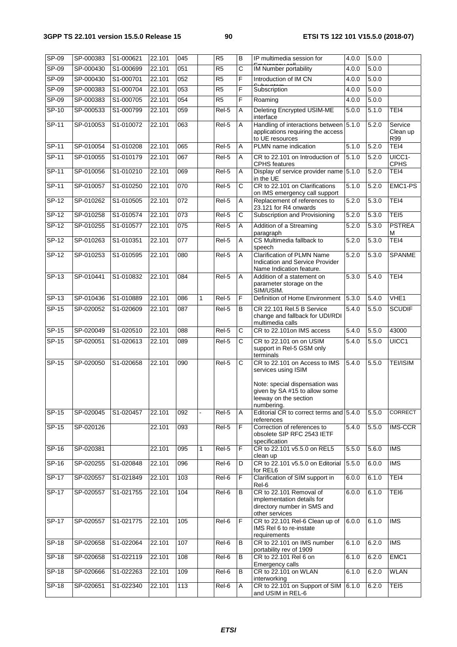| $SP-09$  | SP-000383              | S1-000621 | 22.101 | 045              |   | R5             | $\overline{B}$ | IP multimedia session for                                                                              | 4.0.0 | 5.0.0 |                            |
|----------|------------------------|-----------|--------|------------------|---|----------------|----------------|--------------------------------------------------------------------------------------------------------|-------|-------|----------------------------|
| $SP-09$  | SP-000430              | S1-000699 | 22.101 | 051              |   | R5             | C              | IM Number portability                                                                                  | 4.0.0 | 5.0.0 |                            |
| $SP-09$  | SP-000430              | S1-000701 | 22.101 | 052              |   | R5             | F              | Introduction of IM CN                                                                                  | 4.0.0 | 5.0.0 |                            |
| $SP-09$  | SP-000383              | S1-000704 | 22.101 | 053              |   | R5             | F              | Subscription                                                                                           | 4.0.0 | 5.0.0 |                            |
| $SP-09$  | SP-000383              | S1-000705 | 22.101 | 054              |   | R <sub>5</sub> | F              | Roaming                                                                                                | 4.0.0 | 5.0.0 |                            |
| $SP-10$  | SP-000533              | S1-000799 | 22.101 | 059              |   | Rel-5          | Α              | <b>Deleting Encrypted USIM-ME</b><br>interface                                                         | 5.0.0 | 5.1.0 | TEI4                       |
| SP-11    | SP-010053              | S1-010072 | 22.101 | 063              |   | Rel-5          | A              | Handling of interactions between 5.1.0<br>applications requiring the access<br>to UE resources         |       | 5.2.0 | Service<br>Clean up<br>R99 |
| $SP-11$  | SP-010054              | S1-010208 | 22.101 | 065              |   | Rel-5          | Α              | PLMN name indication                                                                                   | 5.1.0 | 5.2.0 | TEI4                       |
| $SP-11$  | SP-010055              | S1-010179 | 22.101 | 067              |   | Rel-5          | Α              | CR to 22.101 on Introduction of<br><b>CPHS</b> features                                                | 5.1.0 | 5.2.0 | UICC1-<br><b>CPHS</b>      |
| $SP-11$  | SP-010056              | S1-010210 | 22.101 | 069              |   | Rel-5          | Α              | Display of service provider name 5.1.0<br>in the UE                                                    |       | 5.2.0 | TEI4                       |
| $SP-11$  | SP-010057              | S1-010250 | 22.101 | $\overline{070}$ |   | $Rel-5$        | C              | CR to 22.101 on Clarifications<br>on IMS emergency call support                                        | 5.1.0 | 5.2.0 | EMC1-PS                    |
| $SP-12$  | SP-010262              | S1-010505 | 22.101 | $\overline{072}$ |   | $Rel-5$        | Α              | Replacement of references to<br>23.121 for R4 onwards                                                  | 5.2.0 | 5.3.0 | TEI4                       |
| $SP-12$  | SP-010258              | S1-010574 | 22.101 | $\overline{073}$ |   | Rel-5          | C              | Subscription and Provisioning                                                                          | 5.2.0 | 5.3.0 | TE <sub>15</sub>           |
| $SP-12$  | SP-010255              | S1-010577 | 22.101 | 075              |   | Rel-5          | Α              | Addition of a Streaming<br>paragraph                                                                   | 5.2.0 | 5.3.0 | <b>PSTREA</b><br>м         |
| $SP-12$  | SP-010263              | S1-010351 | 22.101 | 077              |   | Rel-5          | Α              | CS Multimedia fallback to<br>speech                                                                    | 5.2.0 | 5.3.0 | TEI4                       |
| SP-12    | SP-010253              | S1-010595 | 22.101 | 080              |   | Rel-5          | A              | <b>Clarification of PLMN Name</b><br>Indication and Service Provider<br>Name Indication feature.       | 5.2.0 | 5.3.0 | <b>SPANME</b>              |
| SP-13    | SP-010441              | S1-010832 | 22.101 | 084              |   | Rel-5          | Α              | Addition of a statement on<br>parameter storage on the<br>SIM/USIM.                                    | 5.3.0 | 5.4.0 | TEI4                       |
| SP-13    | SP-010436              | S1-010889 | 22.101 | 086              | 1 | Rel-5          | F              | Definition of Home Environment                                                                         | 5.3.0 | 5.4.0 | VHE <sub>1</sub>           |
| $SP-15$  | SP-020052              | S1-020609 | 22.101 | 087              |   | Rel-5          | В              | CR 22.101 Rel.5 B Service<br>change and fallback for UDI/RDI<br>multimedia calls                       | 5.4.0 | 5.5.0 | <b>SCUDIF</b>              |
| SP-15    | SP-020049              | S1-020510 | 22.101 | 088              |   | Rel-5          | C              | CR to 22.101on IMS access                                                                              | 5.4.0 | 5.5.0 | 43000                      |
| $S P-15$ | SP-020051              | S1-020613 | 22.101 | 089              |   | Rel-5          | С              | CR to 22.101 on on USIM<br>support in Rel-5 GSM only                                                   | 5.4.0 | 5.5.0 | UICC1                      |
|          |                        |           |        |                  |   |                |                |                                                                                                        |       |       |                            |
| $SP-15$  | SP-020050              | S1-020658 | 22.101 | 090              |   | Rel-5          | C              | terminals<br>CR to 22.101 on Access to IMS<br>services using ISIM                                      | 5.4.0 | 5.5.0 | <b>TEI/ISIM</b>            |
|          |                        |           |        |                  |   |                |                | Note: special dispensation was<br>given by SA #15 to allow some<br>leeway on the section<br>numbering. |       |       |                            |
| $SP-15$  | SP-020045              | S1-020457 | 22.101 | 092              |   | Rel-5          | Α              | Editorial CR to correct terms and 5.4.0<br>references                                                  |       | 5.5.0 | <b>CORRECT</b>             |
| SP-15    | SP-020126              |           | 22.101 | 093              |   | $Rel-5$        | F              | Correction of references to<br>obsolete SIP RFC 2543 IETF<br>specification                             | 5.4.0 | 5.5.0 | <b>IMS-CCR</b>             |
| $SP-16$  | SP-020381              |           | 22.101 | 095              | 1 | Rel-5          | F              | CR to 22.101 v5.5.0 on REL5<br>clean up                                                                | 5.5.0 | 5.6.0 | <b>IMS</b>                 |
| $SP-16$  | SP-020255              | S1-020848 | 22.101 | 096              |   | Rel-6          | D              | CR to 22.101 v5.5.0 on Editorial<br>for REL6                                                           | 5.5.0 | 6.0.0 | <b>IMS</b>                 |
| $SP-17$  | SP-020557              | S1-021849 | 22.101 | 103              |   | Rel-6          | F              | Clarification of SIM support in<br>Rel-6                                                               | 6.0.0 | 6.1.0 | TEI4                       |
| $SP-17$  | SP-020557              | S1-021755 | 22.101 | 104              |   | Rel-6          | В              | CR to 22.101 Removal of<br>implementation details for<br>directory number in SMS and<br>other services | 6.0.0 | 6.1.0 | TEI6                       |
| SP-17    | SP-020557              | S1-021775 | 22.101 | 105              |   | Rel-6          | F              | CR to 22.101 Rel-6 Clean up of<br>IMS Rel 6 to re-instate<br>requirements                              | 6.0.0 | 6.1.0 | <b>IMS</b>                 |
| SP-18    | SP-020658              | S1-022064 | 22.101 | 107              |   | Rel-6          | B              | CR to 22.101 on IMS number<br>portability rev of 1909                                                  | 6.1.0 | 6.2.0 | $\overline{\text{IMS}}$    |
| $SP-18$  | SP-020658              | S1-022119 | 22.101 | 108              |   | Rel-6          | В              | CR to 22.101 Rel 6 on<br>Emergency calls                                                               | 6.1.0 | 6.2.0 | EMC1                       |
| $SP-18$  | SP-020666<br>SP-020651 | S1-022263 | 22.101 | 109              |   | Rel-6          | В              | CR to 22.101 on WLAN<br>interworking<br>CR to 22.101 on Support of SIM                                 | 6.1.0 | 6.2.0 | <b>WLAN</b><br>TEI5        |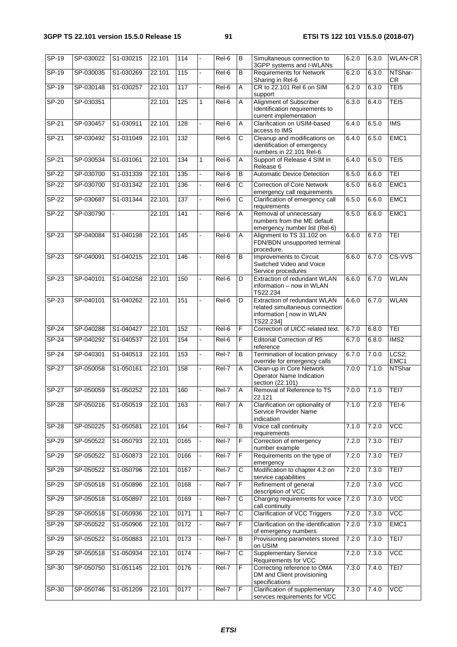| $SP-19$      | SP-030022 | S1-030215 | 22.101 | 114              |              | Rel-6   | B                       | Simultaneous connection to<br>3GPP systems and I-WLANs                                                    | 6.2.0 | 6.3.0 | <b>WLAN-CR</b>       |
|--------------|-----------|-----------|--------|------------------|--------------|---------|-------------------------|-----------------------------------------------------------------------------------------------------------|-------|-------|----------------------|
| $SP-19$      | SP-030035 | S1-030269 | 22.101 | 115              |              | Rel-6   | В                       | <b>Requirements for Network</b><br>Sharing in Rel-6                                                       | 6.2.0 | 6.3.0 | NTShar-<br><b>CR</b> |
| SP-19        | SP-030148 | S1-030257 | 22.101 | 117              |              | Rel-6   | A                       | CR to 22.101 Rel 6 on SIM<br>support                                                                      | 6.2.0 | 6.3.0 | TEI <sub>5</sub>     |
| $SP-20$      | SP-030351 |           | 22.101 | 125              | 1            | Rel-6   | A                       | Alignment of Subscriber<br>Identification requirements to<br>current implementation                       | 6.3.0 | 6.4.0 | TEI5                 |
| $SP-21$      | SP-030457 | S1-030911 | 22.101 | 128              |              | Rel-6   | Α                       | Clarification on USIM-based<br>access to IMS                                                              | 6.4.0 | 6.5.0 | <b>IMS</b>           |
| $SP-21$      | SP-030492 | S1-031049 | 22.101 | 132              |              | Rel-6   | С                       | Cleanup and modifications on<br>identification of emergency<br>numbers in 22.101 Rel-6                    | 6.4.0 | 6.5.0 | EMC1                 |
| SP-21        | SP-030534 | S1-031061 | 22.101 | 134              | 1            | Rel-6   | A                       | Support of Release 4 SIM in<br>Release 6                                                                  | 6.4.0 | 6.5.0 | TEI <sub>5</sub>     |
| $SP-22$      | SP-030700 | S1-031339 | 22.101 | $\overline{135}$ |              | Rel-6   | В                       | <b>Automatic Device Detection</b>                                                                         | 6.5.0 | 6.6.0 | <b>TEI</b>           |
| $SP-22$      | SP-030700 | S1-031342 | 22.101 | 136              |              | Rel-6   | C                       | <b>Correction of Core Network</b><br>emergency call requirements                                          | 6.5.0 | 6.6.0 | EMC1                 |
| $SP-22$      | SP-030687 | S1-031344 | 22.101 | 137              |              | Rel-6   | $\overline{\text{c}}$   | Clarification of emergency call<br>requirements                                                           | 6.5.0 | 6.6.0 | EMC1                 |
| $SP-22$      | SP-030790 |           | 22.101 | 141              |              | Rel-6   | A                       | Removal of unnecessary<br>numbers from the ME default<br>emergency number list (Rel-6)                    | 6.5.0 | 6.6.0 | EMC1                 |
| $SP-23$      | SP-040084 | S1-040198 | 22.101 | 145              |              | Rel-6   | A                       | Alignment to TS 31.102 on<br>FDN/BDN unsupported terminal<br>procedure.                                   | 6.6.0 | 6.7.0 | TEI                  |
| $SP-23$      | SP-040091 | S1-040215 | 22.101 | 146              |              | Rel-6   | B                       | Improvements to Circuit<br>Switched Video and Voice<br>Service procedures                                 | 6.6.0 | 6.7.0 | CS-VVS               |
| $SP-23$      | SP-040101 | S1-040258 | 22.101 | 150              |              | $ReI-6$ | D                       | Extraction of redundant WLAN<br>information - now in WLAN<br>TS22.234                                     | 6.6.0 | 6.7.0 | <b>WLAN</b>          |
| $SP-23$      | SP-040101 | S1-040262 | 22.101 | 151              |              | Rel-6   | D                       | Extraction of redundant WLAN<br>related simultaneous connection<br>information [ now in WLAN<br>TS22.234] | 6.6.0 | 6.7.0 | <b>WLAN</b>          |
| $SP-24$      | SP-040288 | S1-040427 | 22.101 | 152              |              | Rel-6   | F                       | Correction of UICC related text.                                                                          | 6.7.0 | 6.8.0 | TEI                  |
| $SP-24$      | SP-040292 | S1-040537 | 22.101 | 154              |              | Rel-6   | F                       | <b>Editorial Correction of R5</b><br>reference                                                            | 6.7.0 | 6.8.0 | IMS2                 |
| $SP-24$      | SP-040301 | S1-040513 | 22.101 | 153              |              | Rel-7   | В                       | Termination of location privacy<br>override for emergency calls                                           | 6.7.0 | 7.0.0 | LCS2;<br>EMC1        |
| <b>SP-27</b> | SP-050058 | S1-050161 | 22.101 | 158              |              | Rel-7   | A                       | Clean-up in Core Network<br><b>Operator Name Indication</b><br>section (22.101)                           | 7.0.0 | 7.1.0 | <b>NTShar</b>        |
| $SP-27$      | SP-050059 | S1-050252 | 22.101 | 160              |              | Rel-7   | A                       | Removal of Reference to TS<br>22.121                                                                      | 7.0.0 | 7.1.0 | TEI7                 |
| $SP-28$      | SP-050216 | S1-050519 | 22.101 | 163              |              | Rel-7   | A                       | Clarification on optionality of<br>Service Provider Name<br>indication                                    | 7.1.0 | 7.2.0 | TEI-6                |
| <b>SP-28</b> | SP-050225 | S1-050581 | 22.101 | 164              |              | $ReI-7$ | В                       | Voice call continuity<br>requirements                                                                     | 7.1.0 | 7.2.0 | <b>VCC</b>           |
| SP-29        | SP-050522 | S1-050793 | 22.101 | 0165             |              | Rel-7   | F                       | Correction of emergency<br>number example                                                                 | 7.2.0 | 7.3.0 | TEI7                 |
| $SP-29$      | SP-050522 | S1-050873 | 22.101 | 0166             |              | Rel-7   | F                       | Requirements on the type of<br>emergency                                                                  | 7.2.0 | 7.3.0 | TEI7                 |
| $SP-29$      | SP-050522 | S1-050796 | 22.101 | 0167             |              | Rel-7   | С                       | Modification to chapter 4.2 on<br>service capabilities                                                    | 7.2.0 | 7.3.0 | TEI7                 |
| SP-29        | SP-050518 | S1-050896 | 22.101 | 0168             |              | Rel-7   | F                       | Refinement of general<br>description of VCC                                                               | 7.2.0 | 7.3.0 | <b>VCC</b>           |
| $SP-29$      | SP-050518 | S1-050897 | 22.101 | 0169             |              | Rel-7   | $\overline{C}$          | Charging requirements for voice<br>call continuity                                                        | 7.2.0 | 7.3.0 | <b>VCC</b>           |
| $SP-29$      | SP-050518 | S1-050936 | 22.101 | 0171             | $\mathbf{1}$ | Rel-7   | $\overline{\mathsf{C}}$ | <b>Clarification of VCC Triggers</b>                                                                      | 7.2.0 | 7.3.0 | <b>VCC</b>           |
| SP-29        | SP-050522 | S1-050906 | 22.101 | 0172             |              | Rel-7   | F                       | Clarification on the identification<br>of emergency numbers                                               | 7.2.0 | 7.3.0 | EMC1                 |
| SP-29        | SP-050522 | S1-050883 | 22.101 | 0173             |              | Rel-7   | В                       | Provisioning parameters stored<br>on USIM                                                                 | 7.2.0 | 7.3.0 | TEI7                 |
| $SP-29$      | SP-050518 | S1-050934 | 22.101 | 0174             |              | Rel-7   | C                       | <b>Supplementary Service</b><br>Requirements for VCC                                                      | 7.2.0 | 7.3.0 | VCC                  |
| $SP-30$      | SP-050750 | S1-051145 | 22.101 | 0176             |              | Rel-7   | F                       | Correcting reference to OMA<br>DM and Client provisioning<br>specifications                               | 7.3.0 | 7.4.0 | TEI7                 |
| SP-30        | SP-050746 | S1-051209 | 22.101 | 0177             |              | Rel-7   | $\overline{F}$          | Clarification of supplementary<br>servces requirements for VCC                                            | 7.3.0 | 7.4.0 | <b>VCC</b>           |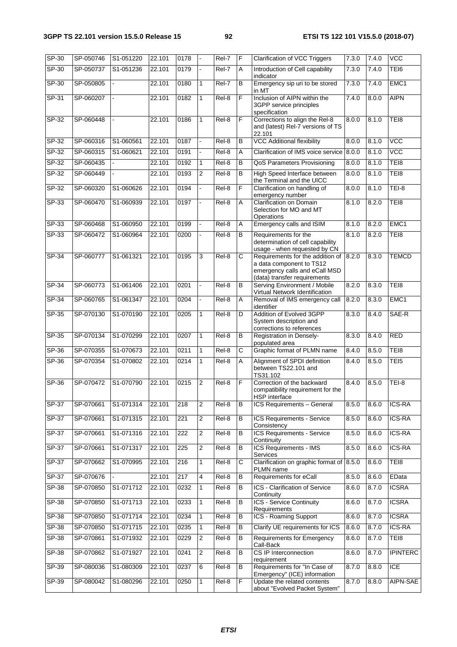| $SP-30$ | SP-050746 | S1-051220 | 22.101 | 0178 |                | Rel-7   | $\overline{F}$ | Clarification of VCC Triggers                                                                                                 | 7.3.0 | 7.4.0 | VCC              |
|---------|-----------|-----------|--------|------|----------------|---------|----------------|-------------------------------------------------------------------------------------------------------------------------------|-------|-------|------------------|
| $SP-30$ | SP-050737 | S1-051236 | 22.101 | 0179 |                | Rel-7   | A              | Introduction of Cell capability<br>indicator                                                                                  | 7.3.0 | 7.4.0 | TEI6             |
| $SP-30$ | SP-050805 |           | 22.101 | 0180 | $\mathbf{1}$   | Rel-7   | $\overline{B}$ | Emergency sip uri to be stored<br>in MT                                                                                       | 7.3.0 | 7.4.0 | EMC1             |
| $SP-31$ | SP-060207 |           | 22.101 | 0182 | $\mathbf{1}$   | $Rel-8$ | F              | Inclusion of AIPN within the<br>3GPP service principles<br>specification                                                      | 7.4.0 | 8.0.0 | <b>AIPN</b>      |
| $SP-32$ | SP-060448 |           | 22.101 | 0186 | $\mathbf{1}$   | Rel-8   | F              | Corrections to align the Rel-8<br>and (latest) Rel-7 versions of TS<br>22.101                                                 | 8.0.0 | 8.1.0 | TE <sub>18</sub> |
| $SP-32$ | SP-060316 | S1-060561 | 22.101 | 0187 |                | Rel-8   | В              | <b>VCC Additional flexibility</b>                                                                                             | 8.0.0 | 8.1.0 | VCC              |
| $SP-32$ | SP-060315 | S1-060621 | 22.101 | 0191 |                | $ReI-8$ | A              | Clarification of IMS voice service                                                                                            | 8.0.0 | 8.1.0 | <b>VCC</b>       |
| $SP-32$ | SP-060435 |           | 22.101 | 0192 | $\mathbf{1}$   | Rel-8   | B              | QoS Parameters Provisioning                                                                                                   | 8.0.0 | 8.1.0 | TE <sub>18</sub> |
| $SP-32$ | SP-060449 |           | 22.101 | 0193 | 2              | Rel-8   | В              | High Speed Interface between<br>the Terminal and the UICC                                                                     | 8.0.0 | 8.1.0 | TE <sub>18</sub> |
| $SP-32$ | SP-060320 | S1-060626 | 22.101 | 0194 |                | Rel-8   | F              | Clarification on handling of<br>emergency number                                                                              | 8.0.0 | 8.1.0 | TEI-8            |
| $SP-33$ | SP-060470 | S1-060939 | 22.101 | 0197 |                | $ReI-8$ | A              | Clarification on Domain<br>Selection for MO and MT<br>Operations                                                              | 8.1.0 | 8.2.0 | TE <sub>18</sub> |
| SP-33   | SP-060468 | S1-060950 | 22.101 | 0199 |                | Rel-8   | Α              | Emergency calls and ISIM                                                                                                      | 8.1.0 | 8.2.0 | EMC1             |
| $SP-33$ | SP-060472 | S1-060964 | 22.101 | 0200 |                | Rel-8   | В              | Requirements for the<br>determination of cell capability<br>usage - when requested by CN                                      | 8.1.0 | 8.2.0 | TE <sub>18</sub> |
| $SP-34$ | SP-060777 | S1-061321 | 22.101 | 0195 | 3              | Rel-8   | С              | Requirements for the addition of<br>a data component to TS12<br>emergency calls and eCall MSD<br>(data) transfer requirements | 8.2.0 | 8.3.0 | <b>TEMCD</b>     |
| SP-34   | SP-060773 | S1-061406 | 22.101 | 0201 |                | Rel-8   | В              | Serving Environment / Mobile<br>Virtual Network Identification                                                                | 8.2.0 | 8.3.0 | TE <sub>18</sub> |
| $SP-34$ | SP-060765 | S1-061347 | 22.101 | 0204 |                | Rel-8   | A              | Removal of IMS emergency call<br>identifier                                                                                   | 8.2.0 | 8.3.0 | EMC1             |
| $SP-35$ | SP-070130 | S1-070190 | 22.101 | 0205 | $\mathbf{1}$   | Rel-8   | D              | Addition of Evolved 3GPP<br>System description and<br>corrections to references                                               | 8.3.0 | 8.4.0 | SAE-R            |
| $SP-35$ | SP-070134 | S1-070299 | 22.101 | 0207 | $\mathbf{1}$   | Rel-8   | В              | Registration in Densely-<br>populated area                                                                                    | 8.3.0 | 8.4.0 | <b>RED</b>       |
| $SP-36$ | SP-070355 | S1-070673 | 22.101 | 0211 | $\mathbf{1}$   | $Rel-8$ | C              | Graphic format of PLMN name                                                                                                   | 8.4.0 | 8.5.0 | TE <sub>18</sub> |
| $SP-36$ | SP-070354 | S1-070802 | 22.101 | 0214 | 1              | Rel-8   | A              | Alignment of SPDI definition<br>between TS22.101 and<br>TS31.102                                                              | 8.4.0 | 8.5.0 | TEI <sub>5</sub> |
| $SP-36$ | SP-070472 | S1-070790 | 22.101 | 0215 | 2              | Rel-8   | F              | Correction of the backward<br>compatibility requirement for the<br>HSP interface                                              | 8.4.0 | 8.5.0 | $TEI-8$          |
| $SP-37$ | SP-070661 | S1-071314 | 22.101 | 218  | 2              | $ReI-8$ | В              | ICS Requirements - General                                                                                                    | 8.5.0 | 8.6.0 | <b>ICS-RA</b>    |
| $SP-37$ | SP-070661 | S1-071315 | 22.101 | 221  | $\overline{2}$ | Rel-8   | В              | <b>ICS Requirements - Service</b><br>Consistency                                                                              | 8.5.0 | 8.6.0 | <b>ICS-RA</b>    |
| $SP-37$ | SP-070661 | S1-071316 | 22.101 | 222  | 2              | Rel-8   | В              | <b>ICS Requirements - Service</b><br>Continuity                                                                               | 8.5.0 | 8.6.0 | <b>ICS-RA</b>    |
| SP-37   | SP-070661 | S1-071317 | 22.101 | 225  | 2              | Rel-8   | В              | <b>ICS Requirements - IMS</b><br>Services                                                                                     | 8.5.0 | 8.6.0 | <b>ICS-RA</b>    |
| $SP-37$ | SP-070662 | S1-070995 | 22.101 | 216  | 1              | Rel-8   | C              | Clarification on graphic format of 8.5.0<br>PLMN name                                                                         |       | 8.6.0 | TEI8             |
| SP-37   | SP-070676 |           | 22.101 | 217  | 4              | Rel-8   | В              | Requirements for eCall                                                                                                        | 8.5.0 | 8.6.0 | EData            |
| SP-38   | SP-070850 | S1-071712 | 22.101 | 0232 | $\mathbf{1}$   | Rel-8   | В              | ICS - Clarification of Service<br>Continuity                                                                                  | 8.6.0 | 8.7.0 | <b>ICSRA</b>     |
| SP-38   | SP-070850 | S1-071713 | 22.101 | 0233 | 1              | Rel-8   | В              | ICS - Service Continuity<br>Requirements                                                                                      | 8.6.0 | 8.7.0 | <b>ICSRA</b>     |
| $SP-38$ | SP-070850 | S1-071714 | 22.101 | 0234 | 1              | Rel-8   | В              | ICS - Roaming Support                                                                                                         | 8.6.0 | 8.7.0 | <b>ICSRA</b>     |
| SP-38   | SP-070850 | S1-071715 | 22.101 | 0235 | 1              | Rel-8   | В              | Clarify UE requirements for ICS                                                                                               | 8.6.0 | 8.7.0 | ICS-RA           |
| SP-38   | SP-070861 | S1-071932 | 22.101 | 0229 | 2              | Rel-8   | В              | Requirements for Emergency<br>Call-Back                                                                                       | 8.6.0 | 8.7.0 | TEI8             |
| $SP-38$ | SP-070862 | S1-071927 | 22.101 | 0241 | $\overline{c}$ | Rel-8   | В              | <b>CS IP Interconnection</b><br>requirement                                                                                   | 8.6.0 | 8.7.0 | <b>IPINTERC</b>  |
| $SP-39$ | SP-080036 | S1-080309 | 22.101 | 0237 | 6              | Rel-8   | В              | Requirements for "In Case of<br>Emergency" (ICE) information                                                                  | 8.7.0 | 8.8.0 | $\overline{ICE}$ |
| SP-39   | SP-080042 | S1-080296 | 22.101 | 0250 | $\mathbf{1}$   | Rel-8   | F              | Update the related contents<br>about "Evolved Packet System"                                                                  | 8.7.0 | 8.8.0 | AIPN-SAE         |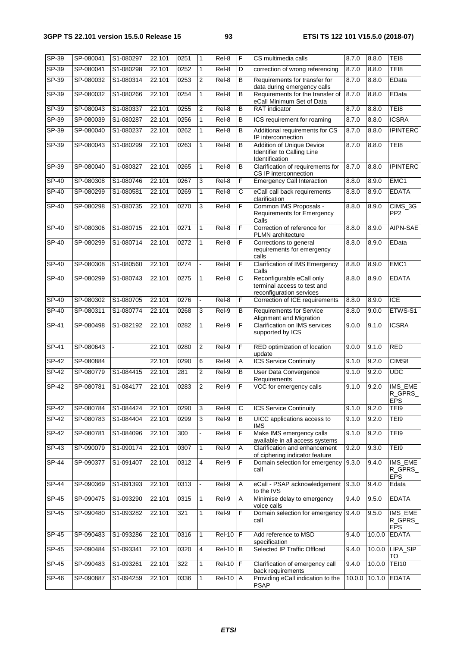| SP-39        | SP-080041 | S1-080297 | 22.101 | 0251 | 1              | Rel-8           | F              | CS multimedia calls                                                                  | 8.7.0 | 8.8.0  | TE <sub>18</sub>                 |
|--------------|-----------|-----------|--------|------|----------------|-----------------|----------------|--------------------------------------------------------------------------------------|-------|--------|----------------------------------|
| $SP-39$      | SP-080041 | S1-080298 | 22.101 | 0252 | $\mathbf{1}$   | $Rel-8$         | D              | correction of wrong referencing                                                      | 8.7.0 | 8.8.0  | TE <sub>18</sub>                 |
| $SP-39$      | SP-080032 | S1-080314 | 22.101 | 0253 | $\overline{2}$ | Rel-8           | В              | Requirements for transfer for<br>data during emergency calls                         | 8.7.0 | 8.8.0  | EData                            |
| $SP-39$      | SP-080032 | S1-080266 | 22.101 | 0254 | 1              | Rel-8           | $\overline{B}$ | Requirements for the transfer of<br>eCall Minimum Set of Data                        | 8.7.0 | 8.8.0  | EData                            |
| SP-39        | SP-080043 | S1-080337 | 22.101 | 0255 | 2              | Rel-8           | В              | <b>RAT</b> indicator                                                                 | 8.7.0 | 8.8.0  | TE <sub>18</sub>                 |
| SP-39        | SP-080039 | S1-080287 | 22.101 | 0256 | $\mathbf{1}$   | Rel-8           | В              | ICS requirement for roaming                                                          | 8.7.0 | 8.8.0  | <b>ICSRA</b>                     |
| $SP-39$      | SP-080040 | S1-080237 | 22.101 | 0262 | 1              | $Rel-8$         | B              | Additional requirements for CS<br>IP interconnection                                 | 8.7.0 | 8.8.0  | <b>IPINTERC</b>                  |
| SP-39        | SP-080043 | S1-080299 | 22.101 | 0263 | 1              | Rel-8           | B              | <b>Addition of Unique Device</b><br>Identifier to Calling Line<br>Identification     | 8.7.0 | 8.8.0  | TEI8                             |
| SP-39        | SP-080040 | S1-080327 | 22.101 | 0265 | $\mathbf{1}$   | Rel-8           | B              | Clarification of requirements for<br>CS IP interconnection                           | 8.7.0 | 8.8.0  | <b>IPINTERC</b>                  |
| $SP-40$      | SP-080308 | S1-080746 | 22.101 | 0267 | 3              | $Rel-8$         | F              | <b>Emergency Call Interaction</b>                                                    | 8.8.0 | 8.9.0  | EMC1                             |
| $SP-40$      | SP-080299 | S1-080581 | 22.101 | 0269 | 1              | Rel-8           | С              | eCall call back requirements<br>clarification                                        | 8.8.0 | 8.9.0  | <b>EDATA</b>                     |
| SP-40        | SP-080298 | S1-080735 | 22.101 | 0270 | 3              | Rel-8           | F              | Common IMS Proposals -<br>Requirements for Emergency<br>Calls                        | 8.8.0 | 8.9.0  | CIMS_3G<br>PP <sub>2</sub>       |
| SP-40        | SP-080306 | S1-080715 | 22.101 | 0271 | 1              | Rel-8           | F              | Correction of reference for<br>PLMN architecture                                     | 8.8.0 | 8.9.0  | AIPN-SAE                         |
| $SP-40$      | SP-080299 | S1-080714 | 22.101 | 0272 | $\mathbf{1}$   | Rel-8           | F              | Corrections to general<br>requirements for emergency<br>calls                        | 8.8.0 | 8.9.0  | EData                            |
| $SP-40$      | SP-080308 | S1-080560 | 22.101 | 0274 |                | Rel-8           | F              | <b>Clarification of IMS Emergency</b><br>Calls                                       | 8.8.0 | 8.9.0  | EMC1                             |
| $SP-40$      | SP-080299 | S1-080743 | 22.101 | 0275 | $\mathbf{1}$   | Rel-8           | C              | Reconfigurable eCall only<br>terminal access to test and<br>reconfiguration services | 8.8.0 | 8.9.0  | <b>EDATA</b>                     |
| $SP-40$      | SP-080302 | S1-080705 | 22.101 | 0276 |                | Rel-8           | F              | Correction of ICE requirements                                                       | 8.8.0 | 8.9.0  | <b>ICE</b>                       |
| SP-40        | SP-080311 | S1-080774 | 22.101 | 0268 | 3              | Rel-9           | B              | <b>Requirements for Service</b><br>Alignment and Migration                           | 8.8.0 | 9.0.0  | ETWS-S1                          |
| $SP-41$      | SP-080498 | S1-082192 | 22.101 | 0282 | $\mathbf{1}$   | Rel-9           | F              | Clarification on IMS services<br>supported by ICS                                    | 9.0.0 | 9.1.0  | <b>ICSRA</b>                     |
| SP-41        | SP-080643 |           | 22.101 | 0280 | $\overline{2}$ | Rel-9           | F              | RED optimization of location<br>update                                               | 9.0.0 | 9.1.0  | <b>RED</b>                       |
| $SP-42$      | SP-080884 |           | 22.101 | 0290 | 6              | $ReI-9$         | Α              | <b>ICS Service Continuity</b>                                                        | 9.1.0 | 9.2.0  | CIMS8                            |
| $SP-42$      | SP-080779 | S1-084415 | 22.101 | 281  | 2              | Rel-9           | В              | <b>User Data Convergence</b><br>Requirements                                         | 9.1.0 | 9.2.0  | $\overline{UDC}$                 |
| $SP-42$      | SP-080781 | S1-084177 | 22.101 | 0283 | 2              | Rel-9           | F              | VCC for emergency calls                                                              | 9.1.0 | 9.2.0  | <b>IMS_EME</b><br>R_GPRS_<br>EPS |
| SP-42        | SP-080784 | S1-084424 | 22.101 | 0290 | 3              | Rel-9           | C              | <b>ICS Service Continuity</b>                                                        | 9.1.0 | 9.2.0  | TEI9                             |
| SP-42        | SP-080783 | S1-084404 | 22.101 | 0299 | 3              | $ReI-9$         | B              | UICC applications access to<br><b>IMS</b>                                            | 9.1.0 | 9.2.0  | TEI9                             |
| $SP-42$      | SP-080781 | S1-084096 | 22.101 | 300  |                | $ReI-9$         | F              | Make IMS emergency calls<br>available in all access systems                          | 9.1.0 | 9.2.0  | TEI9                             |
| SP-43        | SP-090079 | S1-090174 | 22.101 | 0307 | 1              | Rel-9           | A              | Clarification and enhancement<br>of ciphering indicator feature                      | 9.2.0 | 9.3.0  | TEI9                             |
| $SP-44$      | SP-090377 | S1-091407 | 22.101 | 0312 | $\overline{4}$ | Rel-9           | F              | Domain selection for emergency<br>call                                               | 9.3.0 | 9.4.0  | IMS_EME<br>R_GPRS_<br><b>EPS</b> |
| $SP-44$      | SP-090369 | S1-091393 | 22.101 | 0313 |                | $ReI-9$         | Α              | eCall - PSAP acknowledgement<br>to the IVS                                           | 9.3.0 | 9.4.0  | Edata                            |
| <b>SP-45</b> | SP-090475 | S1-093290 | 22.101 | 0315 | $\mathbf{1}$   | Rel-9           | A              | Minimise delay to emergency<br>voice calls                                           | 9.4.0 | 9.5.0  | <b>EDATA</b>                     |
| <b>SP-45</b> | SP-090480 | S1-093282 | 22.101 | 321  | 1              | Rel-9           | F              | Domain selection for emergency<br>call                                               | 9.4.0 | 9.5.0  | IMS_EME<br>R_GPRS_<br><b>EPS</b> |
| $SP-45$      | SP-090483 | S1-093286 | 22.101 | 0316 | 1              | $Rel-10$ $F$    |                | Add reference to MSD<br>specification                                                | 9.4.0 | 10.0.0 | <b>EDATA</b>                     |
| SP-45        | SP-090484 | S1-093341 | 22.101 | 0320 | 4              | $Rel-10$ $B$    |                | Selected IP Traffic Offload                                                          | 9.4.0 | 10.0.0 | LIPA_SIP<br>TO                   |
| <b>SP-45</b> | SP-090483 | S1-093261 | 22.101 | 322  | 1              | $Rel-10$ $F$    |                | Clarification of emergency call<br>back requirements                                 | 9.4.0 | 10.0.0 | <b>TEI10</b>                     |
| SP-46        | SP-090887 | S1-094259 | 22.101 | 0336 | $\mathbf{1}$   | <b>Rel-10 A</b> |                | Providing eCall indication to the<br><b>PSAP</b>                                     |       |        | 10.0.0 10.1.0 EDATA              |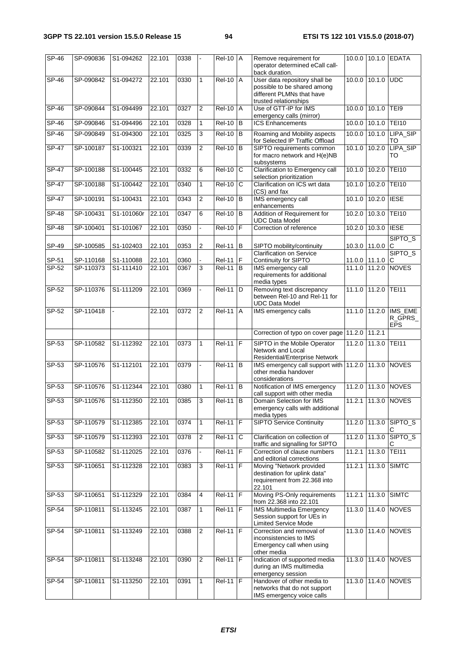| $SP-46$                   | SP-090836 | S1-094262  | 22.101 | 0338 |                | $Rel-10$ A    |                       | Remove requirement for<br>operator determined eCall call-<br>back duration. |               |                    | 10.0.0 10.1.0 EDATA   |
|---------------------------|-----------|------------|--------|------|----------------|---------------|-----------------------|-----------------------------------------------------------------------------|---------------|--------------------|-----------------------|
| $SP-46$                   | SP-090842 | S1-094272  | 22.101 | 0330 | 1              | <b>Rel-10</b> | A                     | User data repository shall be                                               |               | 10.0.0 10.1.0      | UDC                   |
|                           |           |            |        |      |                |               |                       | possible to be shared among                                                 |               |                    |                       |
|                           |           |            |        |      |                |               |                       | different PLMNs that have                                                   |               |                    |                       |
|                           |           |            |        |      |                |               |                       | trusted relationships                                                       |               |                    |                       |
| SP-46                     | SP-090844 | S1-094499  | 22.101 | 0327 | $\overline{2}$ | <b>Rel-10</b> | Α                     | Use of GTT-IP for IMS                                                       | 10.0.0        | 10.1.0             | TEI9                  |
| SP-46                     | SP-090846 | S1-094496  | 22.101 | 0328 | 1              | $Rel-10$      | B                     | emergency calls (mirror)<br><b>ICS Enhancements</b>                         | 10.0.0        | 10.1.0             | <b>TEI10</b>          |
|                           |           |            |        |      |                |               |                       |                                                                             |               |                    |                       |
| $SP-46$                   | SP-090849 | S1-094300  | 22.101 | 0325 | 3              | $Rel-10$      | B                     | Roaming and Mobility aspects                                                |               | 10.0.0 10.1.0      | LIPA_SIP              |
| $\overline{\text{SP-47}}$ | SP-100187 | S1-100321  | 22.101 | 0339 | $\overline{2}$ | <b>Rel-10</b> | l B                   | for Selected IP Traffic Offload<br>SIPTO requirements common                | 10.1.0        | 10.2.0             | то<br>LIPA_SIP        |
|                           |           |            |        |      |                |               |                       | for macro network and H(e)NB                                                |               |                    | TO                    |
|                           |           |            |        |      |                |               |                       | subsystems                                                                  |               |                    |                       |
| $SP-47$                   | SP-100188 | S1-100445  | 22.101 | 0332 | 6              | $Rel-10$      | $\overline{c}$        | Clarification to Emergency call                                             | 10.1.0        | 10.2.0             | <b>TEI10</b>          |
|                           |           |            |        |      |                |               |                       | selection prioritization                                                    |               |                    |                       |
| $SP-47$                   | SP-100188 | S1-100442  | 22.101 | 0340 | 1              | $Rel-10$      | $\overline{\text{c}}$ | Clarification on ICS wrt data                                               | 10.1.0        | 10.2.0             | <b>TEI10</b>          |
| $SP-47$                   | SP-100191 | S1-100431  | 22.101 | 0343 | $\overline{2}$ | $Rel-10$      | B                     | (CS) and fax<br>IMS emergency call                                          | 10.1.0        | 10.2.0             | <b>IESE</b>           |
|                           |           |            |        |      |                |               |                       | enhancements                                                                |               |                    |                       |
| $SP-48$                   | SP-100431 | S1-101060r | 22.101 | 0347 | 6              | <b>Rel-10</b> | B                     | Addition of Requirement for                                                 | 10.2.0        | 10.3.0             | <b>TEI10</b>          |
|                           |           |            |        |      |                |               |                       | <b>UDC Data Model</b>                                                       |               |                    |                       |
| $SP-48$                   | SP-100401 | S1-101067  | 22.101 | 0350 |                | <b>Rel-10</b> | F                     | Correction of reference                                                     |               | 10.2.0 10.3.0 IESE |                       |
|                           |           |            |        |      |                |               |                       |                                                                             |               |                    | SIPTO_S               |
| SP-49                     | SP-100585 | S1-102403  | 22.101 | 0353 | $\overline{2}$ | <b>Rel-11</b> | B                     | SIPTO mobility/continuity                                                   |               | 10.3.0 11.0.0      | С                     |
|                           |           |            |        |      |                |               |                       | <b>Clarification on Service</b>                                             |               |                    | SIPTO_S               |
| SP-51                     | SP-110168 | S1-110088  | 22.101 | 0360 |                | <b>Rel-11</b> | F                     | Continuity for SIPTO                                                        |               | 11.0.0 11.1.0      | С                     |
| $SP-52$                   | SP-110373 | S1-111410  | 22.101 | 0367 | ပြ             | $ReI-11$ B    |                       | IMS emergency call                                                          |               | 11.1.0 11.2.0      | <b>NOVES</b>          |
|                           |           |            |        |      |                |               |                       | requirements for additional<br>media types                                  |               |                    |                       |
| SP-52                     | SP-110376 | S1-111209  | 22.101 | 0369 |                | <b>Rel-11</b> | D                     | Removing text discrepancy                                                   | 11.1.0 11.2.0 |                    | <b>TEI11</b>          |
|                           |           |            |        |      |                |               |                       | between Rel-10 and Rel-11 for                                               |               |                    |                       |
|                           |           |            |        |      |                |               |                       | <b>UDC Data Model</b>                                                       |               |                    |                       |
| $SP-52$                   | SP-110418 |            | 22.101 | 0372 | 2              | <b>Rel-11</b> | A                     | IMS emergency calls                                                         |               | 11.1.0 11.2.0      | IMS_EME               |
|                           |           |            |        |      |                |               |                       |                                                                             |               |                    | R_GPRS_               |
|                           |           |            |        |      |                |               |                       | Correction of typo on cover page 11.2.0 11.2.1                              |               |                    | <b>EPS</b>            |
|                           |           |            |        |      |                |               | l F                   |                                                                             |               |                    |                       |
| SP-53                     | SP-110582 | S1-112392  | 22.101 | 0373 | $\mathbf{1}$   | <b>Rel-11</b> |                       | SIPTO in the Mobile Operator<br>Network and Local                           |               | 11.2.0 11.3.0      | <b>TEI11</b>          |
|                           |           |            |        |      |                |               |                       | Residential/Enterprise Network                                              |               |                    |                       |
| $SP-53$                   | SP-110576 | S1-112101  | 22.101 | 0379 |                | $ReI-11$ B    |                       | IMS emergency call support with 11.2.0 11.3.0 NOVES                         |               |                    |                       |
|                           |           |            |        |      |                |               |                       | other media handover                                                        |               |                    |                       |
|                           |           |            |        |      |                |               |                       | considerations                                                              |               |                    |                       |
| $SP-53$                   | SP-110576 | S1-112344  | 22.101 | 0380 | 1              | $Rel-11$      | В                     | Notification of IMS emergency                                               | 11.2.0        | 11.3.0             | <b>NOVES</b>          |
| SP-53                     | SP-110576 | S1-112350  | 22.101 | 0385 | Ι3             | $Rel-11$ B    |                       | call support with other media<br>Domain Selection for IMS                   |               |                    | 11.2.1 11.3.0 NOVES   |
|                           |           |            |        |      |                |               |                       | emergency calls with additional                                             |               |                    |                       |
|                           |           |            |        |      |                |               |                       | media types                                                                 |               |                    |                       |
| SP-53                     | SP-110579 | S1-112385  | 22.101 | 0374 | $\mathbf{1}$   | <b>Rel-11</b> | F                     | <b>SIPTO Service Continuity</b>                                             |               |                    | 11.2.0 11.3.0 SIPTO_S |
|                           |           |            |        |      |                |               |                       |                                                                             |               |                    |                       |
| SP-53                     | SP-110579 | S1-112393  | 22.101 | 0378 | $\overline{2}$ | $ReI-11$      | C                     | Clarification on collection of                                              | 11.2.0 11.3.0 |                    | SIPTO_S               |
| $SP-53$                   | SP-110582 | S1-112025  | 22.101 | 0376 |                | <b>Rel-11</b> | F                     | traffic and signalling for SIPTO<br>Correction of clause numbers            |               | $11.2.1$ 11.3.0    | <b>TEI11</b>          |
|                           |           |            |        |      |                |               |                       | and editorial corrections                                                   |               |                    |                       |
| $SP-53$                   | SP-110651 | S1-112328  | 22.101 | 0383 | ပြ             | $Rel-11$ $F$  |                       | Moving "Network provided                                                    |               | 11.2.1 11.3.0      | <b>SIMTC</b>          |
|                           |           |            |        |      |                |               |                       | destination for uplink data"                                                |               |                    |                       |
|                           |           |            |        |      |                |               |                       | requirement from 22.368 into                                                |               |                    |                       |
| $SP-53$                   | SP-110651 | S1-112329  | 22.101 | 0384 | 4              | <b>Rel-11</b> | F                     | 22.101                                                                      |               |                    | 11.2.1 11.3.0 SIMTC   |
|                           |           |            |        |      |                |               |                       | Moving PS-Only requirements<br>from 22.368 into 22.101                      |               |                    |                       |
| SP-54                     | SP-110811 | S1-113245  | 22.101 | 0387 | 1              | Rel-11        | F                     | <b>IMS Multimedia Emergency</b>                                             |               |                    | 11.3.0 11.4.0 NOVES   |
|                           |           |            |        |      |                |               |                       | Session support for UEs in                                                  |               |                    |                       |
|                           |           |            |        |      |                |               |                       | <b>Limited Service Mode</b>                                                 |               |                    |                       |
| SP-54                     | SP-110811 | S1-113249  | 22.101 | 0388 | $\overline{2}$ | $Rel-11$ $F$  |                       | Correction and removal of                                                   |               |                    | 11.3.0 11.4.0 NOVES   |
|                           |           |            |        |      |                |               |                       | inconsistencies to IMS                                                      |               |                    |                       |
|                           |           |            |        |      |                |               |                       | Emergency call when using                                                   |               |                    |                       |
| SP-54                     | SP-110811 | S1-113248  | 22.101 | 0390 | $\overline{2}$ | $ReI-11$ $F$  |                       | other media<br>Indication of supported media                                |               |                    | 11.3.0 11.4.0 NOVES   |
|                           |           |            |        |      |                |               |                       | during an IMS multimedia                                                    |               |                    |                       |
|                           |           |            |        |      |                |               |                       | emergency session                                                           |               |                    |                       |
| SP-54                     | SP-110811 | S1-113250  | 22.101 | 0391 | $\mathbf{1}$   | $Rel-11$ $F$  |                       | Handover of other media to                                                  |               |                    | 11.3.0 11.4.0 NOVES   |
|                           |           |            |        |      |                |               |                       | networks that do not support                                                |               |                    |                       |
|                           |           |            |        |      |                |               |                       | IMS emergency voice calls                                                   |               |                    |                       |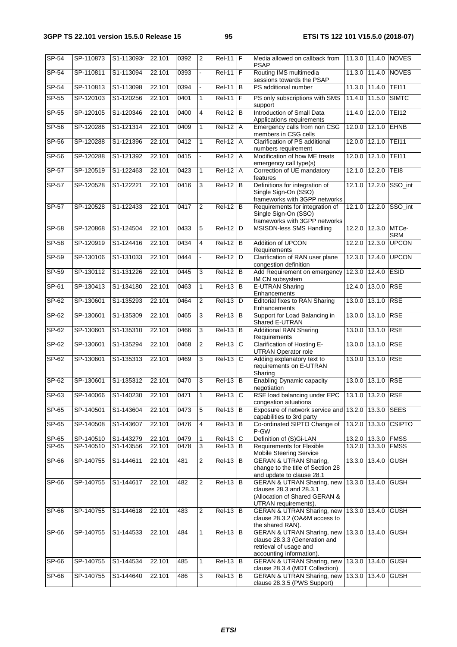| $SP-54$             | SP-110873              | S1-113093r             | 22.101           | 0392         | $\overline{2}$    | $ReI-11$ $F$                |                | Media allowed on callback from<br><b>PSAP</b>                                                                                |               | 11.3.0 11.4.0                            | <b>NOVES</b>     |
|---------------------|------------------------|------------------------|------------------|--------------|-------------------|-----------------------------|----------------|------------------------------------------------------------------------------------------------------------------------------|---------------|------------------------------------------|------------------|
| $SP-54$             | SP-110811              | S1-113094              | 22.101           | 0393         |                   | <b>Rel-11</b>               | F              | Routing IMS multimedia<br>sessions towards the PSAP                                                                          | 11.3.0        | 11.4.0                                   | <b>NOVES</b>     |
| SP-54               | SP-110813              | S1-113098              | 22.101           | 0394         |                   | <b>Rel-11</b>               | $\, {\bf B}$   | PS additional number                                                                                                         | 11.3.0 11.4.0 |                                          | <b>TEI11</b>     |
| $SP-55$             | SP-120103              | S1-120256              | 22.101           | 0401         | 1                 | <b>Rel-11</b>               | ĪF             | PS only subscriptions with SMS<br>support                                                                                    | 11.4.0        | 11.5.0                                   | <b>SIMTC</b>     |
| SP-55               | SP-120105              | S1-120346              | 22.101           | 0400         | $\overline{4}$    | $Rel-12$ B                  |                | Introduction of Small Data<br>Applications requirements                                                                      | 11.4.0        | 12.0.0                                   | <b>TEI12</b>     |
| $SP-56$             | SP-120286              | S1-121314              | 22.101           | 0409         | 1                 | <b>Rel-12</b>               | A              | Emergency calls from non CSG<br>members in CSG cells                                                                         |               | 12.0.0 12.1.0 EHNB                       |                  |
| $SP-56$             | SP-120288              | S1-121396              | 22.101           | 0412         | $\mathbf{1}$      | $Rel-12$                    | A              | Clarification of PS additional<br>numbers requirement                                                                        | 12.0.0        | 12.1.0                                   | <b>TEI11</b>     |
| $SP-56$             | SP-120288              | S1-121392              | 22.101           | 0415         |                   | $Rel-12$                    | A              | Modification of how ME treats<br>emergency call type(s)                                                                      | 12.0.0        | 12.1.0                                   | <b>TEI11</b>     |
| $SP-57$             | SP-120519              | S1-122463              | 22.101           | 0423         | 1                 | $Rel-12$                    | $\overline{A}$ | Correction of UE mandatory<br>features                                                                                       | 12.1.0 12.2.0 |                                          | TE <sub>18</sub> |
| SP-57               | SP-120528              | S1-122221              | 22.101           | 0416         | $\mathbf{3}$      | <b>Rel-12</b>               | B              | Definitions for integration of<br>Single Sign-On (SSO)<br>frameworks with 3GPP networks                                      | 12.1.0        | 12.2.0                                   | SSO_int          |
| $SP-57$             | SP-120528              | S1-122433              | 22.101           | 0417         | $\overline{2}$    | $Rel-12$                    | IВ             | Requirements for integration of<br>Single Sign-On (SSO)<br>frameworks with 3GPP networks                                     |               | 12.1.0 12.2.0                            | SSO_int          |
| $SP-58$             | SP-120868              | S1-124504              | 22.101           | 0433         | $5\phantom{.0}$   | $Rel-12$ $D$                |                | MSISDN-less SMS Handling                                                                                                     |               | 12.2.0 12.3.0 MTCe-                      | <b>SRM</b>       |
| $SP-58$             | SP-120919              | S1-124416              | 22.101           | 0434         | 4                 | $Rel-12$                    | B              | Addition of UPCON<br>Requirements                                                                                            | 12.2.0        | 12.3.0                                   | <b>UPCON</b>     |
| $SP-59$             | SP-130106              | S1-131033              | 22.101           | 0444         |                   | $Rel-12$                    | D              | Clarification of RAN user plane<br>congestion definition                                                                     | 12.3.0        | 12.4.0                                   | <b>UPCON</b>     |
| $SP-59$             | SP-130112              | S1-131226              | 22.101           | 0445         | $\overline{3}$    | $Rel-12$                    | IВ             | Add Requirement on emergency 12.3.0 12.4.0<br>IM CN subsystem                                                                |               |                                          | <b>ESID</b>      |
| $SP-61$             | SP-130413              | S1-134180              | 22.101           | 0463         | 1                 | $Rel-13$                    | $\overline{B}$ | E-UTRAN Sharing<br>Enhancements                                                                                              | 12.4.0        | 13.0.0                                   | <b>RSE</b>       |
| SP-62               | SP-130601              | S1-135293              | 22.101           | 0464         | $\overline{2}$    | <b>Rel-13</b>               | D              | <b>Editorial fixes to RAN Sharing</b><br>Enhancements                                                                        | 13.0.0        | 13.1.0 RSE                               |                  |
| SP-62               | SP-130601              | S1-135309              | 22.101           | 0465         | $\overline{3}$    | $Rel-13$ B                  |                | Support for Load Balancing in<br>Shared E-UTRAN                                                                              |               | 13.0.0 13.1.0                            | <b>RSE</b>       |
| $SP-62$             | SP-130601              | S1-135310              | 22.101           | 0466         | 3                 | $Rel-13$                    | B              | <b>Additional RAN Sharing</b><br>Requirements                                                                                |               | 13.0.0 13.1.0 RSE                        |                  |
| SP-62               | SP-130601              | S1-135294              | 22.101           | 0468         | $\overline{2}$    | <b>Rel-13</b>               | $\mathbf C$    | Clarification of Hosting E-<br><b>UTRAN Operator role</b>                                                                    | 13.0.0        | 13.1.0 RSE                               |                  |
| $SP-62$             | SP-130601              | S1-135313              | 22.101           | 0469         | 3                 | $Rel-13$                    | $\overline{C}$ | Adding explanatory text to<br>requirements on E-UTRAN<br>Sharing                                                             | 13.0.0        | 13.1.0                                   | <b>RSE</b>       |
| $SP-62$             | SP-130601              | S1-135312              | 22.101           | 0470         | 3                 | $Rel-13$ $B$                |                | <b>Enabling Dynamic capacity</b><br>negotiation                                                                              |               | 13.0.0 13.1.0 RSE                        |                  |
| $SP-63$             | SP-140066              | S1-140230              | 22.101           | 0471         | $\mathbf{1}$      | $ReI-13$ C                  |                | RSE load balancing under EPC   13.1.0   13.2.0   RSE<br>congestion situations                                                |               |                                          |                  |
| SP-65               | SP-140501              | S1-143604              | 22.101           | 0473         | $\overline{5}$    | $Rel-13$                    | B              | Exposure of network service and 13.2.0 13.3.0<br>capabilities to 3rd party                                                   |               |                                          | <b>SEES</b>      |
| $SP-65$             | SP-140508              | S1-143607              | 22.101           | 0476         | $\overline{4}$    | $Rel-13$                    | B              | Co-ordinated SIPTO Change of<br>P-GW                                                                                         |               | 13.2.0 13.3.0                            | <b>CSIPTO</b>    |
| $S P - 65$<br>SP-65 | SP-140510<br>SP-140510 | S1-143279<br>S1-143556 | 22.101<br>22.101 | 0479<br>0478 | $\mathbf{1}$<br>3 | <b>Rel-13</b><br>$Rel-13$ B | $\mathsf{C}$   | Definition of (S)Gi-LAN<br>Requirements for Flexible                                                                         |               | 13.2.0 13.3.0 FMSS<br>13.2.0 13.3.0 FMSS |                  |
|                     |                        |                        |                  |              |                   |                             |                | Mobile Steering Service                                                                                                      |               |                                          |                  |
| SP-66               | SP-140755              | S1-144611              | 22.101           | 481          | $\overline{2}$    | <b>Rel-13</b>               | B              | <b>GERAN &amp; UTRAN Sharing,</b><br>change to the title of Section 28<br>and update to clause 28.1                          |               | 13.3.0 13.4.0                            | <b>GUSH</b>      |
| SP-66               | SP-140755              | S1-144617              | 22.101           | 482          | $\overline{2}$    | <b>Rel-13</b>               | IB.            | <b>GERAN &amp; UTRAN Sharing, new</b><br>clauses 28.3 and 28.3.1<br>(Allocation of Shared GERAN &<br>UTRAN requirements).    |               | 13.3.0 13.4.0                            | <b>GUSH</b>      |
| SP-66               | SP-140755              | S1-144618              | 22.101           | 483          | $\overline{2}$    | <b>Rel-13</b>               | B              | <b>GERAN &amp; UTRAN Sharing, new</b><br>clause 28.3.2 (OA&M access to<br>the shared RAN).                                   | 13.3.0 13.4.0 |                                          | <b>GUSH</b>      |
| SP-66               | SP-140755              | S1-144533              | 22.101           | 484          | 1                 | $Rel-13$ B                  |                | <b>GERAN &amp; UTRAN Sharing, new</b><br>clause 28.3.3 (Generation and<br>retrieval of usage and<br>accounting information). |               | 13.3.0 13.4.0 GUSH                       |                  |
| SP-66               | SP-140755              | S1-144534              | 22.101           | 485          | 1                 | <b>Rel-13</b>               | B              | <b>GERAN &amp; UTRAN Sharing, new</b><br>clause 28.3.4 (MDT Collection)                                                      | 13.3.0 13.4.0 |                                          | <b>GUSH</b>      |
| SP-66               | SP-140755              | S1-144640              | 22.101           | 486          | 3                 | <b>Rel-13</b>               | B              | <b>GERAN &amp; UTRAN Sharing, new</b><br>clause 28.3.5 (PWS Support)                                                         | 13.3.0 13.4.0 |                                          | <b>GUSH</b>      |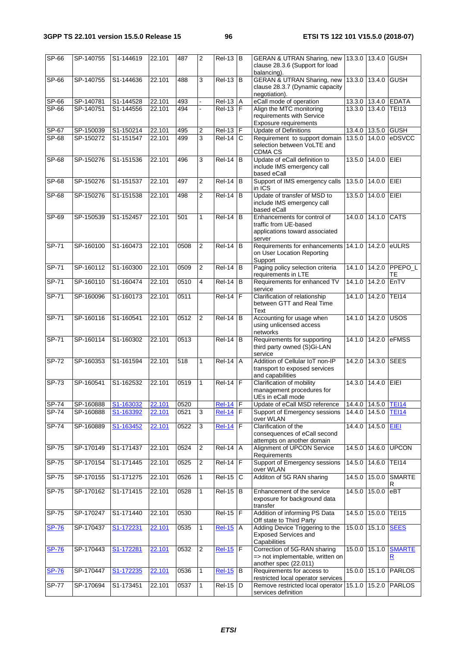| SP-66        | SP-140755 | S1-144619 | 22.101 | 487  | 2              | $Rel-13$ B    |             | <b>GERAN &amp; UTRAN Sharing, new</b><br>clause 28.3.6 (Support for load<br>balancing).    |        | 13.3.0   13.4.0    | <b>GUSH</b>               |
|--------------|-----------|-----------|--------|------|----------------|---------------|-------------|--------------------------------------------------------------------------------------------|--------|--------------------|---------------------------|
|              | SP-140755 | S1-144636 | 22.101 | 488  | 3              | $Rel-13$ B    |             | <b>GERAN &amp; UTRAN Sharing, new</b>                                                      |        | 13.3.0 13.4.0      | <b>GUSH</b>               |
| SP-66        |           |           |        |      |                |               |             | clause 28.3.7 (Dynamic capacity<br>negotiation).                                           |        |                    |                           |
| SP-66        | SP-140781 | S1-144528 | 22.101 | 493  |                | <b>Rel-13</b> | A           | eCall mode of operation                                                                    | 13.3.0 | 13.4.0             | <b>EDATA</b>              |
| SP-66        | SP-140751 | S1-144556 | 22.101 | 494  |                | $ReI-13$ $F$  |             | Align the MTC monitoring                                                                   |        | 13.3.0 13.4.0      | <b>TEI13</b>              |
|              |           |           |        |      |                |               |             | requirements with Service<br>Exposure requirements                                         |        |                    |                           |
| SP-67        | SP-150039 | S1-150214 | 22.101 | 495  | 2              | <b>Rel-13</b> | F           | <b>Update of Definitions</b>                                                               |        | 13.4.0 13.5.0      | <b>GUSH</b>               |
| SP-68        | SP-150272 | S1-151547 | 22.101 | 499  | 3              | $ReI-14$ $C$  |             | Requirement to support domain                                                              |        | 13.5.0 14.0.0      | eDSVCC                    |
|              |           |           |        |      |                |               |             | selection between VoLTE and<br><b>CDMA CS</b>                                              |        |                    |                           |
| SP-68        | SP-150276 | S1-151536 | 22.101 | 496  | 3              | $Rel-14$      | B           | Update of eCall definition to<br>include IMS emergency call<br>based eCall                 |        | 13.5.0 14.0.0      | EIEI                      |
| SP-68        | SP-150276 | S1-151537 | 22.101 | 497  | 2              | $Rel-14$ B    |             | Support of IMS emergency calls<br>in ICS                                                   | 13.5.0 | 14.0.0             | EIEI                      |
| SP-68        | SP-150276 | S1-151538 | 22.101 | 498  | $\overline{2}$ | $ReI-14$ B    |             | Update of transfer of MSD to<br>include IMS emergency call<br>based eCall                  |        | 13.5.0 14.0.0 EIEI |                           |
| SP-69        | SP-150539 | S1-152457 | 22.101 | 501  | $\mathbf{1}$   | $ReI-14$ B    |             | Enhancements for control of                                                                | 14.0.0 | 14.1.0             | <b>CATS</b>               |
|              |           |           |        |      |                |               |             | traffic from UE-based<br>applications toward associated<br>server                          |        |                    |                           |
| $SP-71$      | SP-160100 | S1-160473 | 22.101 | 0508 | 2              | $ReI-14$ B    |             | Requirements for enhancements 14.1.0 14.2.0 eULRS<br>on User Location Reporting<br>Support |        |                    |                           |
| $SP-71$      | SP-160112 | S1-160300 | 22.101 | 0509 | $\overline{2}$ | Rel-14        | B           | Paging policy selection criteria<br>requirements in LTE                                    | 14.1.0 | 14.2.0             | PPEPO_L<br>ТE             |
| SP-71        | SP-160110 | S1-160474 | 22.101 | 0510 | 4              | $ReI-14$ B    |             | Requirements for enhanced TV<br>service                                                    | 14.1.0 | 14.2.0             | EnTV                      |
| $SP-71$      | SP-160096 | S1-160173 | 22.101 | 0511 |                | $Rel-14$ F    |             | Clarification of relationship<br>between GTT and Real Time<br>Text                         |        | 14.1.0 14.2.0      | <b>TEI14</b>              |
| SP-71        | SP-160116 | S1-160541 | 22.101 | 0512 | 2              | $Rel-14$ B    |             | Accounting for usage when<br>using unlicensed access<br>networks                           |        | 14.1.0 14.2.0      | <b>USOS</b>               |
| $SP-71$      | SP-160114 | S1-160302 | 22.101 | 0513 |                | $Rel-14$ $B$  |             | Requirements for supporting<br>third party owned (S)Gi-LAN<br>service                      | 14.1.0 | 14.2.0             | eFMSS                     |
| SP-72        | SP-160353 | S1-161594 | 22.101 | 518  | 1              | $Rel-14$ A    |             | Addition of Cellular IoT non-IP<br>transport to exposed services<br>and capabilities       |        | 14.2.0 14.3.0 SEES |                           |
| $SP-73$      | SP-160541 | S1-162532 | 22.101 | 0519 | $\mathbf{1}$   | $Rel-14$ F    |             | Clarification of mobility<br>management procedures for<br>UEs in eCall mode                | 14.3.0 | 14.4.0             | EIEI                      |
| SP-74        | SP-160888 | S1-163032 | 22.101 | 0520 |                | <b>Rel-14</b> | $\mathsf F$ | Update of eCall MSD reference                                                              |        | 14.4.0 14.5.0      | <b>TEI14</b>              |
| SP-74        | SP-160888 | S1-163392 | 22.101 | 0521 | 3              | $Rel-14$ $F$  |             | Support of Emergency sessions                                                              |        | 14.4.0   14.5.0    | <b>TEI14</b>              |
|              |           |           |        |      |                |               |             | over WLAN                                                                                  |        |                    |                           |
| $SP-74$      |           |           | 22.101 | 0522 | 3              | <b>Rel-14</b> | $\mathsf F$ | Clarification of the                                                                       |        | 14.4.0 14.5.0      |                           |
|              | SP-160889 | S1-163452 |        |      |                |               |             | consequences of eCall second<br>attempts on another domain                                 |        |                    | EIEL                      |
| SP-75        | SP-170149 | S1-171437 | 22.101 | 0524 | $\overline{2}$ | $ReI-14$ A    |             | Alignment of UPCON Service<br>Requirements                                                 | 14.5.0 | 14.6.0             | <b>UPCON</b>              |
| SP-75        | SP-170154 | S1-171445 | 22.101 | 0525 | $\overline{2}$ | $Rel-14$ $F$  |             | Support of Emergency sessions<br>over WLAN                                                 | 14.5.0 | 14.6.0             | <b>TEI14</b>              |
| SP-75        | SP-170155 | S1-171275 | 22.101 | 0526 | 1              | <b>Rel-15</b> | $\mathbf C$ | Additon of 5G RAN sharing                                                                  |        |                    | 14.5.0 15.0.0 SMARTE<br>R |
| SP-75        | SP-170162 | S1-171415 | 22.101 | 0528 | $\mathbf{1}$   | $Rel-15$ B    |             | Enhancement of the service<br>exposure for background data<br>transfer                     |        | 14.5.0 15.0.0      | eBT                       |
| SP-75        | SP-170247 | S1-171440 | 22.101 | 0530 |                | $Rel-15$ $F$  |             | Addition of informing PS Data<br>Off state to Third Party                                  | 14.5.0 | 15.0.0             | <b>TEI15</b>              |
| <b>SP-76</b> | SP-170437 | S1-172231 | 22.101 | 0535 | $\mathbf{1}$   | <b>Rel-15</b> | A           | Adding Device Triggering to the<br><b>Exposed Services and</b><br>Capabilities             |        | 15.0.0 15.1.0      | <b>SEES</b>               |
| <b>SP-76</b> | SP-170443 | S1-172281 | 22.101 | 0532 | $\overline{2}$ | <b>Rel-15</b> | F           | Correction of 5G-RAN sharing<br>=> not implementable, written on<br>another spec (22.011)  |        | 15.0.0 15.1.0      | <b>SMARTE</b><br>R        |
| <b>SP-76</b> | SP-170447 | S1-172235 | 22.101 | 0536 | 1              | $Rel-15$      | B           | Requirements for access to<br>restricted local operator services                           |        | 15.0.0 15.1.0      | <b>PARLOS</b>             |
| <b>SP-77</b> | SP-170694 | S1-173451 | 22.101 | 0537 | $\mathbf{1}$   | <b>Rel-15</b> | D           | Remove restricted local operator 15.1.0 15.2.0<br>services definition                      |        |                    | <b>PARLOS</b>             |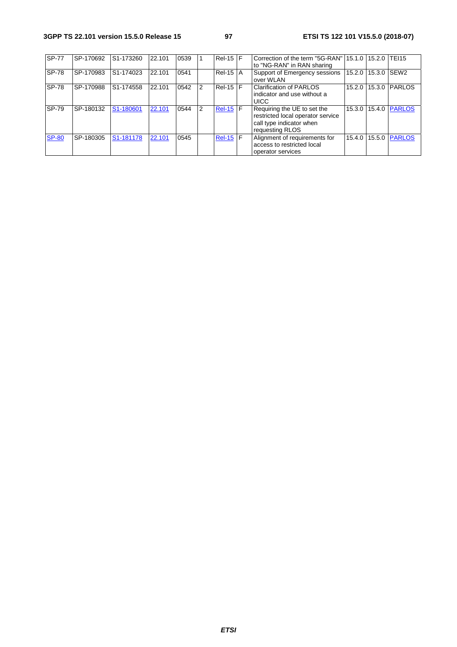| <b>SP-77</b> | SP-170692 | S1-173260 | 22.101 | 0539 |   | $ReI-15$ $F$    | Correction of the term "5G-RAN"   15.1.0   15.2.0<br>to "NG-RAN" in RAN sharing                                 |               | <b>TF115</b>         |
|--------------|-----------|-----------|--------|------|---|-----------------|-----------------------------------------------------------------------------------------------------------------|---------------|----------------------|
| <b>SP-78</b> | SP-170983 | S1-174023 | 22.101 | 0541 |   | Rel-15 A        | Support of Emergency sessions<br>over WLAN                                                                      | 15.2.0 15.3.0 | SEW <sub>2</sub>     |
| <b>SP-78</b> | SP-170988 | S1-174558 | 22.101 | 0542 | 2 | $Rel-15$ $F$    | <b>Clarification of PARLOS</b><br>indicator and use without a<br><b>UICC</b>                                    |               | 15.2.0 15.3.0 PARLOS |
| SP-79        | SP-180132 | S1-180601 | 22.101 | 0544 | 2 | <b>Rel-15 F</b> | Requiring the UE to set the<br>restricted local operator service<br>call type indicator when<br>requesting RLOS |               | 15.3.0 15.4.0 PARLOS |
| <b>SP-80</b> | SP-180305 | S1-181178 | 22.101 | 0545 |   | <b>Rel-15 F</b> | Alignment of requirements for<br>access to restricted local<br>operator services                                | 15.4.0 15.5.0 | <b>PARLOS</b>        |